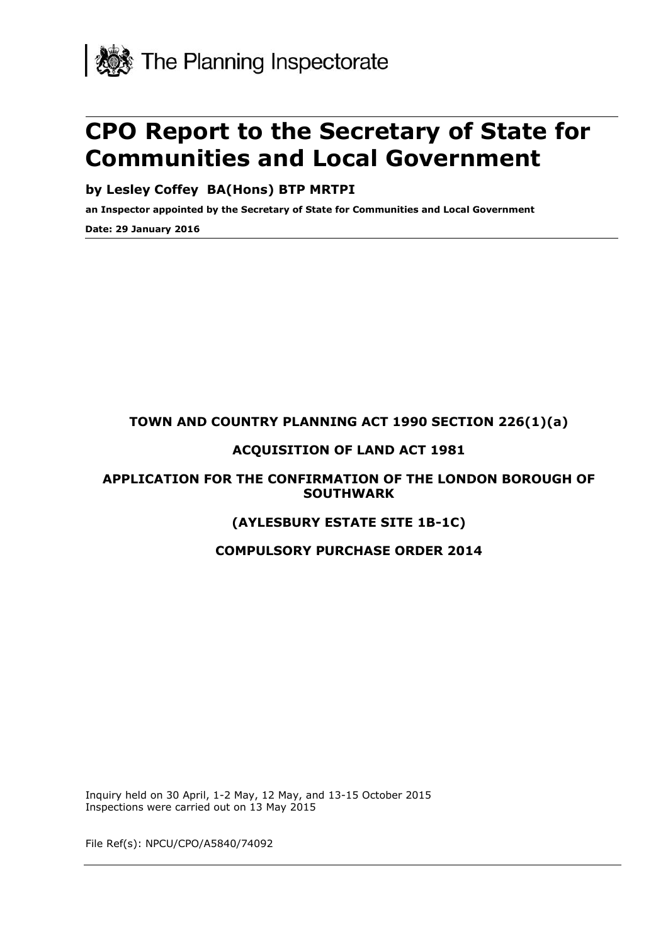

# **CPO Report to the Secretary of State for Communities and Local Government**

**by Lesley Coffey BA(Hons) BTP MRTPI**

**an Inspector appointed by the Secretary of State for Communities and Local Government**

**Date: 29 January 2016**

## **TOWN AND COUNTRY PLANNING ACT 1990 SECTION 226(1)(a)**

## **ACQUISITION OF LAND ACT 1981**

## **APPLICATION FOR THE CONFIRMATION OF THE LONDON BOROUGH OF SOUTHWARK**

## **(AYLESBURY ESTATE SITE 1B-1C)**

## **COMPULSORY PURCHASE ORDER 2014**

Inquiry held on 30 April, 1-2 May, 12 May, and 13-15 October 2015 Inspections were carried out on 13 May 2015

File Ref(s): NPCU/CPO/A5840/74092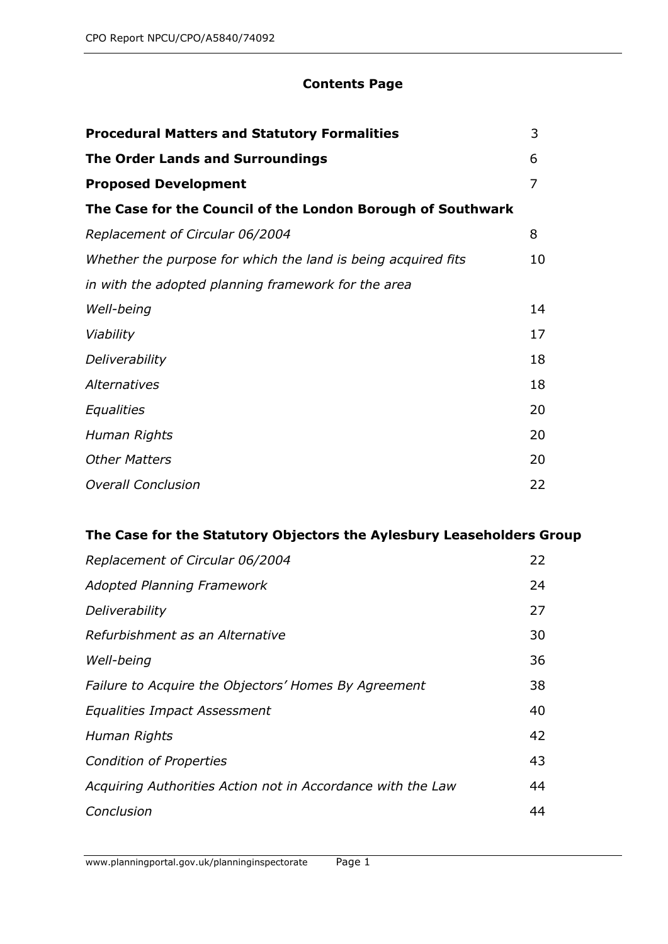# **Contents Page**

| <b>Procedural Matters and Statutory Formalities</b>           | 3  |
|---------------------------------------------------------------|----|
| <b>The Order Lands and Surroundings</b>                       | 6  |
| <b>Proposed Development</b>                                   | 7  |
| The Case for the Council of the London Borough of Southwark   |    |
| Replacement of Circular 06/2004                               | 8  |
| Whether the purpose for which the land is being acquired fits | 10 |
| in with the adopted planning framework for the area           |    |
| Well-being                                                    | 14 |
| Viability                                                     | 17 |
| Deliverability                                                | 18 |
| Alternatives                                                  | 18 |
| Equalities                                                    | 20 |
| Human Rights                                                  | 20 |
| <b>Other Matters</b>                                          | 20 |
| <b>Overall Conclusion</b>                                     | 22 |

# **The Case for the Statutory Objectors the Aylesbury Leaseholders Group**

| Replacement of Circular 06/2004                             | 22 |
|-------------------------------------------------------------|----|
| <b>Adopted Planning Framework</b>                           | 24 |
| Deliverability                                              | 27 |
| Refurbishment as an Alternative                             | 30 |
| Well-being                                                  | 36 |
| Failure to Acquire the Objectors' Homes By Agreement        | 38 |
| Equalities Impact Assessment                                | 40 |
| Human Rights                                                | 42 |
| <b>Condition of Properties</b>                              | 43 |
| Acquiring Authorities Action not in Accordance with the Law | 44 |
| Conclusion                                                  | 44 |
|                                                             |    |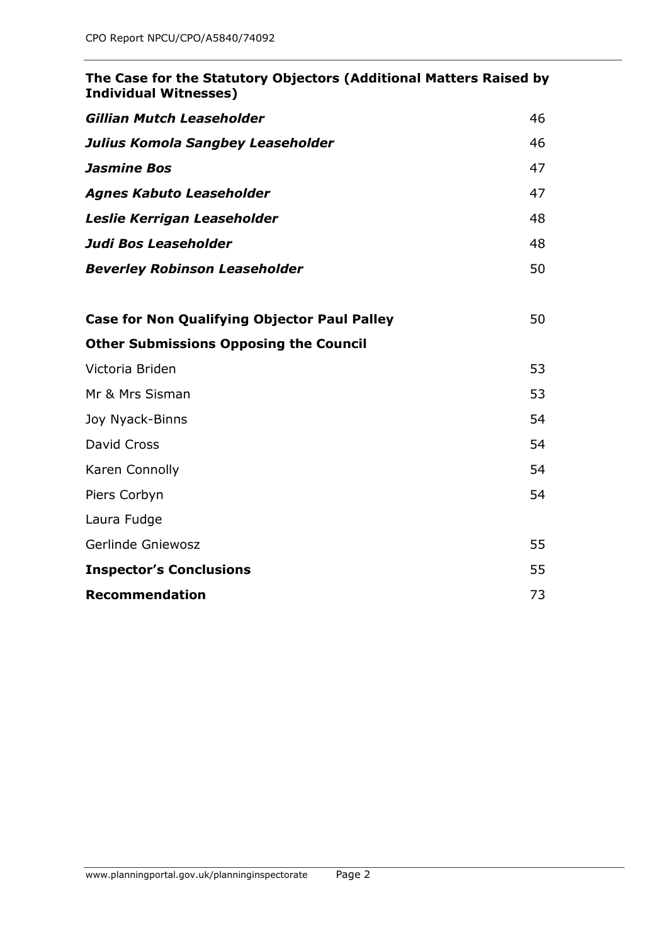## **The Case for the Statutory Objectors (Additional Matters Raised by Individual Witnesses)**

| Gillian Mutch Leaseholder            | 46 |
|--------------------------------------|----|
| Julius Komola Sangbey Leaseholder    | 46 |
| Jasmine Bos                          | 47 |
| <b>Agnes Kabuto Leaseholder</b>      | 47 |
| Leslie Kerrigan Leaseholder          | 48 |
| Judi Bos Leaseholder                 | 48 |
| <b>Beverley Robinson Leaseholder</b> | 50 |
|                                      |    |

| <b>Case for Non Qualifying Objector Paul Palley</b> | 50 |
|-----------------------------------------------------|----|
| <b>Other Submissions Opposing the Council</b>       |    |
| Victoria Briden                                     | 53 |
| Mr & Mrs Sisman                                     | 53 |
| Joy Nyack-Binns                                     | 54 |
| David Cross                                         | 54 |
| Karen Connolly                                      | 54 |
| Piers Corbyn                                        | 54 |
| Laura Fudge                                         |    |
| Gerlinde Gniewosz                                   | 55 |
| <b>Inspector's Conclusions</b>                      | 55 |
| <b>Recommendation</b>                               | 73 |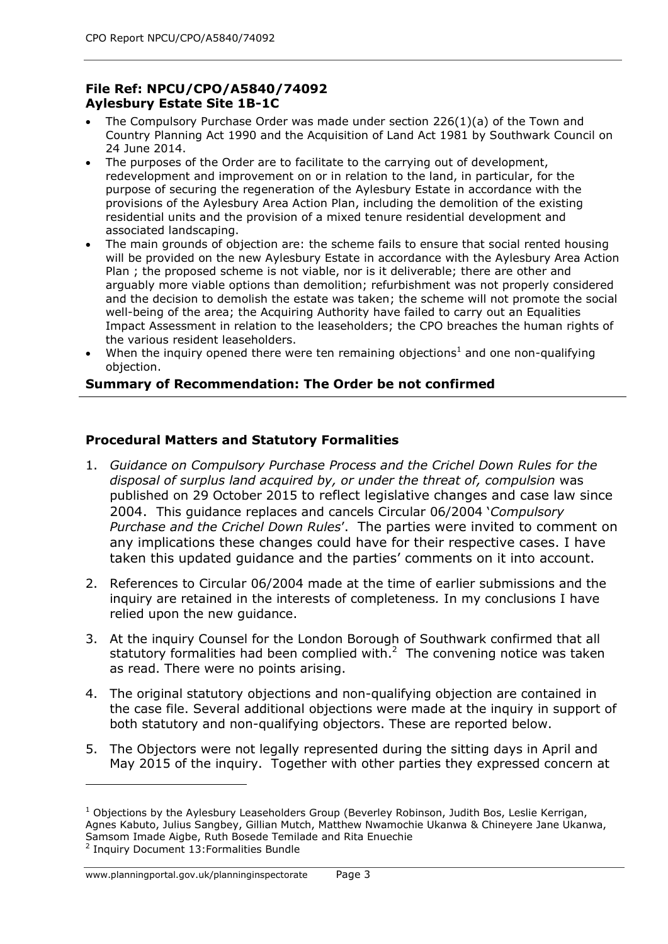## **File Ref: NPCU/CPO/A5840/74092 Aylesbury Estate Site 1B-1C**

- The Compulsory Purchase Order was made under section 226(1)(a) of the Town and Country Planning Act 1990 and the Acquisition of Land Act 1981 by Southwark Council on 24 June 2014.
- The purposes of the Order are to facilitate to the carrying out of development, redevelopment and improvement on or in relation to the land, in particular, for the purpose of securing the regeneration of the Aylesbury Estate in accordance with the provisions of the Aylesbury Area Action Plan, including the demolition of the existing residential units and the provision of a mixed tenure residential development and associated landscaping.
- The main grounds of objection are: the scheme fails to ensure that social rented housing will be provided on the new Aylesbury Estate in accordance with the Aylesbury Area Action Plan ; the proposed scheme is not viable, nor is it deliverable; there are other and arguably more viable options than demolition; refurbishment was not properly considered and the decision to demolish the estate was taken; the scheme will not promote the social well-being of the area; the Acquiring Authority have failed to carry out an Equalities Impact Assessment in relation to the leaseholders; the CPO breaches the human rights of the various resident leaseholders.
- When the inquiry opened there were ten remaining objections<sup>1</sup> and one non-qualifying objection.

#### **Summary of Recommendation: The Order be not confirmed**

#### **Procedural Matters and Statutory Formalities**

- 1. *Guidance on Compulsory Purchase Process and the Crichel Down Rules for the disposal of surplus land acquired by, or under the threat of, compulsion* was published on 29 October 2015 to reflect legislative changes and case law since 2004. This guidance replaces and cancels Circular 06/2004 '*Compulsory Purchase and the Crichel Down Rules*'. The parties were invited to comment on any implications these changes could have for their respective cases. I have taken this updated guidance and the parties' comments on it into account.
- 2. References to Circular 06/2004 made at the time of earlier submissions and the inquiry are retained in the interests of completeness*.* In my conclusions I have relied upon the new guidance.
- 3. At the inquiry Counsel for the London Borough of Southwark confirmed that all statutory formalities had been complied with. $^2$  The convening notice was taken as read. There were no points arising.
- 4. The original statutory objections and non-qualifying objection are contained in the case file. Several additional objections were made at the inquiry in support of both statutory and non-qualifying objectors. These are reported below.
- 5. The Objectors were not legally represented during the sitting days in April and May 2015 of the inquiry. Together with other parties they expressed concern at

 $1$  Objections by the Aylesbury Leaseholders Group (Beverley Robinson, Judith Bos, Leslie Kerrigan, Agnes Kabuto, Julius Sangbey, Gillian Mutch, Matthew Nwamochie Ukanwa & Chineyere Jane Ukanwa, Samsom Imade Aigbe, Ruth Bosede Temilade and Rita Enuechie

<sup>&</sup>lt;sup>2</sup> Inquiry Document 13: Formalities Bundle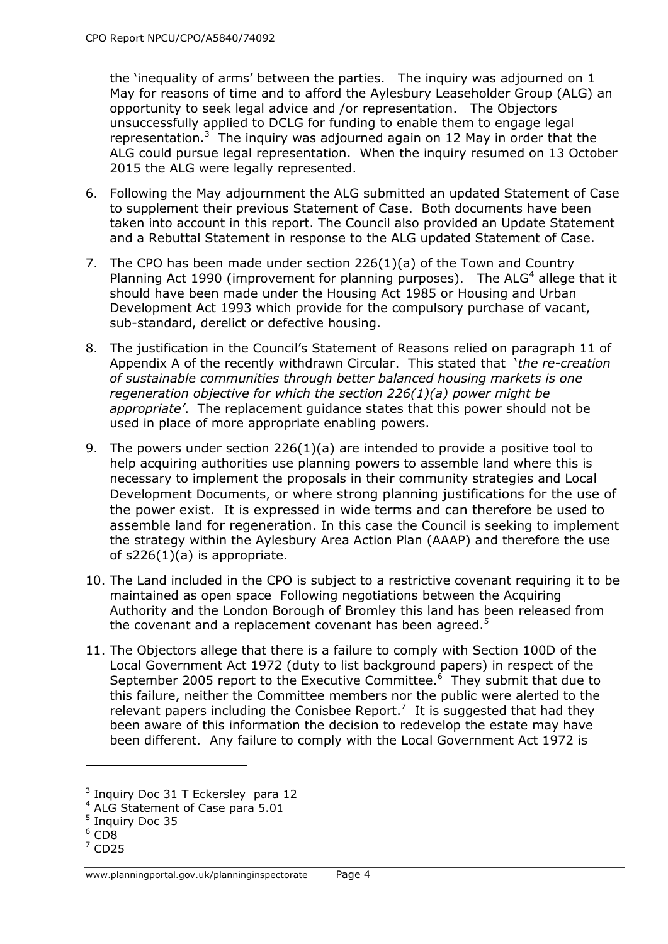the 'inequality of arms' between the parties. The inquiry was adjourned on 1 May for reasons of time and to afford the Aylesbury Leaseholder Group (ALG) an opportunity to seek legal advice and /or representation. The Objectors unsuccessfully applied to DCLG for funding to enable them to engage legal representation. $3$  The inquiry was adjourned again on 12 May in order that the ALG could pursue legal representation. When the inquiry resumed on 13 October 2015 the ALG were legally represented.

- 6. Following the May adjournment the ALG submitted an updated Statement of Case to supplement their previous Statement of Case. Both documents have been taken into account in this report. The Council also provided an Update Statement and a Rebuttal Statement in response to the ALG updated Statement of Case.
- 7. The CPO has been made under section 226(1)(a) of the Town and Country Planning Act 1990 (improvement for planning purposes). The ALG<sup>4</sup> allege that it should have been made under the Housing Act 1985 or Housing and Urban Development Act 1993 which provide for the compulsory purchase of vacant, sub-standard, derelict or defective housing.
- 8. The justification in the Council's Statement of Reasons relied on paragraph 11 of Appendix A of the recently withdrawn Circular. This stated that '*the re-creation of sustainable communities through better balanced housing markets is one regeneration objective for which the section 226(1)(a) power might be appropriate'*. The replacement guidance states that this power should not be used in place of more appropriate enabling powers.
- 9. The powers under section 226(1)(a) are intended to provide a positive tool to help acquiring authorities use planning powers to assemble land where this is necessary to implement the proposals in their community strategies and Local Development Documents, or where strong planning justifications for the use of the power exist. It is expressed in wide terms and can therefore be used to assemble land for regeneration. In this case the Council is seeking to implement the strategy within the Aylesbury Area Action Plan (AAAP) and therefore the use of  $s226(1)(a)$  is appropriate.
- 10. The Land included in the CPO is subject to a restrictive covenant requiring it to be maintained as open space Following negotiations between the Acquiring Authority and the London Borough of Bromley this land has been released from the covenant and a replacement covenant has been agreed.<sup>5</sup>
- 11. The Objectors allege that there is a failure to comply with Section 100D of the Local Government Act 1972 (duty to list background papers) in respect of the September 2005 report to the Executive Committee. $6$  They submit that due to this failure, neither the Committee members nor the public were alerted to the relevant papers including the Conisbee Report.<sup>7</sup> It is suggested that had they been aware of this information the decision to redevelop the estate may have been different. Any failure to comply with the Local Government Act 1972 is

<sup>&</sup>lt;sup>3</sup> Inquiry Doc 31 T Eckersley para 12

<sup>&</sup>lt;sup>4</sup> ALG Statement of Case para 5.01

<sup>&</sup>lt;sup>5</sup> Inquiry Doc 35

 $6$  CD8

 $7$  CD25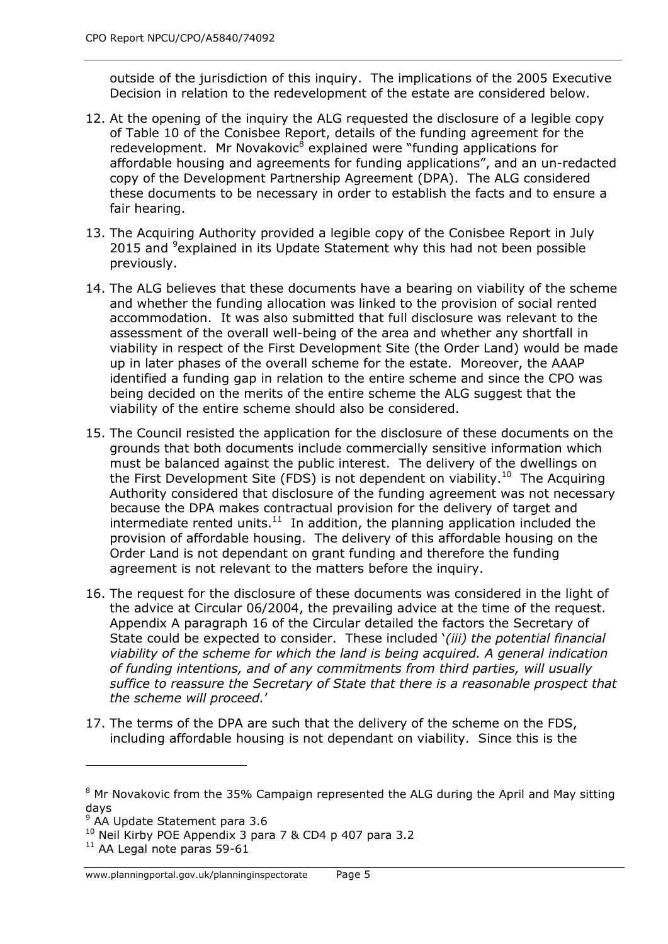outside of the jurisdiction of this inquiry. The implications of the 2005 Executive Decision in relation to the redevelopment of the estate are considered below.

- 12. At the opening of the inquiry the ALG requested the disclosure of a legible copy of Table 10 of the Conisbee Report, details of the funding agreement for the redevelopment. Mr Novakovic<sup>8</sup> explained were "funding applications for affordable housing and agreements for funding applications", and an un-redacted copy of the Development Partnership Agreement (DPA). The ALG considered these documents to be necessary in order to establish the facts and to ensure a fair hearing.
- 13. The Acquiring Authority provided a legible copy of the Conisbee Report in July 2015 and <sup>9</sup> explained in its Update Statement why this had not been possible previously.
- 14. The ALG believes that these documents have a bearing on viability of the scheme and whether the funding allocation was linked to the provision of social rented accommodation. It was also submitted that full disclosure was relevant to the assessment of the overall well-being of the area and whether any shortfall in viability in respect of the First Development Site (the Order Land) would be made up in later phases of the overall scheme for the estate. Moreover, the AAAP identified a funding gap in relation to the entire scheme and since the CPO was being decided on the merits of the entire scheme the ALG suggest that the viability of the entire scheme should also be considered.
- 15. The Council resisted the application for the disclosure of these documents on the grounds that both documents include commercially sensitive information which must be balanced against the public interest. The delivery of the dwellings on the First Development Site (FDS) is not dependent on viability.<sup>10</sup> The Acquiring Authority considered that disclosure of the funding agreement was not necessary because the DPA makes contractual provision for the delivery of target and intermediate rented units. $11$  In addition, the planning application included the provision of affordable housing. The delivery of this affordable housing on the Order Land is not dependant on grant funding and therefore the funding agreement is not relevant to the matters before the inquiry.
- 16. The request for the disclosure of these documents was considered in the light of the advice at Circular 06/2004, the prevailing advice at the time of the request. Appendix A paragraph 16 of the Circular detailed the factors the Secretary of State could be expected to consider. These included '*(iii) the potential financial viability of the scheme for which the land is being acquired. A general indication of funding intentions, and of any commitments from third parties, will usually suffice to reassure the Secretary of State that there is a reasonable prospect that the scheme will proceed.*'
- 17. The terms of the DPA are such that the delivery of the scheme on the FDS, including affordable housing is not dependant on viability. Since this is the

<sup>&</sup>lt;sup>8</sup> Mr Novakovic from the 35% Campaign represented the ALG during the April and May sitting days

 $9$  AA Update Statement para 3.6

 $10$  Neil Kirby POE Appendix 3 para 7 & CD4 p 407 para 3.2

<sup>&</sup>lt;sup>11</sup> AA Legal note paras 59-61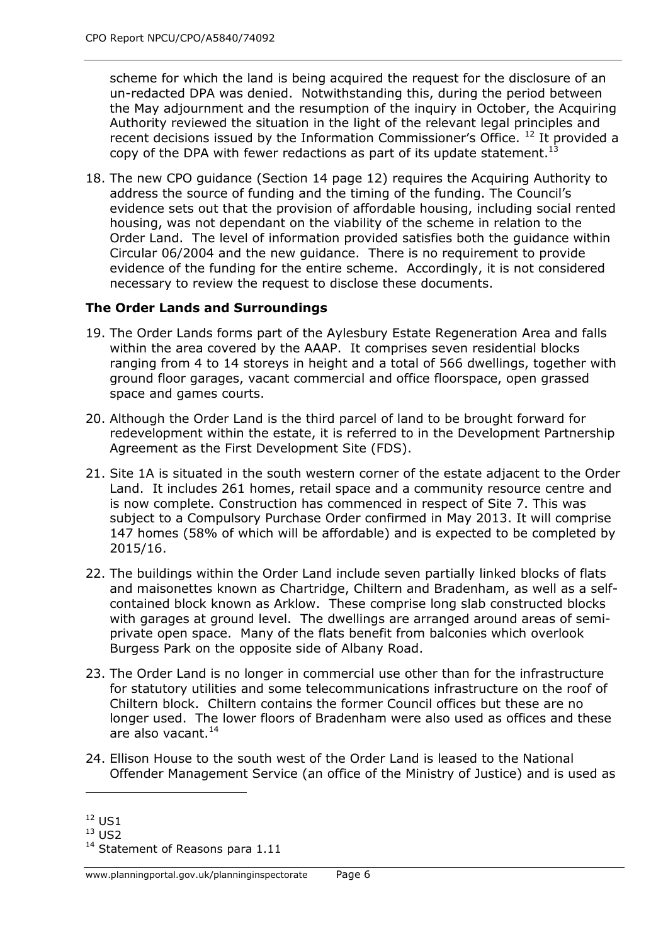scheme for which the land is being acquired the request for the disclosure of an un-redacted DPA was denied. Notwithstanding this, during the period between the May adjournment and the resumption of the inquiry in October, the Acquiring Authority reviewed the situation in the light of the relevant legal principles and recent decisions issued by the Information Commissioner's Office.  $^{12}$  It provided a copy of the DPA with fewer redactions as part of its update statement.<sup>13</sup>

18. The new CPO guidance (Section 14 page 12) requires the Acquiring Authority to address the source of funding and the timing of the funding. The Council's evidence sets out that the provision of affordable housing, including social rented housing, was not dependant on the viability of the scheme in relation to the Order Land. The level of information provided satisfies both the guidance within Circular 06/2004 and the new guidance. There is no requirement to provide evidence of the funding for the entire scheme. Accordingly, it is not considered necessary to review the request to disclose these documents.

#### **The Order Lands and Surroundings**

- 19. The Order Lands forms part of the Aylesbury Estate Regeneration Area and falls within the area covered by the AAAP. It comprises seven residential blocks ranging from 4 to 14 storeys in height and a total of 566 dwellings, together with ground floor garages, vacant commercial and office floorspace, open grassed space and games courts.
- 20. Although the Order Land is the third parcel of land to be brought forward for redevelopment within the estate, it is referred to in the Development Partnership Agreement as the First Development Site (FDS).
- 21. Site 1A is situated in the south western corner of the estate adjacent to the Order Land. It includes 261 homes, retail space and a community resource centre and is now complete. Construction has commenced in respect of Site 7. This was subject to a Compulsory Purchase Order confirmed in May 2013. It will comprise 147 homes (58% of which will be affordable) and is expected to be completed by 2015/16.
- 22. The buildings within the Order Land include seven partially linked blocks of flats and maisonettes known as Chartridge, Chiltern and Bradenham, as well as a selfcontained block known as Arklow. These comprise long slab constructed blocks with garages at ground level. The dwellings are arranged around areas of semiprivate open space. Many of the flats benefit from balconies which overlook Burgess Park on the opposite side of Albany Road.
- 23. The Order Land is no longer in commercial use other than for the infrastructure for statutory utilities and some telecommunications infrastructure on the roof of Chiltern block. Chiltern contains the former Council offices but these are no longer used. The lower floors of Bradenham were also used as offices and these are also vacant.<sup>14</sup>
- 24. Ellison House to the south west of the Order Land is leased to the National Offender Management Service (an office of the Ministry of Justice) and is used as

 $12$  US1

 $13$  US2

<sup>&</sup>lt;sup>14</sup> Statement of Reasons para 1.11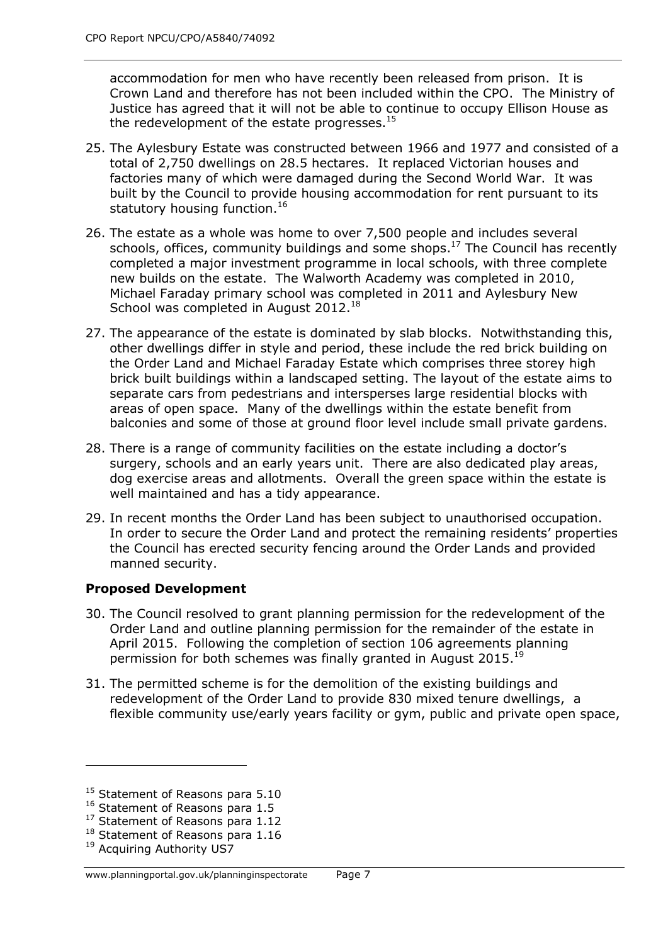accommodation for men who have recently been released from prison. It is Crown Land and therefore has not been included within the CPO. The Ministry of Justice has agreed that it will not be able to continue to occupy Ellison House as the redevelopment of the estate progresses. $15$ 

- 25. The Aylesbury Estate was constructed between 1966 and 1977 and consisted of a total of 2,750 dwellings on 28.5 hectares. It replaced Victorian houses and factories many of which were damaged during the Second World War. It was built by the Council to provide housing accommodation for rent pursuant to its statutory housing function.<sup>16</sup>
- 26. The estate as a whole was home to over 7,500 people and includes several schools, offices, community buildings and some shops.<sup>17</sup> The Council has recently completed a major investment programme in local schools, with three complete new builds on the estate. The Walworth Academy was completed in 2010, Michael Faraday primary school was completed in 2011 and Aylesbury New School was completed in August 2012.<sup>18</sup>
- 27. The appearance of the estate is dominated by slab blocks. Notwithstanding this, other dwellings differ in style and period, these include the red brick building on the Order Land and Michael Faraday Estate which comprises three storey high brick built buildings within a landscaped setting. The layout of the estate aims to separate cars from pedestrians and intersperses large residential blocks with areas of open space. Many of the dwellings within the estate benefit from balconies and some of those at ground floor level include small private gardens.
- 28. There is a range of community facilities on the estate including a doctor's surgery, schools and an early years unit. There are also dedicated play areas, dog exercise areas and allotments. Overall the green space within the estate is well maintained and has a tidy appearance.
- 29. In recent months the Order Land has been subject to unauthorised occupation. In order to secure the Order Land and protect the remaining residents' properties the Council has erected security fencing around the Order Lands and provided manned security.

## **Proposed Development**

- 30. The Council resolved to grant planning permission for the redevelopment of the Order Land and outline planning permission for the remainder of the estate in April 2015. Following the completion of section 106 agreements planning permission for both schemes was finally granted in August 2015.<sup>19</sup>
- 31. The permitted scheme is for the demolition of the existing buildings and redevelopment of the Order Land to provide 830 mixed tenure dwellings, a flexible community use/early years facility or gym, public and private open space,

<sup>&</sup>lt;sup>15</sup> Statement of Reasons para 5.10

<sup>&</sup>lt;sup>16</sup> Statement of Reasons para 1.5

<sup>&</sup>lt;sup>17</sup> Statement of Reasons para 1.12

<sup>&</sup>lt;sup>18</sup> Statement of Reasons para 1.16

<sup>&</sup>lt;sup>19</sup> Acquiring Authority US7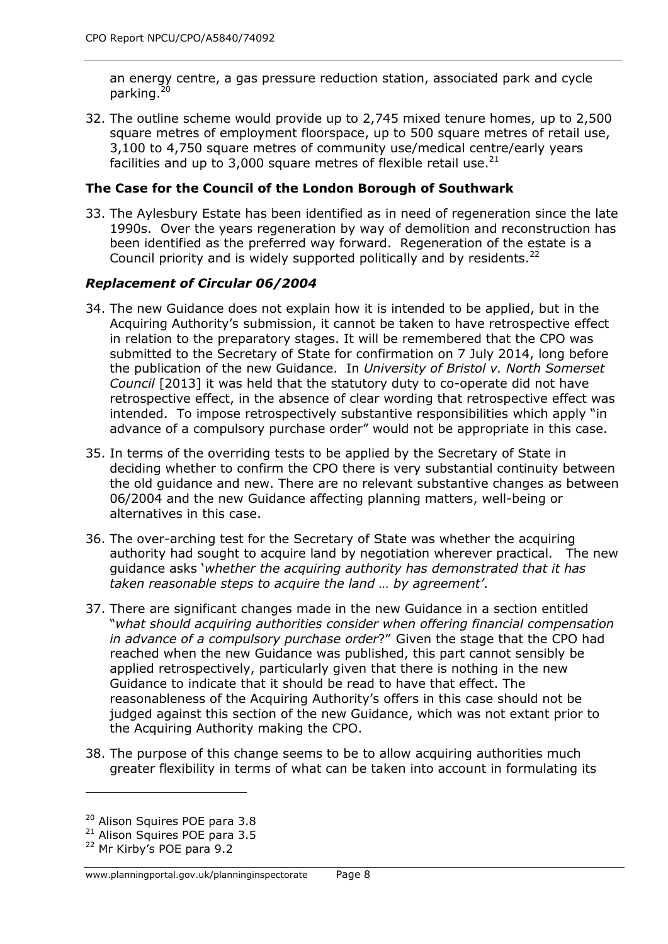an energy centre, a gas pressure reduction station, associated park and cycle parking. 20

32. The outline scheme would provide up to 2,745 mixed tenure homes, up to 2,500 square metres of employment floorspace, up to 500 square metres of retail use, 3,100 to 4,750 square metres of community use/medical centre/early years facilities and up to 3,000 square metres of flexible retail use. $^{21}$ 

#### **The Case for the Council of the London Borough of Southwark**

33. The Aylesbury Estate has been identified as in need of regeneration since the late 1990s. Over the years regeneration by way of demolition and reconstruction has been identified as the preferred way forward. Regeneration of the estate is a Council priority and is widely supported politically and by residents.<sup>22</sup>

## *Replacement of Circular 06/2004*

- 34. The new Guidance does not explain how it is intended to be applied, but in the Acquiring Authority's submission, it cannot be taken to have retrospective effect in relation to the preparatory stages. It will be remembered that the CPO was submitted to the Secretary of State for confirmation on 7 July 2014, long before the publication of the new Guidance. In *University of Bristol v. North Somerset Council* [2013] it was held that the statutory duty to co-operate did not have retrospective effect, in the absence of clear wording that retrospective effect was intended. To impose retrospectively substantive responsibilities which apply "in advance of a compulsory purchase order" would not be appropriate in this case.
- 35. In terms of the overriding tests to be applied by the Secretary of State in deciding whether to confirm the CPO there is very substantial continuity between the old guidance and new. There are no relevant substantive changes as between 06/2004 and the new Guidance affecting planning matters, well-being or alternatives in this case.
- 36. The over-arching test for the Secretary of State was whether the acquiring authority had sought to acquire land by negotiation wherever practical. The new guidance asks '*whether the acquiring authority has demonstrated that it has taken reasonable steps to acquire the land … by agreement'*.
- 37. There are significant changes made in the new Guidance in a section entitled "*what should acquiring authorities consider when offering financial compensation in advance of a compulsory purchase order*?" Given the stage that the CPO had reached when the new Guidance was published, this part cannot sensibly be applied retrospectively, particularly given that there is nothing in the new Guidance to indicate that it should be read to have that effect. The reasonableness of the Acquiring Authority's offers in this case should not be judged against this section of the new Guidance, which was not extant prior to the Acquiring Authority making the CPO.
- 38. The purpose of this change seems to be to allow acquiring authorities much greater flexibility in terms of what can be taken into account in formulating its

<sup>&</sup>lt;sup>20</sup> Alison Squires POE para 3.8

<sup>&</sup>lt;sup>21</sup> Alison Squires POE para 3.5

<sup>22</sup> Mr Kirby's POE para 9.2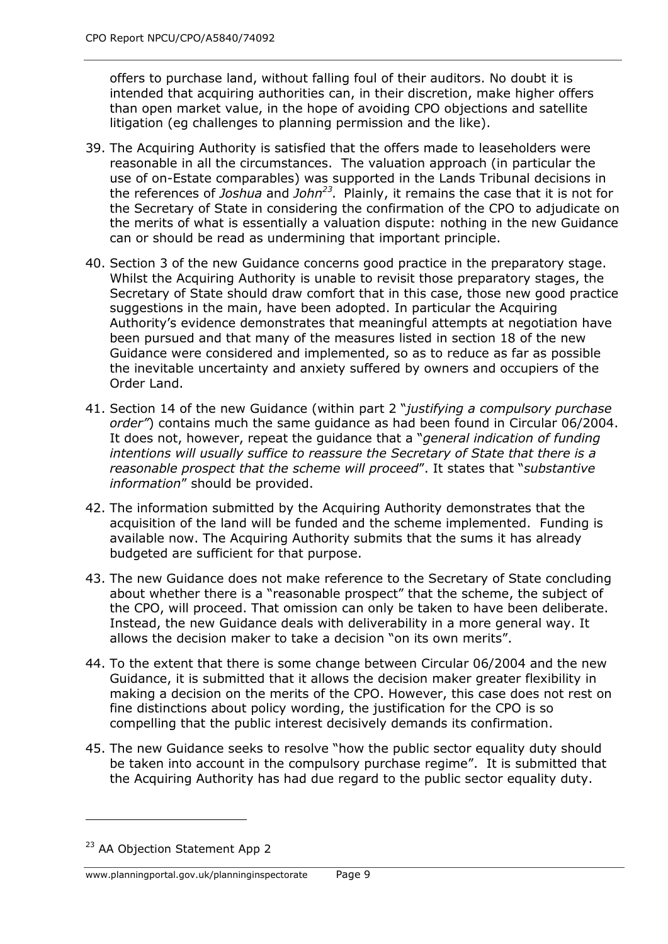offers to purchase land, without falling foul of their auditors. No doubt it is intended that acquiring authorities can, in their discretion, make higher offers than open market value, in the hope of avoiding CPO objections and satellite litigation (eg challenges to planning permission and the like).

- 39. The Acquiring Authority is satisfied that the offers made to leaseholders were reasonable in all the circumstances. The valuation approach (in particular the use of on-Estate comparables) was supported in the Lands Tribunal decisions in the references of *Joshua* and *John<sup>23</sup> .* Plainly, it remains the case that it is not for the Secretary of State in considering the confirmation of the CPO to adjudicate on the merits of what is essentially a valuation dispute: nothing in the new Guidance can or should be read as undermining that important principle.
- 40. Section 3 of the new Guidance concerns good practice in the preparatory stage. Whilst the Acquiring Authority is unable to revisit those preparatory stages, the Secretary of State should draw comfort that in this case, those new good practice suggestions in the main, have been adopted. In particular the Acquiring Authority's evidence demonstrates that meaningful attempts at negotiation have been pursued and that many of the measures listed in section 18 of the new Guidance were considered and implemented, so as to reduce as far as possible the inevitable uncertainty and anxiety suffered by owners and occupiers of the Order Land.
- 41. Section 14 of the new Guidance (within part 2 "*justifying a compulsory purchase order"*) contains much the same guidance as had been found in Circular 06/2004. It does not, however, repeat the guidance that a "*general indication of funding intentions will usually suffice to reassure the Secretary of State that there is a reasonable prospect that the scheme will proceed*". It states that "*substantive information*" should be provided.
- 42. The information submitted by the Acquiring Authority demonstrates that the acquisition of the land will be funded and the scheme implemented. Funding is available now. The Acquiring Authority submits that the sums it has already budgeted are sufficient for that purpose.
- 43. The new Guidance does not make reference to the Secretary of State concluding about whether there is a "reasonable prospect" that the scheme, the subject of the CPO, will proceed. That omission can only be taken to have been deliberate. Instead, the new Guidance deals with deliverability in a more general way. It allows the decision maker to take a decision "on its own merits".
- 44. To the extent that there is some change between Circular 06/2004 and the new Guidance, it is submitted that it allows the decision maker greater flexibility in making a decision on the merits of the CPO. However, this case does not rest on fine distinctions about policy wording, the justification for the CPO is so compelling that the public interest decisively demands its confirmation.
- 45. The new Guidance seeks to resolve "how the public sector equality duty should be taken into account in the compulsory purchase regime". It is submitted that the Acquiring Authority has had due regard to the public sector equality duty.

<sup>&</sup>lt;sup>23</sup> AA Objection Statement App 2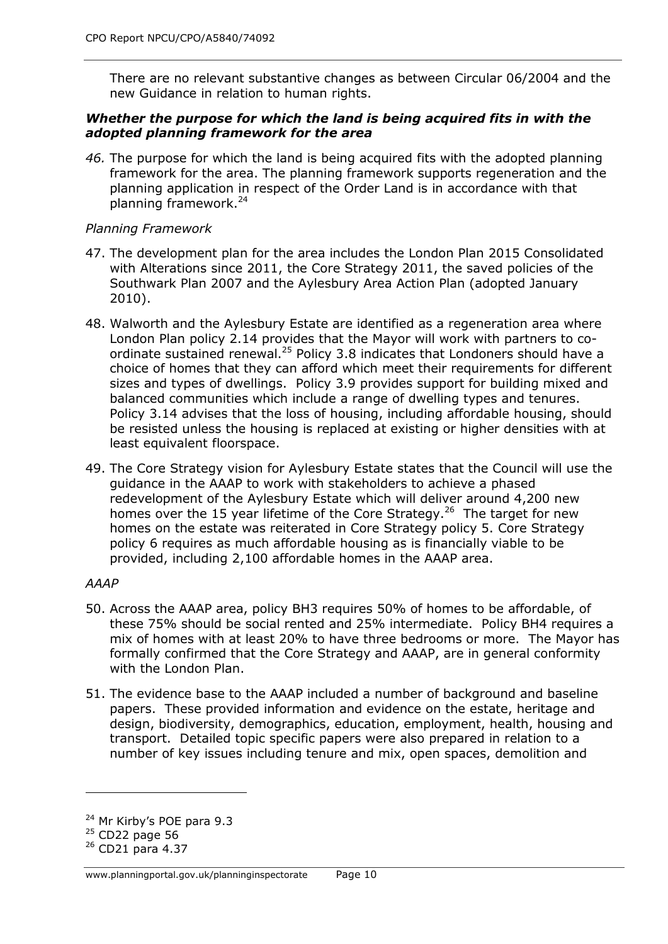There are no relevant substantive changes as between Circular 06/2004 and the new Guidance in relation to human rights.

#### *Whether the purpose for which the land is being acquired fits in with the adopted planning framework for the area*

*46.* The purpose for which the land is being acquired fits with the adopted planning framework for the area. The planning framework supports regeneration and the planning application in respect of the Order Land is in accordance with that planning framework.<sup>24</sup>

#### *Planning Framework*

- 47. The development plan for the area includes the London Plan 2015 Consolidated with Alterations since 2011, the Core Strategy 2011, the saved policies of the Southwark Plan 2007 and the Aylesbury Area Action Plan (adopted January 2010).
- 48. Walworth and the Aylesbury Estate are identified as a regeneration area where London Plan policy 2.14 provides that the Mayor will work with partners to coordinate sustained renewal.<sup>25</sup> Policy 3.8 indicates that Londoners should have a choice of homes that they can afford which meet their requirements for different sizes and types of dwellings. Policy 3.9 provides support for building mixed and balanced communities which include a range of dwelling types and tenures. Policy 3.14 advises that the loss of housing, including affordable housing, should be resisted unless the housing is replaced at existing or higher densities with at least equivalent floorspace.
- 49. The Core Strategy vision for Aylesbury Estate states that the Council will use the guidance in the AAAP to work with stakeholders to achieve a phased redevelopment of the Aylesbury Estate which will deliver around 4,200 new homes over the 15 year lifetime of the Core Strategy.<sup>26</sup> The target for new homes on the estate was reiterated in Core Strategy policy 5. Core Strategy policy 6 requires as much affordable housing as is financially viable to be provided, including 2,100 affordable homes in the AAAP area.

## *AAAP*

- 50. Across the AAAP area, policy BH3 requires 50% of homes to be affordable, of these 75% should be social rented and 25% intermediate. Policy BH4 requires a mix of homes with at least 20% to have three bedrooms or more. The Mayor has formally confirmed that the Core Strategy and AAAP, are in general conformity with the London Plan.
- 51. The evidence base to the AAAP included a number of background and baseline papers. These provided information and evidence on the estate, heritage and design, biodiversity, demographics, education, employment, health, housing and transport. Detailed topic specific papers were also prepared in relation to a number of key issues including tenure and mix, open spaces, demolition and

<sup>&</sup>lt;sup>24</sup> Mr Kirby's POE para 9.3

 $25$  CD22 page 56

 $26$  CD21 para 4.37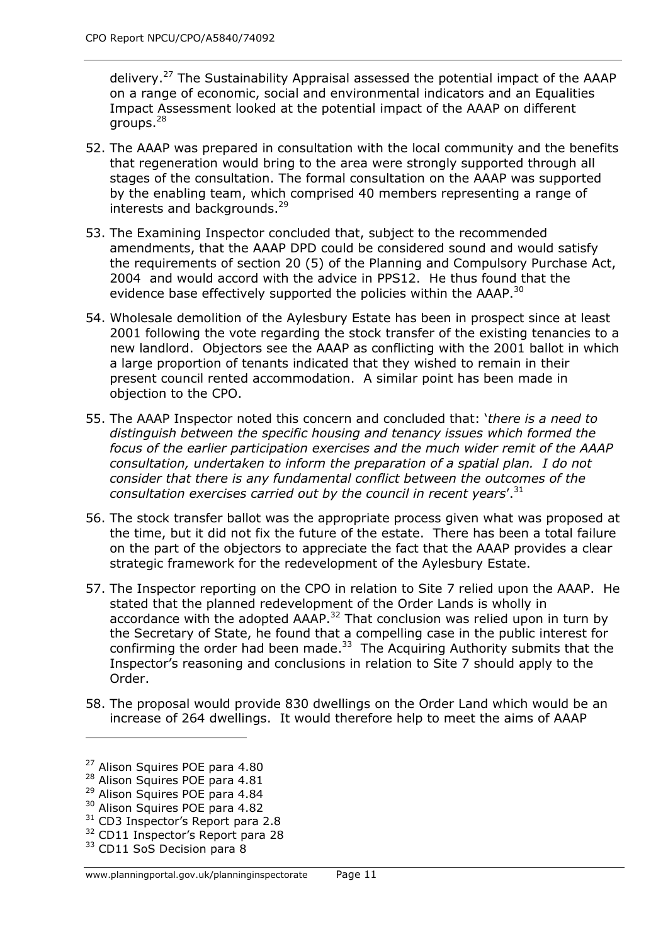delivery.<sup>27</sup> The Sustainability Appraisal assessed the potential impact of the AAAP on a range of economic, social and environmental indicators and an Equalities Impact Assessment looked at the potential impact of the AAAP on different groups.<sup>28</sup>

- 52. The AAAP was prepared in consultation with the local community and the benefits that regeneration would bring to the area were strongly supported through all stages of the consultation. The formal consultation on the AAAP was supported by the enabling team, which comprised 40 members representing a range of interests and backgrounds.<sup>29</sup>
- 53. The Examining Inspector concluded that, subject to the recommended amendments, that the AAAP DPD could be considered sound and would satisfy the requirements of section 20 (5) of the Planning and Compulsory Purchase Act, 2004 and would accord with the advice in PPS12. He thus found that the evidence base effectively supported the policies within the AAAP.<sup>30</sup>
- 54. Wholesale demolition of the Aylesbury Estate has been in prospect since at least 2001 following the vote regarding the stock transfer of the existing tenancies to a new landlord. Objectors see the AAAP as conflicting with the 2001 ballot in which a large proportion of tenants indicated that they wished to remain in their present council rented accommodation. A similar point has been made in objection to the CPO.
- 55. The AAAP Inspector noted this concern and concluded that: '*there is a need to distinguish between the specific housing and tenancy issues which formed the focus of the earlier participation exercises and the much wider remit of the AAAP consultation, undertaken to inform the preparation of a spatial plan. I do not consider that there is any fundamental conflict between the outcomes of the consultation exercises carried out by the council in recent years*'.<sup>31</sup>
- 56. The stock transfer ballot was the appropriate process given what was proposed at the time, but it did not fix the future of the estate. There has been a total failure on the part of the objectors to appreciate the fact that the AAAP provides a clear strategic framework for the redevelopment of the Aylesbury Estate.
- 57. The Inspector reporting on the CPO in relation to Site 7 relied upon the AAAP. He stated that the planned redevelopment of the Order Lands is wholly in accordance with the adopted  $A AAP.^{32}$  That conclusion was relied upon in turn by the Secretary of State, he found that a compelling case in the public interest for confirming the order had been made. $33$  The Acquiring Authority submits that the Inspector's reasoning and conclusions in relation to Site 7 should apply to the Order.
- 58. The proposal would provide 830 dwellings on the Order Land which would be an increase of 264 dwellings. It would therefore help to meet the aims of AAAP

<sup>&</sup>lt;sup>27</sup> Alison Squires POE para 4.80

<sup>&</sup>lt;sup>28</sup> Alison Squires POE para 4.81

<sup>&</sup>lt;sup>29</sup> Alison Squires POE para 4.84

<sup>&</sup>lt;sup>30</sup> Alison Squires POE para 4.82

<sup>&</sup>lt;sup>31</sup> CD3 Inspector's Report para 2.8

<sup>&</sup>lt;sup>32</sup> CD11 Inspector's Report para 28

<sup>&</sup>lt;sup>33</sup> CD11 SoS Decision para 8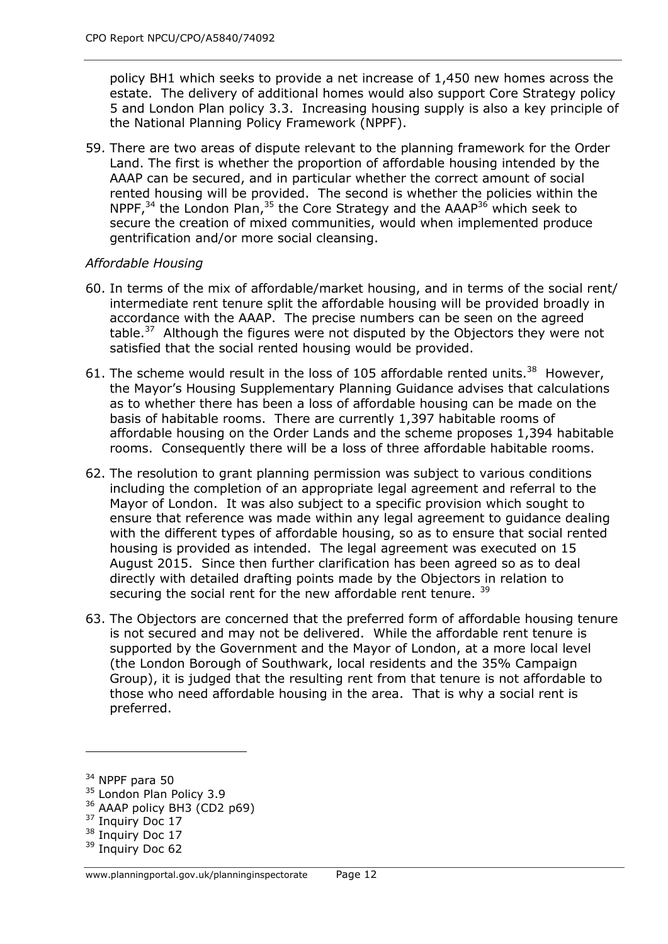policy BH1 which seeks to provide a net increase of 1,450 new homes across the estate. The delivery of additional homes would also support Core Strategy policy 5 and London Plan policy 3.3. Increasing housing supply is also a key principle of the National Planning Policy Framework (NPPF).

59. There are two areas of dispute relevant to the planning framework for the Order Land. The first is whether the proportion of affordable housing intended by the AAAP can be secured, and in particular whether the correct amount of social rented housing will be provided. The second is whether the policies within the NPPF,  $34$  the London Plan,  $35$  the Core Strategy and the AAAP $36$  which seek to secure the creation of mixed communities, would when implemented produce gentrification and/or more social cleansing.

#### *Affordable Housing*

- 60. In terms of the mix of affordable/market housing, and in terms of the social rent/ intermediate rent tenure split the affordable housing will be provided broadly in accordance with the AAAP. The precise numbers can be seen on the agreed table.<sup>37</sup> Although the figures were not disputed by the Objectors they were not satisfied that the social rented housing would be provided.
- 61. The scheme would result in the loss of 105 affordable rented units.<sup>38</sup> However, the Mayor's Housing Supplementary Planning Guidance advises that calculations as to whether there has been a loss of affordable housing can be made on the basis of habitable rooms. There are currently 1,397 habitable rooms of affordable housing on the Order Lands and the scheme proposes 1,394 habitable rooms. Consequently there will be a loss of three affordable habitable rooms.
- 62. The resolution to grant planning permission was subject to various conditions including the completion of an appropriate legal agreement and referral to the Mayor of London. It was also subject to a specific provision which sought to ensure that reference was made within any legal agreement to guidance dealing with the different types of affordable housing, so as to ensure that social rented housing is provided as intended. The legal agreement was executed on 15 August 2015. Since then further clarification has been agreed so as to deal directly with detailed drafting points made by the Objectors in relation to securing the social rent for the new affordable rent tenure. <sup>39</sup>
- 63. The Objectors are concerned that the preferred form of affordable housing tenure is not secured and may not be delivered. While the affordable rent tenure is supported by the Government and the Mayor of London, at a more local level (the London Borough of Southwark, local residents and the 35% Campaign Group), it is judged that the resulting rent from that tenure is not affordable to those who need affordable housing in the area. That is why a social rent is preferred.

<sup>34</sup> NPPF para 50

<sup>&</sup>lt;sup>35</sup> London Plan Policy 3.9

<sup>&</sup>lt;sup>36</sup> AAAP policy BH3 (CD2 p69)

<sup>&</sup>lt;sup>37</sup> Inquiry Doc 17

<sup>&</sup>lt;sup>38</sup> Inquiry Doc 17

<sup>&</sup>lt;sup>39</sup> Inquiry Doc 62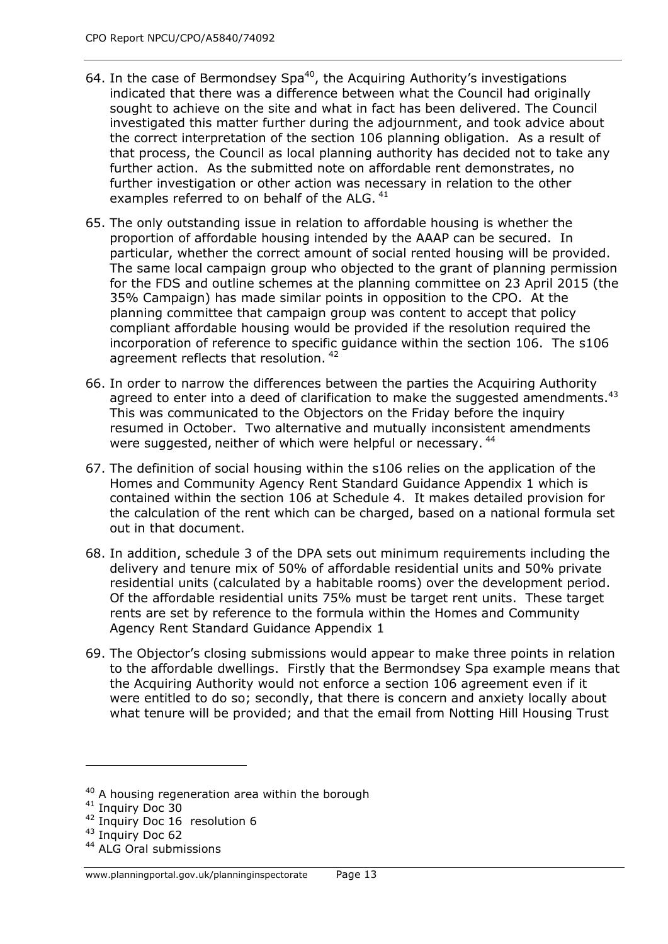- 64. In the case of Bermondsey  $Spa^{40}$ , the Acquiring Authority's investigations indicated that there was a difference between what the Council had originally sought to achieve on the site and what in fact has been delivered. The Council investigated this matter further during the adjournment, and took advice about the correct interpretation of the section 106 planning obligation. As a result of that process, the Council as local planning authority has decided not to take any further action. As the submitted note on affordable rent demonstrates, no further investigation or other action was necessary in relation to the other examples referred to on behalf of the ALG.  $41$
- 65. The only outstanding issue in relation to affordable housing is whether the proportion of affordable housing intended by the AAAP can be secured. In particular, whether the correct amount of social rented housing will be provided. The same local campaign group who objected to the grant of planning permission for the FDS and outline schemes at the planning committee on 23 April 2015 (the 35% Campaign) has made similar points in opposition to the CPO. At the planning committee that campaign group was content to accept that policy compliant affordable housing would be provided if the resolution required the incorporation of reference to specific guidance within the section 106. The s106 agreement reflects that resolution. <sup>42</sup>
- 66. In order to narrow the differences between the parties the Acquiring Authority agreed to enter into a deed of clarification to make the suggested amendments.<sup>43</sup> This was communicated to the Objectors on the Friday before the inquiry resumed in October. Two alternative and mutually inconsistent amendments were suggested, neither of which were helpful or necessary.<sup>44</sup>
- 67. The definition of social housing within the s106 relies on the application of the Homes and Community Agency Rent Standard Guidance Appendix 1 which is contained within the section 106 at Schedule 4. It makes detailed provision for the calculation of the rent which can be charged, based on a national formula set out in that document.
- 68. In addition, schedule 3 of the DPA sets out minimum requirements including the delivery and tenure mix of 50% of affordable residential units and 50% private residential units (calculated by a habitable rooms) over the development period. Of the affordable residential units 75% must be target rent units. These target rents are set by reference to the formula within the Homes and Community Agency Rent Standard Guidance Appendix 1
- 69. The Objector's closing submissions would appear to make three points in relation to the affordable dwellings. Firstly that the Bermondsey Spa example means that the Acquiring Authority would not enforce a section 106 agreement even if it were entitled to do so; secondly, that there is concern and anxiety locally about what tenure will be provided; and that the email from Notting Hill Housing Trust

<sup>&</sup>lt;sup>40</sup> A housing regeneration area within the borough

<sup>&</sup>lt;sup>41</sup> Inquiry Doc 30

<sup>&</sup>lt;sup>42</sup> Inquiry Doc 16 resolution 6

<sup>43</sup> Inquiry Doc 62

<sup>44</sup> ALG Oral submissions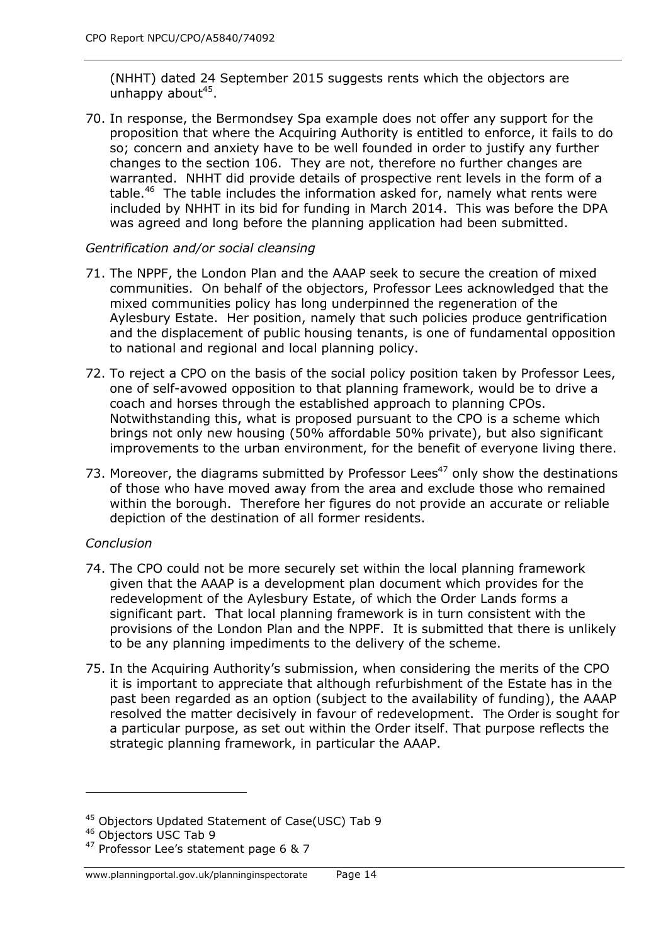(NHHT) dated 24 September 2015 suggests rents which the objectors are unhappy about<sup>45</sup>.

70. In response, the Bermondsey Spa example does not offer any support for the proposition that where the Acquiring Authority is entitled to enforce, it fails to do so; concern and anxiety have to be well founded in order to justify any further changes to the section 106. They are not, therefore no further changes are warranted. NHHT did provide details of prospective rent levels in the form of a table.<sup>46</sup> The table includes the information asked for, namely what rents were included by NHHT in its bid for funding in March 2014. This was before the DPA was agreed and long before the planning application had been submitted.

#### *Gentrification and/or social cleansing*

- 71. The NPPF, the London Plan and the AAAP seek to secure the creation of mixed communities. On behalf of the objectors, Professor Lees acknowledged that the mixed communities policy has long underpinned the regeneration of the Aylesbury Estate. Her position, namely that such policies produce gentrification and the displacement of public housing tenants, is one of fundamental opposition to national and regional and local planning policy.
- 72. To reject a CPO on the basis of the social policy position taken by Professor Lees, one of self-avowed opposition to that planning framework, would be to drive a coach and horses through the established approach to planning CPOs. Notwithstanding this, what is proposed pursuant to the CPO is a scheme which brings not only new housing (50% affordable 50% private), but also significant improvements to the urban environment, for the benefit of everyone living there.
- 73. Moreover, the diagrams submitted by Professor Lees<sup>47</sup> only show the destinations of those who have moved away from the area and exclude those who remained within the borough. Therefore her figures do not provide an accurate or reliable depiction of the destination of all former residents.

## *Conclusion*

- 74. The CPO could not be more securely set within the local planning framework given that the AAAP is a development plan document which provides for the redevelopment of the Aylesbury Estate, of which the Order Lands forms a significant part. That local planning framework is in turn consistent with the provisions of the London Plan and the NPPF. It is submitted that there is unlikely to be any planning impediments to the delivery of the scheme.
- 75. In the Acquiring Authority's submission, when considering the merits of the CPO it is important to appreciate that although refurbishment of the Estate has in the past been regarded as an option (subject to the availability of funding), the AAAP resolved the matter decisively in favour of redevelopment. The Order is sought for a particular purpose, as set out within the Order itself. That purpose reflects the strategic planning framework, in particular the AAAP.

<sup>45</sup> Objectors Updated Statement of Case(USC) Tab 9

<sup>46</sup> Objectors USC Tab 9

<sup>47</sup> Professor Lee's statement page 6 & 7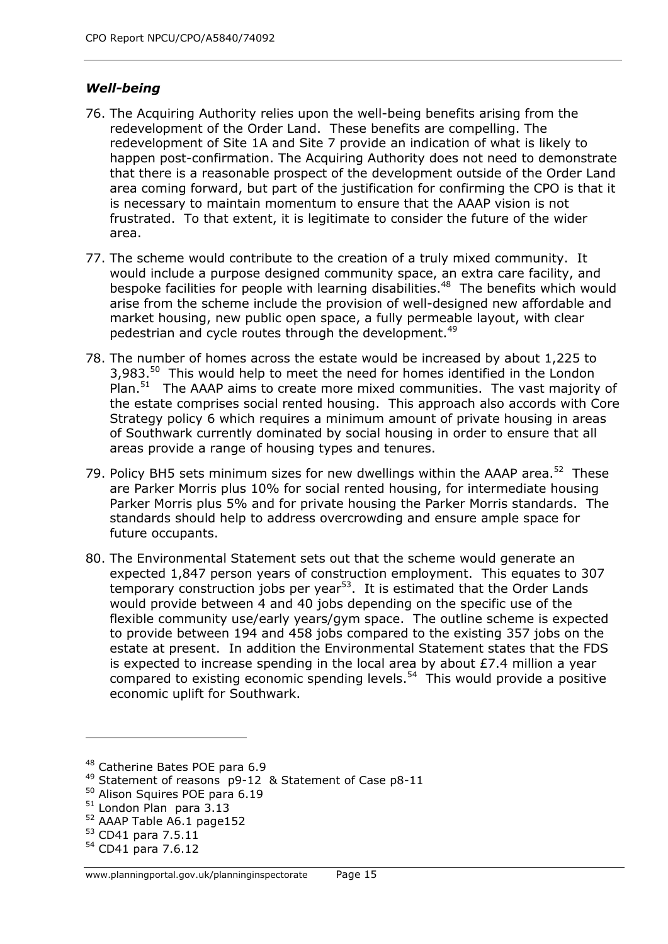## *Well-being*

- 76. The Acquiring Authority relies upon the well-being benefits arising from the redevelopment of the Order Land. These benefits are compelling. The redevelopment of Site 1A and Site 7 provide an indication of what is likely to happen post-confirmation. The Acquiring Authority does not need to demonstrate that there is a reasonable prospect of the development outside of the Order Land area coming forward, but part of the justification for confirming the CPO is that it is necessary to maintain momentum to ensure that the AAAP vision is not frustrated. To that extent, it is legitimate to consider the future of the wider area.
- 77. The scheme would contribute to the creation of a truly mixed community. It would include a purpose designed community space, an extra care facility, and bespoke facilities for people with learning disabilities.<sup>48</sup> The benefits which would arise from the scheme include the provision of well-designed new affordable and market housing, new public open space, a fully permeable layout, with clear pedestrian and cycle routes through the development.<sup>49</sup>
- 78. The number of homes across the estate would be increased by about 1,225 to 3,983.<sup>50</sup> This would help to meet the need for homes identified in the London Plan.<sup>51</sup> The AAAP aims to create more mixed communities. The vast majority of the estate comprises social rented housing. This approach also accords with Core Strategy policy 6 which requires a minimum amount of private housing in areas of Southwark currently dominated by social housing in order to ensure that all areas provide a range of housing types and tenures.
- 79. Policy BH5 sets minimum sizes for new dwellings within the AAAP area.<sup>52</sup> These are Parker Morris plus 10% for social rented housing, for intermediate housing Parker Morris plus 5% and for private housing the Parker Morris standards. The standards should help to address overcrowding and ensure ample space for future occupants.
- 80. The Environmental Statement sets out that the scheme would generate an expected 1,847 person years of construction employment. This equates to 307 temporary construction jobs per year<sup>53</sup>. It is estimated that the Order Lands would provide between 4 and 40 jobs depending on the specific use of the flexible community use/early years/gym space. The outline scheme is expected to provide between 194 and 458 jobs compared to the existing 357 jobs on the estate at present. In addition the Environmental Statement states that the FDS is expected to increase spending in the local area by about £7.4 million a year compared to existing economic spending levels.<sup>54</sup> This would provide a positive economic uplift for Southwark.

<sup>48</sup> Catherine Bates POE para 6.9

<sup>49</sup> Statement of reasons p9-12 & Statement of Case p8-11

<sup>50</sup> Alison Squires POE para 6.19

<sup>&</sup>lt;sup>51</sup> London Plan para 3.13

<sup>52</sup> AAAP Table A6.1 page152

<sup>53</sup> CD41 para 7.5.11

<sup>54</sup> CD41 para 7.6.12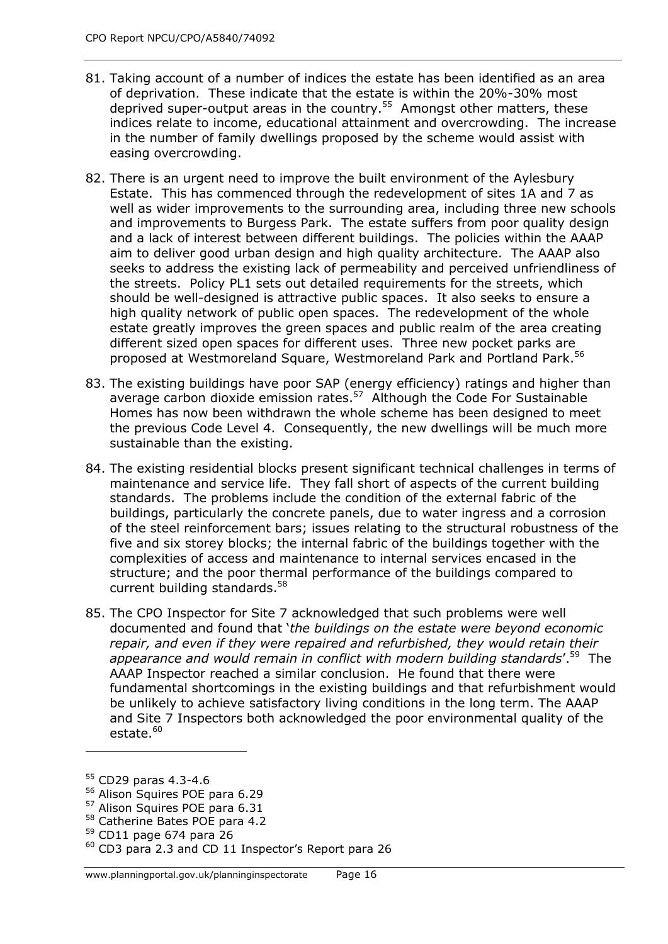- 81. Taking account of a number of indices the estate has been identified as an area of deprivation. These indicate that the estate is within the 20%-30% most deprived super-output areas in the country.<sup>55</sup> Amongst other matters, these indices relate to income, educational attainment and overcrowding. The increase in the number of family dwellings proposed by the scheme would assist with easing overcrowding.
- 82. There is an urgent need to improve the built environment of the Aylesbury Estate. This has commenced through the redevelopment of sites 1A and 7 as well as wider improvements to the surrounding area, including three new schools and improvements to Burgess Park. The estate suffers from poor quality design and a lack of interest between different buildings. The policies within the AAAP aim to deliver good urban design and high quality architecture. The AAAP also seeks to address the existing lack of permeability and perceived unfriendliness of the streets. Policy PL1 sets out detailed requirements for the streets, which should be well-designed is attractive public spaces. It also seeks to ensure a high quality network of public open spaces. The redevelopment of the whole estate greatly improves the green spaces and public realm of the area creating different sized open spaces for different uses. Three new pocket parks are proposed at Westmoreland Square, Westmoreland Park and Portland Park.<sup>56</sup>
- 83. The existing buildings have poor SAP (energy efficiency) ratings and higher than average carbon dioxide emission rates.<sup>57</sup> Although the Code For Sustainable Homes has now been withdrawn the whole scheme has been designed to meet the previous Code Level 4. Consequently, the new dwellings will be much more sustainable than the existing.
- 84. The existing residential blocks present significant technical challenges in terms of maintenance and service life. They fall short of aspects of the current building standards. The problems include the condition of the external fabric of the buildings, particularly the concrete panels, due to water ingress and a corrosion of the steel reinforcement bars; issues relating to the structural robustness of the five and six storey blocks; the internal fabric of the buildings together with the complexities of access and maintenance to internal services encased in the structure; and the poor thermal performance of the buildings compared to current building standards.<sup>58</sup>
- 85. The CPO Inspector for Site 7 acknowledged that such problems were well documented and found that '*the buildings on the estate were beyond economic repair, and even if they were repaired and refurbished, they would retain their appearance and would remain in conflict with modern building standards*'. 59 The AAAP Inspector reached a similar conclusion. He found that there were fundamental shortcomings in the existing buildings and that refurbishment would be unlikely to achieve satisfactory living conditions in the long term. The AAAP and Site 7 Inspectors both acknowledged the poor environmental quality of the  $estate.<sup>60</sup>$

<sup>55</sup> CD29 paras 4.3-4.6

<sup>56</sup> Alison Squires POE para 6.29

<sup>57</sup> Alison Squires POE para 6.31

<sup>58</sup> Catherine Bates POE para 4.2

<sup>59</sup> CD11 page 674 para 26

<sup>60</sup> CD3 para 2.3 and CD 11 Inspector's Report para 26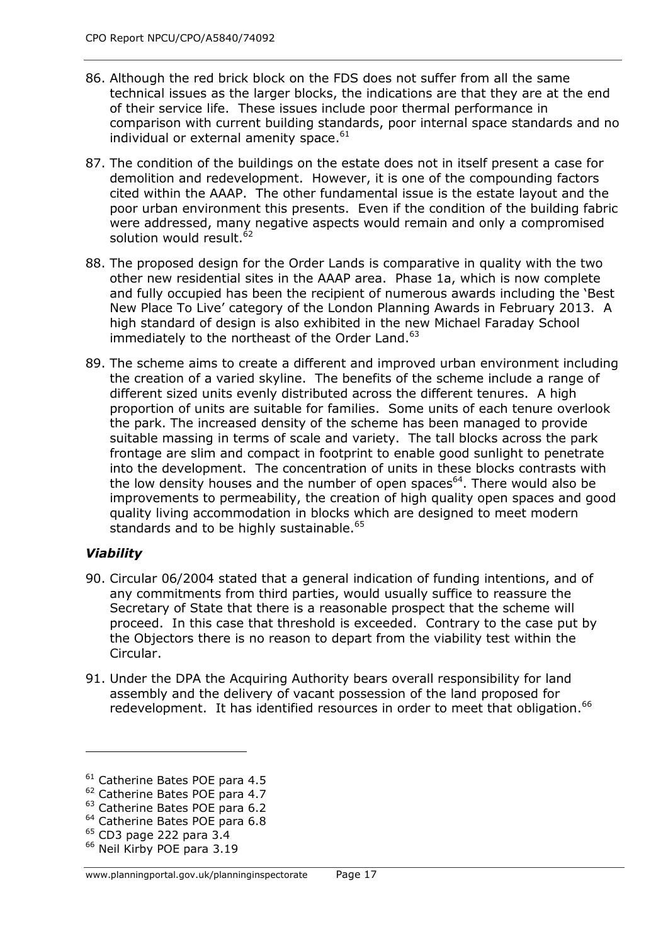- 86. Although the red brick block on the FDS does not suffer from all the same technical issues as the larger blocks, the indications are that they are at the end of their service life. These issues include poor thermal performance in comparison with current building standards, poor internal space standards and no individual or external amenity space.<sup>61</sup>
- 87. The condition of the buildings on the estate does not in itself present a case for demolition and redevelopment. However, it is one of the compounding factors cited within the AAAP. The other fundamental issue is the estate layout and the poor urban environment this presents. Even if the condition of the building fabric were addressed, many negative aspects would remain and only a compromised solution would result.<sup>62</sup>
- 88. The proposed design for the Order Lands is comparative in quality with the two other new residential sites in the AAAP area. Phase 1a, which is now complete and fully occupied has been the recipient of numerous awards including the 'Best New Place To Live' category of the London Planning Awards in February 2013. A high standard of design is also exhibited in the new Michael Faraday School immediately to the northeast of the Order Land.<sup>63</sup>
- 89. The scheme aims to create a different and improved urban environment including the creation of a varied skyline. The benefits of the scheme include a range of different sized units evenly distributed across the different tenures. A high proportion of units are suitable for families. Some units of each tenure overlook the park. The increased density of the scheme has been managed to provide suitable massing in terms of scale and variety. The tall blocks across the park frontage are slim and compact in footprint to enable good sunlight to penetrate into the development. The concentration of units in these blocks contrasts with the low density houses and the number of open spaces $^{64}$ . There would also be improvements to permeability, the creation of high quality open spaces and good quality living accommodation in blocks which are designed to meet modern standards and to be highly sustainable.<sup>65</sup>

## *Viability*

- 90. Circular 06/2004 stated that a general indication of funding intentions, and of any commitments from third parties, would usually suffice to reassure the Secretary of State that there is a reasonable prospect that the scheme will proceed. In this case that threshold is exceeded. Contrary to the case put by the Objectors there is no reason to depart from the viability test within the Circular.
- 91. Under the DPA the Acquiring Authority bears overall responsibility for land assembly and the delivery of vacant possession of the land proposed for redevelopment. It has identified resources in order to meet that obligation.<sup>66</sup>

<sup>&</sup>lt;sup>61</sup> Catherine Bates POE para 4.5

<sup>62</sup> Catherine Bates POE para 4.7

<sup>&</sup>lt;sup>63</sup> Catherine Bates POE para 6.2

<sup>&</sup>lt;sup>64</sup> Catherine Bates POE para 6.8

<sup>65</sup> CD3 page 222 para 3.4

<sup>&</sup>lt;sup>66</sup> Neil Kirby POE para 3.19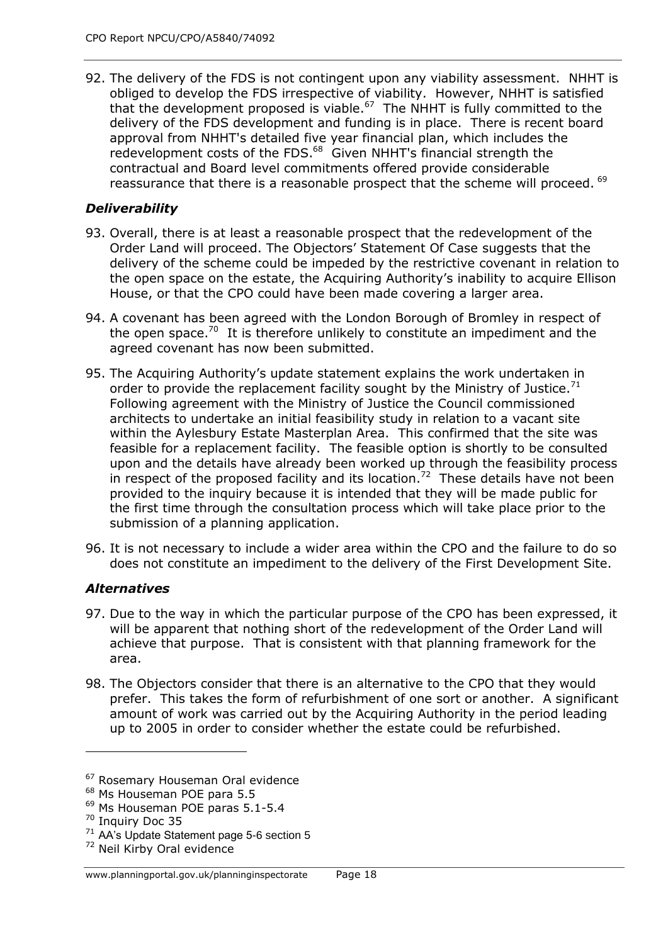92. The delivery of the FDS is not contingent upon any viability assessment. NHHT is obliged to develop the FDS irrespective of viability. However, NHHT is satisfied that the development proposed is viable.<sup>67</sup> The NHHT is fully committed to the delivery of the FDS development and funding is in place. There is recent board approval from NHHT's detailed five year financial plan, which includes the redevelopment costs of the FDS.<sup>68</sup> Given NHHT's financial strength the contractual and Board level commitments offered provide considerable reassurance that there is a reasonable prospect that the scheme will proceed. <sup>69</sup>

# *Deliverability*

- 93. Overall, there is at least a reasonable prospect that the redevelopment of the Order Land will proceed. The Objectors' Statement Of Case suggests that the delivery of the scheme could be impeded by the restrictive covenant in relation to the open space on the estate, the Acquiring Authority's inability to acquire Ellison House, or that the CPO could have been made covering a larger area.
- 94. A covenant has been agreed with the London Borough of Bromley in respect of the open space.<sup>70</sup> It is therefore unlikely to constitute an impediment and the agreed covenant has now been submitted.
- 95. The Acquiring Authority's update statement explains the work undertaken in order to provide the replacement facility sought by the Ministry of Justice.<sup>71</sup> Following agreement with the Ministry of Justice the Council commissioned architects to undertake an initial feasibility study in relation to a vacant site within the Aylesbury Estate Masterplan Area. This confirmed that the site was feasible for a replacement facility. The feasible option is shortly to be consulted upon and the details have already been worked up through the feasibility process in respect of the proposed facility and its location.<sup>72</sup> These details have not been provided to the inquiry because it is intended that they will be made public for the first time through the consultation process which will take place prior to the submission of a planning application.
- 96. It is not necessary to include a wider area within the CPO and the failure to do so does not constitute an impediment to the delivery of the First Development Site.

# *Alternatives*

- 97. Due to the way in which the particular purpose of the CPO has been expressed, it will be apparent that nothing short of the redevelopment of the Order Land will achieve that purpose. That is consistent with that planning framework for the area.
- 98. The Objectors consider that there is an alternative to the CPO that they would prefer. This takes the form of refurbishment of one sort or another. A significant amount of work was carried out by the Acquiring Authority in the period leading up to 2005 in order to consider whether the estate could be refurbished.

<sup>67</sup> Rosemary Houseman Oral evidence

<sup>&</sup>lt;sup>68</sup> Ms Houseman POE para 5.5

<sup>&</sup>lt;sup>69</sup> Ms Houseman POE paras 5.1-5.4

<sup>70</sup> Inquiry Doc 35

 $71$  AA's Update Statement page 5-6 section 5

<sup>72</sup> Neil Kirby Oral evidence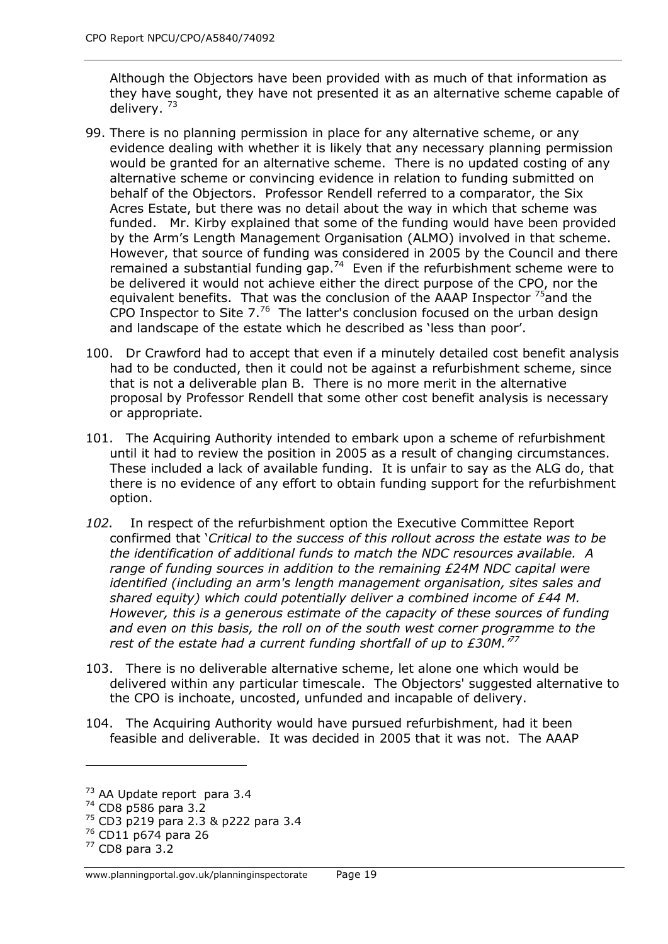Although the Objectors have been provided with as much of that information as they have sought, they have not presented it as an alternative scheme capable of delivery. <sup>73</sup>

- 99. There is no planning permission in place for any alternative scheme, or any evidence dealing with whether it is likely that any necessary planning permission would be granted for an alternative scheme. There is no updated costing of any alternative scheme or convincing evidence in relation to funding submitted on behalf of the Objectors. Professor Rendell referred to a comparator, the Six Acres Estate, but there was no detail about the way in which that scheme was funded. Mr. Kirby explained that some of the funding would have been provided by the Arm's Length Management Organisation (ALMO) involved in that scheme. However, that source of funding was considered in 2005 by the Council and there remained a substantial funding gap.<sup>74</sup> Even if the refurbishment scheme were to be delivered it would not achieve either the direct purpose of the CPO, nor the equivalent benefits. That was the conclusion of the AAAP Inspector  $75$  and the CPO Inspector to Site  $7.^{76}$  The latter's conclusion focused on the urban design and landscape of the estate which he described as 'less than poor'.
- 100. Dr Crawford had to accept that even if a minutely detailed cost benefit analysis had to be conducted, then it could not be against a refurbishment scheme, since that is not a deliverable plan B. There is no more merit in the alternative proposal by Professor Rendell that some other cost benefit analysis is necessary or appropriate.
- 101. The Acquiring Authority intended to embark upon a scheme of refurbishment until it had to review the position in 2005 as a result of changing circumstances. These included a lack of available funding. It is unfair to say as the ALG do, that there is no evidence of any effort to obtain funding support for the refurbishment option.
- *102.* In respect of the refurbishment option the Executive Committee Report confirmed that '*Critical to the success of this rollout across the estate was to be the identification of additional funds to match the NDC resources available. A range of funding sources in addition to the remaining £24M NDC capital were identified (including an arm's length management organisation, sites sales and shared equity) which could potentially deliver a combined income of £44 M. However, this is a generous estimate of the capacity of these sources of funding and even on this basis, the roll on of the south west corner programme to the rest of the estate had a current funding shortfall of up to £30M.' 77*
- 103. There is no deliverable alternative scheme, let alone one which would be delivered within any particular timescale. The Objectors' suggested alternative to the CPO is inchoate, uncosted, unfunded and incapable of delivery.
- 104. The Acquiring Authority would have pursued refurbishment, had it been feasible and deliverable. It was decided in 2005 that it was not. The AAAP

<sup>&</sup>lt;sup>73</sup> AA Update report para 3.4

<sup>74</sup> CD8 p586 para 3.2

<sup>75</sup> CD3 p219 para 2.3 & p222 para 3.4

<sup>76</sup> CD11 p674 para 26

<sup>77</sup> CD8 para 3.2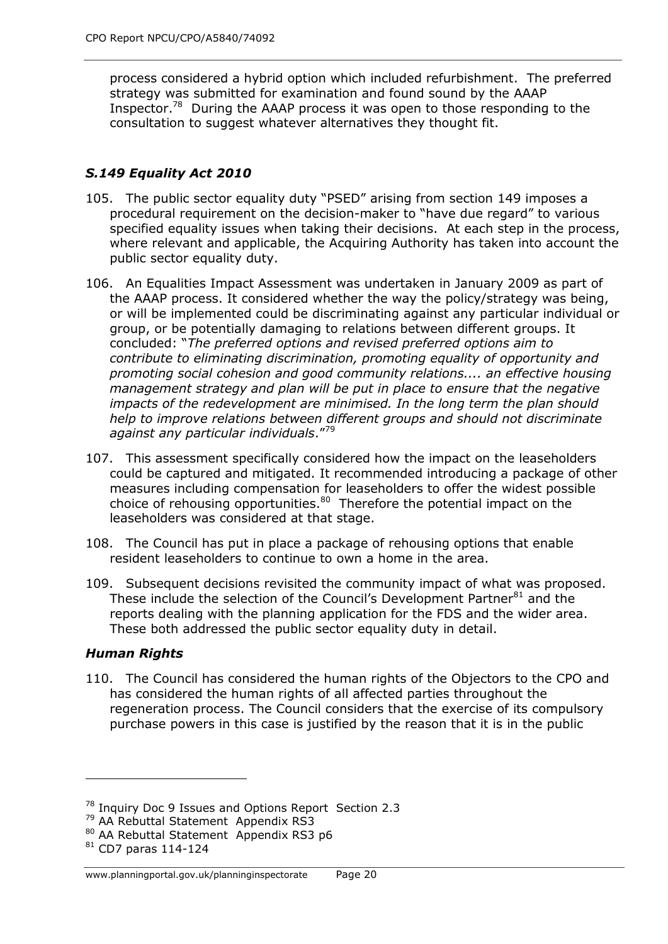process considered a hybrid option which included refurbishment. The preferred strategy was submitted for examination and found sound by the AAAP Inspector.<sup>78</sup> During the AAAP process it was open to those responding to the consultation to suggest whatever alternatives they thought fit.

# *S.149 Equality Act 2010*

- 105. The public sector equality duty "PSED" arising from section 149 imposes a procedural requirement on the decision-maker to "have due regard" to various specified equality issues when taking their decisions. At each step in the process, where relevant and applicable, the Acquiring Authority has taken into account the public sector equality duty.
- 106. An Equalities Impact Assessment was undertaken in January 2009 as part of the AAAP process. It considered whether the way the policy/strategy was being, or will be implemented could be discriminating against any particular individual or group, or be potentially damaging to relations between different groups. It concluded: "*The preferred options and revised preferred options aim to contribute to eliminating discrimination, promoting equality of opportunity and promoting social cohesion and good community relations.... an effective housing management strategy and plan will be put in place to ensure that the negative impacts of the redevelopment are minimised. In the long term the plan should help to improve relations between different groups and should not discriminate against any particular individuals*."<sup>79</sup>
- 107. This assessment specifically considered how the impact on the leaseholders could be captured and mitigated. It recommended introducing a package of other measures including compensation for leaseholders to offer the widest possible choice of rehousing opportunities. $80$  Therefore the potential impact on the leaseholders was considered at that stage.
- 108. The Council has put in place a package of rehousing options that enable resident leaseholders to continue to own a home in the area.
- 109. Subsequent decisions revisited the community impact of what was proposed. These include the selection of the Council's Development Partner<sup>81</sup> and the reports dealing with the planning application for the FDS and the wider area. These both addressed the public sector equality duty in detail.

## *Human Rights*

-

110. The Council has considered the human rights of the Objectors to the CPO and has considered the human rights of all affected parties throughout the regeneration process. The Council considers that the exercise of its compulsory purchase powers in this case is justified by the reason that it is in the public

<sup>&</sup>lt;sup>78</sup> Inquiry Doc 9 Issues and Options Report Section 2.3

<sup>79</sup> AA Rebuttal Statement Appendix RS3

<sup>80</sup> AA Rebuttal Statement Appendix RS3 p6

<sup>81</sup> CD7 paras 114-124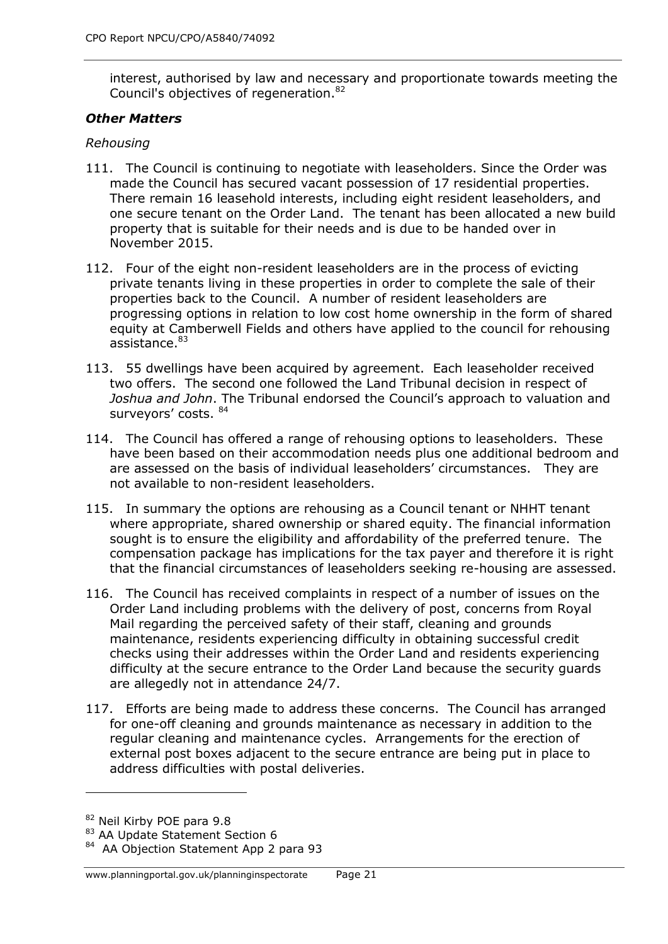interest, authorised by law and necessary and proportionate towards meeting the Council's objectives of regeneration.<sup>82</sup>

#### *Other Matters*

#### *Rehousing*

- 111. The Council is continuing to negotiate with leaseholders. Since the Order was made the Council has secured vacant possession of 17 residential properties. There remain 16 leasehold interests, including eight resident leaseholders, and one secure tenant on the Order Land. The tenant has been allocated a new build property that is suitable for their needs and is due to be handed over in November 2015.
- 112. Four of the eight non-resident leaseholders are in the process of evicting private tenants living in these properties in order to complete the sale of their properties back to the Council. A number of resident leaseholders are progressing options in relation to low cost home ownership in the form of shared equity at Camberwell Fields and others have applied to the council for rehousing assistance.<sup>83</sup>
- 113. 55 dwellings have been acquired by agreement. Each leaseholder received two offers. The second one followed the Land Tribunal decision in respect of *Joshua and John*. The Tribunal endorsed the Council's approach to valuation and surveyors' costs. <sup>84</sup>
- 114. The Council has offered a range of rehousing options to leaseholders. These have been based on their accommodation needs plus one additional bedroom and are assessed on the basis of individual leaseholders' circumstances. They are not available to non-resident leaseholders.
- 115. In summary the options are rehousing as a Council tenant or NHHT tenant where appropriate, shared ownership or shared equity. The financial information sought is to ensure the eligibility and affordability of the preferred tenure. The compensation package has implications for the tax payer and therefore it is right that the financial circumstances of leaseholders seeking re-housing are assessed.
- 116. The Council has received complaints in respect of a number of issues on the Order Land including problems with the delivery of post, concerns from Royal Mail regarding the perceived safety of their staff, cleaning and grounds maintenance, residents experiencing difficulty in obtaining successful credit checks using their addresses within the Order Land and residents experiencing difficulty at the secure entrance to the Order Land because the security guards are allegedly not in attendance 24/7.
- 117. Efforts are being made to address these concerns. The Council has arranged for one-off cleaning and grounds maintenance as necessary in addition to the regular cleaning and maintenance cycles. Arrangements for the erection of external post boxes adjacent to the secure entrance are being put in place to address difficulties with postal deliveries.

<sup>82</sup> Neil Kirby POE para 9.8

<sup>83</sup> AA Update Statement Section 6

<sup>&</sup>lt;sup>84</sup> AA Objection Statement App 2 para 93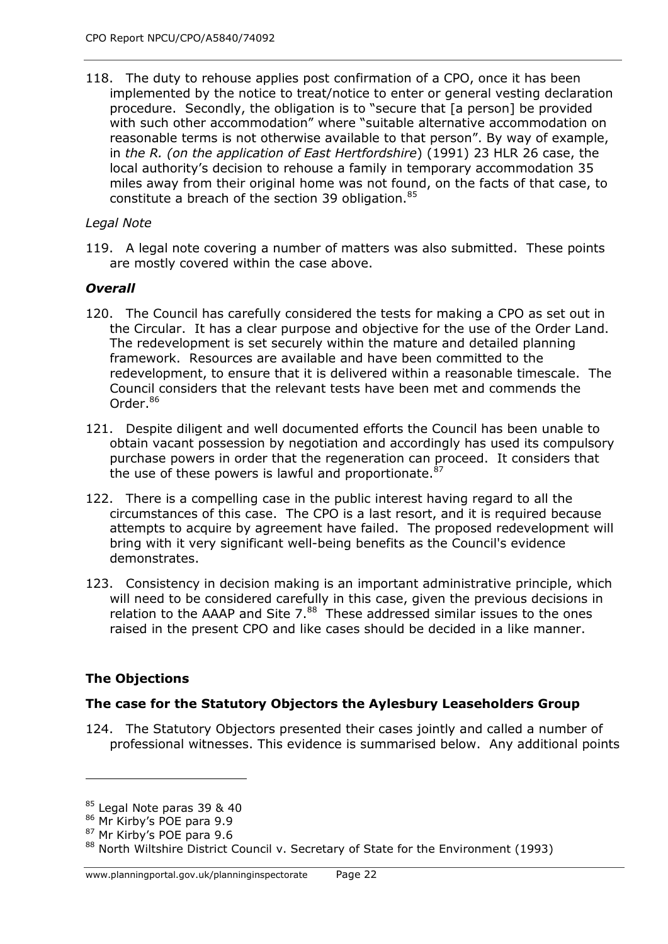118. The duty to rehouse applies post confirmation of a CPO, once it has been implemented by the notice to treat/notice to enter or general vesting declaration procedure. Secondly, the obligation is to "secure that [a person] be provided with such other accommodation" where "suitable alternative accommodation on reasonable terms is not otherwise available to that person". By way of example, in *the R. (on the application of East Hertfordshire*) (1991) 23 HLR 26 case, the local authority's decision to rehouse a family in temporary accommodation 35 miles away from their original home was not found, on the facts of that case, to constitute a breach of the section 39 obligation.<sup>85</sup>

#### *Legal Note*

119. A legal note covering a number of matters was also submitted. These points are mostly covered within the case above.

#### *Overall*

- 120. The Council has carefully considered the tests for making a CPO as set out in the Circular. It has a clear purpose and objective for the use of the Order Land. The redevelopment is set securely within the mature and detailed planning framework. Resources are available and have been committed to the redevelopment, to ensure that it is delivered within a reasonable timescale. The Council considers that the relevant tests have been met and commends the Order.<sup>86</sup>
- 121. Despite diligent and well documented efforts the Council has been unable to obtain vacant possession by negotiation and accordingly has used its compulsory purchase powers in order that the regeneration can proceed. It considers that the use of these powers is lawful and proportionate. $87$
- 122. There is a compelling case in the public interest having regard to all the circumstances of this case. The CPO is a last resort, and it is required because attempts to acquire by agreement have failed. The proposed redevelopment will bring with it very significant well-being benefits as the Council's evidence demonstrates.
- 123. Consistency in decision making is an important administrative principle, which will need to be considered carefully in this case, given the previous decisions in relation to the AAAP and Site  $7.^{88}$  These addressed similar issues to the ones raised in the present CPO and like cases should be decided in a like manner.

## **The Objections**

-

#### **The case for the Statutory Objectors the Aylesbury Leaseholders Group**

124. The Statutory Objectors presented their cases jointly and called a number of professional witnesses. This evidence is summarised below. Any additional points

<sup>85</sup> Legal Note paras 39 & 40

<sup>86</sup> Mr Kirby's POE para 9.9

<sup>87</sup> Mr Kirby's POE para 9.6

<sup>88</sup> North Wiltshire District Council v. Secretary of State for the Environment (1993)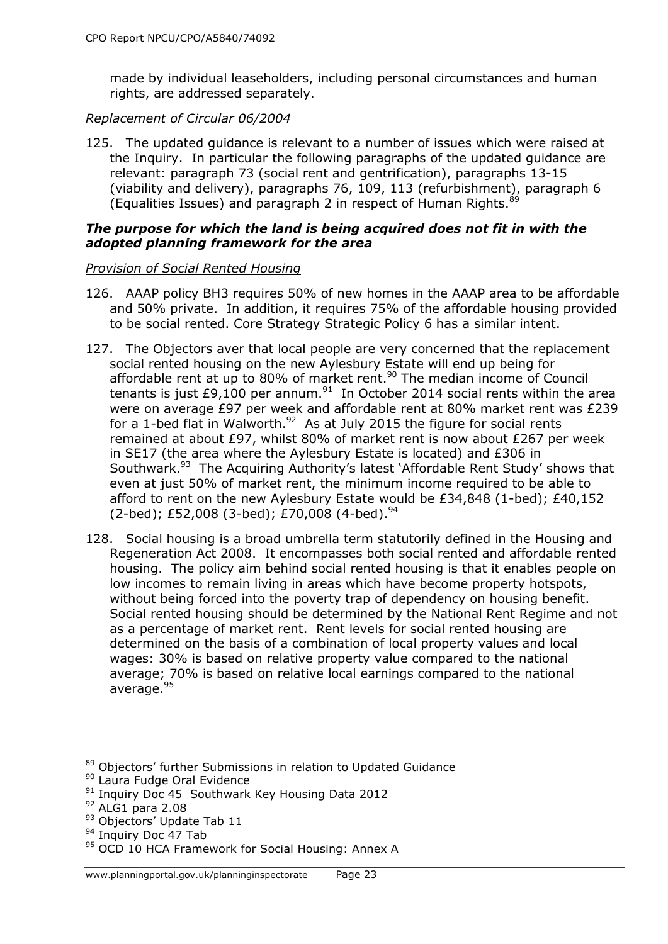made by individual leaseholders, including personal circumstances and human rights, are addressed separately.

#### *Replacement of Circular 06/2004*

125. The updated guidance is relevant to a number of issues which were raised at the Inquiry. In particular the following paragraphs of the updated guidance are relevant: paragraph 73 (social rent and gentrification), paragraphs 13-15 (viability and delivery), paragraphs 76, 109, 113 (refurbishment), paragraph 6 (Equalities Issues) and paragraph 2 in respect of Human Rights.  $89$ 

#### *The purpose for which the land is being acquired does not fit in with the adopted planning framework for the area*

#### *Provision of Social Rented Housing*

- 126. AAAP policy BH3 requires 50% of new homes in the AAAP area to be affordable and 50% private. In addition, it requires 75% of the affordable housing provided to be social rented. Core Strategy Strategic Policy 6 has a similar intent.
- 127. The Objectors aver that local people are very concerned that the replacement social rented housing on the new Aylesbury Estate will end up being for affordable rent at up to 80% of market rent.<sup>90</sup> The median income of Council tenants is just £9,100 per annum.<sup>91</sup> In October 2014 social rents within the area were on average £97 per week and affordable rent at 80% market rent was £239 for a 1-bed flat in Walworth.<sup>92</sup> As at July 2015 the figure for social rents remained at about £97, whilst 80% of market rent is now about £267 per week in SE17 (the area where the Aylesbury Estate is located) and £306 in Southwark.<sup>93</sup> The Acquiring Authority's latest `Affordable Rent Study' shows that even at just 50% of market rent, the minimum income required to be able to afford to rent on the new Aylesbury Estate would be £34,848 (1-bed); £40,152  $(2-bed)$ ; £52,008 (3-bed); £70,008 (4-bed).<sup>94</sup>
- 128. Social housing is a broad umbrella term statutorily defined in the Housing and Regeneration Act 2008. It encompasses both social rented and affordable rented housing. The policy aim behind [social rented housing](http://www.theguardian.com/society/social-housing) is that it enables people on low incomes to remain living in areas which have become property hotspots, without being forced into the poverty trap of dependency on housing benefit. Social rented housing should be determined by the National Rent Regime and not as a percentage of market rent. Rent levels for social rented housing are determined on the basis of a combination of local property values and local wages: 30% is based on relative property value compared to the national average; 70% is based on relative local earnings compared to the national average.<sup>95</sup>

<sup>89</sup> Objectors' further Submissions in relation to Updated Guidance

<sup>90</sup> Laura Fudge Oral Evidence

<sup>&</sup>lt;sup>91</sup> Inquiry Doc 45 Southwark Key Housing Data 2012

 $92$  ALG1 para 2.08

<sup>93</sup> Objectors' Update Tab 11

<sup>&</sup>lt;sup>94</sup> Inquiry Doc 47 Tab

<sup>95</sup> OCD 10 HCA Framework for Social Housing: Annex A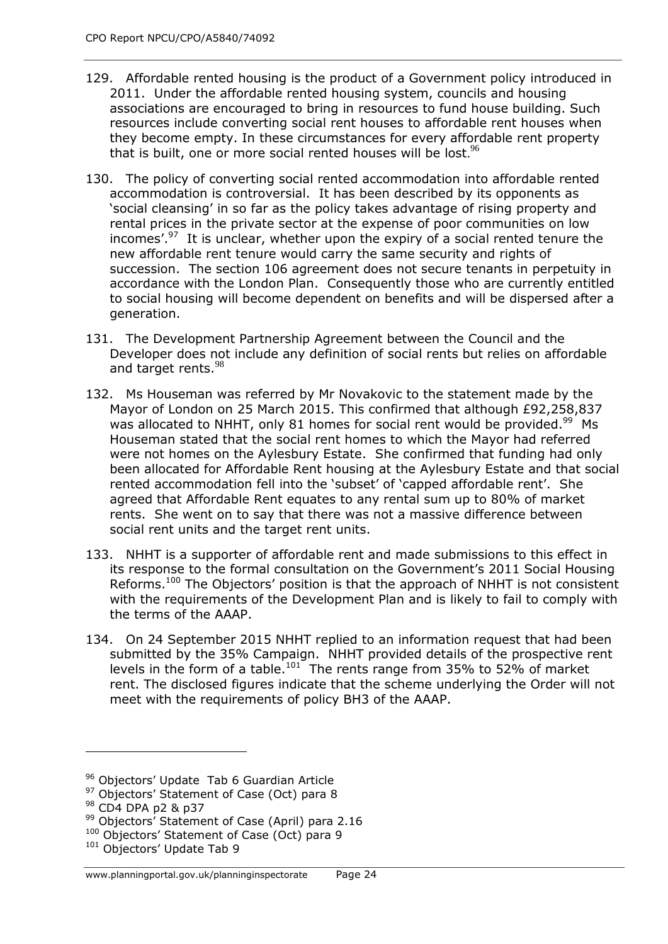- 129. Affordable rented housing is the product of a Government policy introduced in 2011. Under the affordable rented housing system, councils and housing associations are encouraged to bring in resources to fund house building. Such resources include converting social rent houses to affordable rent houses when they become empty. In these circumstances for every affordable rent property that is built, one or more social rented houses will be lost. $96$
- 130. The policy of converting social rented accommodation into affordable rented accommodation is controversial. It has been described by its opponents as 'social cleansing' in so far as the policy takes advantage of rising property and rental prices in the private sector at the expense of poor communities on low incomes'.<sup>97</sup> It is unclear, whether upon the expiry of a social rented tenure the new affordable rent tenure would carry the same security and rights of succession. The section 106 agreement does not secure tenants in perpetuity in accordance with the London Plan. Consequently those who are currently entitled to social housing will become dependent on benefits and will be dispersed after a generation.
- 131. The Development Partnership Agreement between the Council and the Developer does not include any definition of social rents but relies on affordable and target rents.<sup>98</sup>
- 132. Ms Houseman was referred by Mr Novakovic to the statement made by the Mayor of London on 25 March 2015. This confirmed that although £92,258,837 was allocated to NHHT, only 81 homes for social rent would be provided.<sup>99</sup> Ms Houseman stated that the social rent homes to which the Mayor had referred were not homes on the Aylesbury Estate. She confirmed that funding had only been allocated for Affordable Rent housing at the Aylesbury Estate and that social rented accommodation fell into the 'subset' of 'capped affordable rent'. She agreed that Affordable Rent equates to any rental sum up to 80% of market rents. She went on to say that there was not a massive difference between social rent units and the target rent units.
- 133. NHHT is a supporter of affordable rent and made submissions to this effect in its response to the formal consultation on the Government's 2011 Social Housing Reforms.<sup>100</sup> The Objectors' position is that the approach of NHHT is not consistent with the requirements of the Development Plan and is likely to fail to comply with the terms of the AAAP.
- 134. On 24 September 2015 NHHT replied to an [information request](http://35percent.org/images/Letter_KateDavies_NHHT_Aylesbury_Redevelopment.pdf) that had been submitted by the 35% Campaign. NHHT provided details of the prospective rent levels in the form of a table.<sup>101</sup> The rents range from 35% to 52% of market rent. The disclosed figures indicate that the scheme underlying the Order will not meet with the requirements of policy BH3 of the AAAP.

<sup>96</sup> Objectors' Update Tab 6 Guardian Article

<sup>&</sup>lt;sup>97</sup> Objectors' Statement of Case (Oct) para 8

<sup>98</sup> CD4 DPA p2 & p37

<sup>99</sup> Objectors' Statement of Case (April) para 2.16

<sup>&</sup>lt;sup>100</sup> Objectors' Statement of Case (Oct) para 9

<sup>&</sup>lt;sup>101</sup> Objectors' Update Tab 9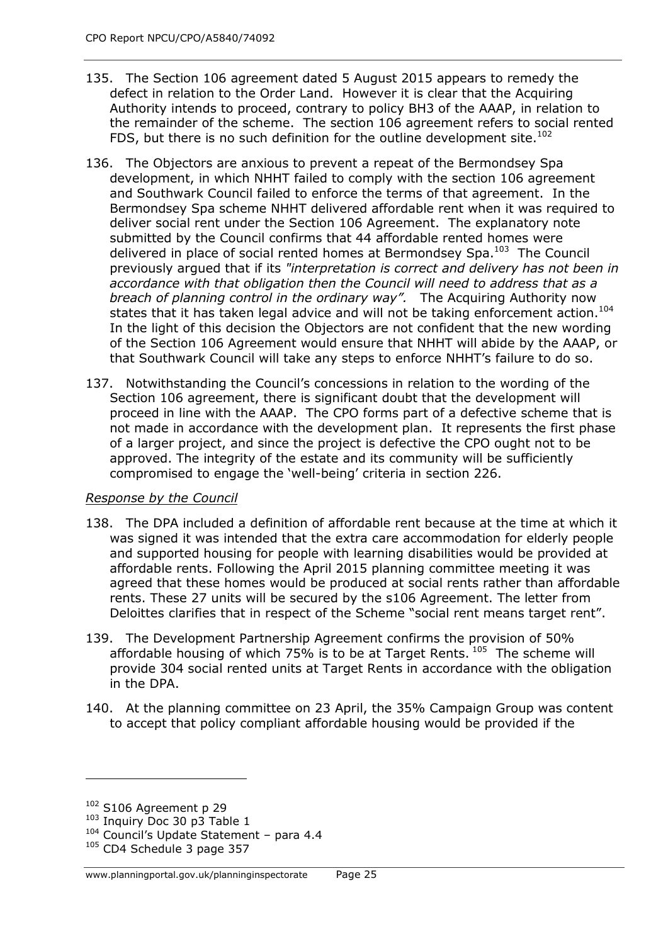- 135. The Section 106 agreement dated 5 August 2015 appears to remedy the defect in relation to the Order Land. However it is clear that the Acquiring Authority intends to proceed, contrary to policy BH3 of the AAAP, in relation to the remainder of the scheme. The section 106 agreement refers to social rented FDS, but there is no such definition for the outline development site.<sup>102</sup>
- 136. The Objectors are anxious to prevent a repeat of the Bermondsey Spa development, in which NHHT failed to comply with the section 106 agreement and Southwark Council failed to enforce the terms of that agreement. In the Bermondsey Spa scheme NHHT delivered affordable rent when it was required to deliver social rent under the Section 106 Agreement. The explanatory note submitted by the Council confirms that 44 affordable rented homes were delivered in place of social rented homes at Bermondsey Spa.<sup>103</sup> The Council previously argued that if its *"interpretation is correct and delivery has not been in*  accordance with that obligation then the Council will need to address that as a *breach of planning control in the ordinary way".* The Acquiring Authority now states that it has taken legal advice and will not be taking enforcement action.<sup>104</sup> In the light of this decision the Objectors are not confident that the new wording of the Section 106 Agreement would ensure that NHHT will abide by the AAAP, or that Southwark Council will take any steps to enforce NHHT's failure to do so.
- 137. Notwithstanding the Council's concessions in relation to the wording of the Section 106 agreement, there is significant doubt that the development will proceed in line with the AAAP. The CPO forms part of a defective scheme that is not made in accordance with the development plan. It represents the first phase of a larger project, and since the project is defective the CPO ought not to be approved. The integrity of the estate and its community will be sufficiently compromised to engage the 'well-being' criteria in section 226.

## *Response by the Council*

- 138. The DPA included a definition of affordable rent because at the time at which it was signed it was intended that the extra care accommodation for elderly people and supported housing for people with learning disabilities would be provided at affordable rents. Following the April 2015 planning committee meeting it was agreed that these homes would be produced at social rents rather than affordable rents. These 27 units will be secured by the s106 Agreement. The letter from Deloittes clarifies that in respect of the Scheme "social rent means target rent".
- 139. The Development Partnership Agreement confirms the provision of 50% affordable housing of which 75% is to be at Target Rents.  $105$  The scheme will provide 304 social rented units at Target Rents in accordance with the obligation in the DPA.
- 140. At the planning committee on 23 April, the 35% Campaign Group was content to accept that policy compliant affordable housing would be provided if the

 $102$  S106 Agreement p 29

<sup>103</sup> Inquiry Doc 30 p3 Table 1

<sup>104</sup> Council's Update Statement - para 4.4

<sup>105</sup> CD4 Schedule 3 page 357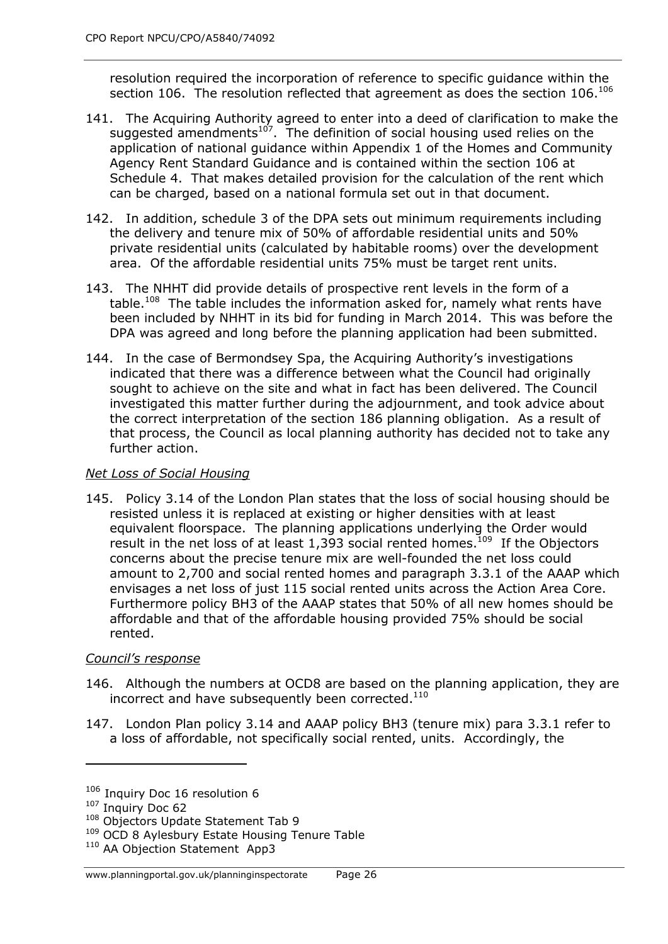resolution required the incorporation of reference to specific guidance within the section 106. The resolution reflected that agreement as does the section  $106.^{106}$ 

- 141. The Acquiring Authority agreed to enter into a deed of clarification to make the suggested amendments $^{107}$ . The definition of social housing used relies on the application of national guidance within Appendix 1 of the Homes and Community Agency Rent Standard Guidance and is contained within the section 106 at Schedule 4. That makes detailed provision for the calculation of the rent which can be charged, based on a national formula set out in that document.
- 142. In addition, schedule 3 of the DPA sets out minimum requirements including the delivery and tenure mix of 50% of affordable residential units and 50% private residential units (calculated by habitable rooms) over the development area. Of the affordable residential units 75% must be target rent units.
- 143. The NHHT did provide details of prospective rent levels in the form of a table.<sup>108</sup> The table includes the information asked for, namely what rents have been included by NHHT in its bid for funding in March 2014. This was before the DPA was agreed and long before the planning application had been submitted.
- 144. In the case of Bermondsey Spa, the Acquiring Authority's investigations indicated that there was a difference between what the Council had originally sought to achieve on the site and what in fact has been delivered. The Council investigated this matter further during the adjournment, and took advice about the correct interpretation of the section 186 planning obligation. As a result of that process, the Council as local planning authority has decided not to take any further action.

#### *Net Loss of Social Housing*

145. Policy 3.14 of the London Plan states that the loss of social housing should be resisted unless it is replaced at existing or higher densities with at least equivalent floorspace. The planning applications underlying the Order would result in the net loss of at least  $1,393$  social rented homes.<sup>109</sup> If the Objectors concerns about the precise tenure mix are well-founded the net loss could amount to 2,700 and social rented homes and paragraph 3.3.1 of the AAAP which envisages a net loss of just 115 social rented units across the Action Area Core. Furthermore policy BH3 of the AAAP states that 50% of all new homes should be affordable and that of the affordable housing provided 75% should be social rented.

#### *Council's response*

- 146. Although the numbers at OCD8 are based on the planning application, they are incorrect and have subsequently been corrected. $110$
- 147. London Plan policy 3.14 and AAAP policy BH3 (tenure mix) para 3.3.1 refer to a loss of affordable, not specifically social rented, units. Accordingly, the

<sup>106</sup> Inquiry Doc 16 resolution 6

<sup>107</sup> Inquiry Doc 62

<sup>108</sup> Objectors Update Statement Tab 9

<sup>&</sup>lt;sup>109</sup> OCD 8 Aylesbury Estate Housing Tenure Table

<sup>&</sup>lt;sup>110</sup> AA Objection Statement App3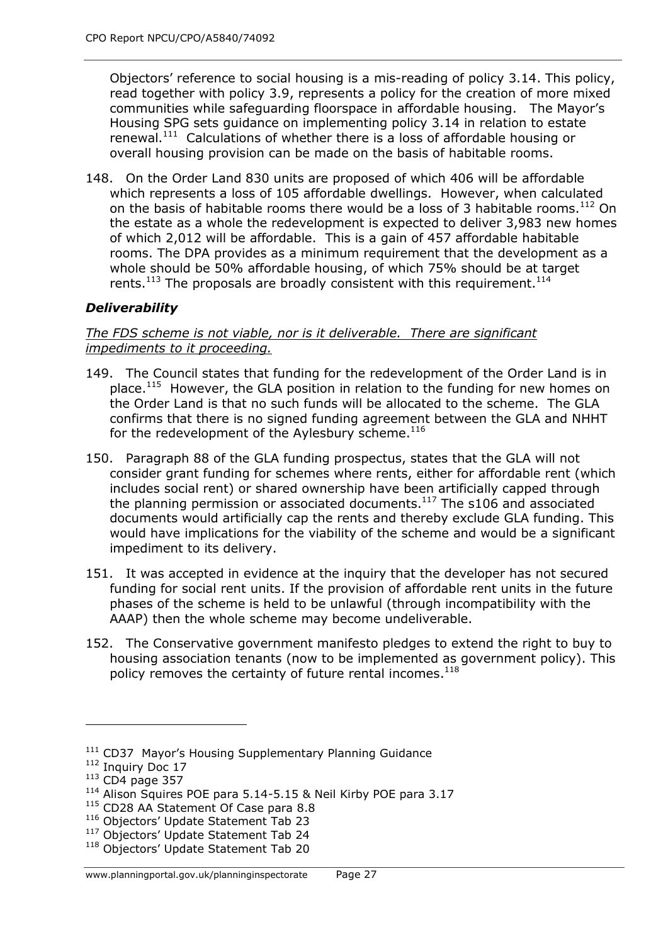Objectors' reference to social housing is a mis-reading of policy 3.14. This policy, read together with policy 3.9, represents a policy for the creation of more mixed communities while safeguarding floorspace in affordable housing. The Mayor's Housing SPG sets guidance on implementing policy 3.14 in relation to estate renewal.<sup>111</sup> Calculations of whether there is a loss of affordable housing or overall housing provision can be made on the basis of habitable rooms.

148. On the Order Land 830 units are proposed of which 406 will be affordable which represents a loss of 105 affordable dwellings. However, when calculated on the basis of habitable rooms there would be a loss of 3 habitable rooms.<sup>112</sup> On the estate as a whole the redevelopment is expected to deliver 3,983 new homes of which 2,012 will be affordable. This is a gain of 457 affordable habitable rooms. The DPA provides as a minimum requirement that the development as a whole should be 50% affordable housing, of which 75% should be at target rents.<sup>113</sup> The proposals are broadly consistent with this requirement.<sup>114</sup>

# *Deliverability*

#### *The FDS scheme is not viable, nor is it deliverable. There are significant impediments to it proceeding.*

- 149. The Council states that funding for the redevelopment of the Order Land is in place.<sup>115</sup> However, the GLA position in relation to the funding for new homes on the Order Land is that no such funds will be allocated to the scheme. The GLA confirms that there is no signed funding agreement between the GLA and NHHT for the redevelopment of the Aylesbury scheme.<sup>116</sup>
- 150. Paragraph 88 of the GLA funding prospectus, states that the GLA will not consider grant funding for schemes where rents, either for affordable rent (which includes social rent) or shared ownership have been artificially capped through the planning permission or associated documents. $117$  The s106 and associated documents would artificially cap the rents and thereby exclude GLA funding. This would have implications for the viability of the scheme and would be a significant impediment to its delivery.
- 151. It was accepted in evidence at the inquiry that the developer has not secured funding for social rent units. If the provision of affordable rent units in the future phases of the scheme is held to be unlawful (through incompatibility with the AAAP) then the whole scheme may become undeliverable.
- 152. The Conservative government manifesto pledges to extend the right to buy to housing association tenants (now to be implemented as government policy). This policy removes the certainty of future rental incomes.<sup>118</sup>

<sup>&</sup>lt;sup>111</sup> CD37 Mayor's Housing Supplementary Planning Guidance

<sup>&</sup>lt;sup>112</sup> Inquiry Doc 17

<sup>113</sup> CD4 page 357

<sup>&</sup>lt;sup>114</sup> Alison Squires POE para 5.14-5.15 & Neil Kirby POE para 3.17

<sup>&</sup>lt;sup>115</sup> CD28 AA Statement Of Case para 8.8

<sup>116</sup> Objectors' Update Statement Tab 23

<sup>&</sup>lt;sup>117</sup> Objectors' Update Statement Tab 24

<sup>118</sup> Objectors' Update Statement Tab 20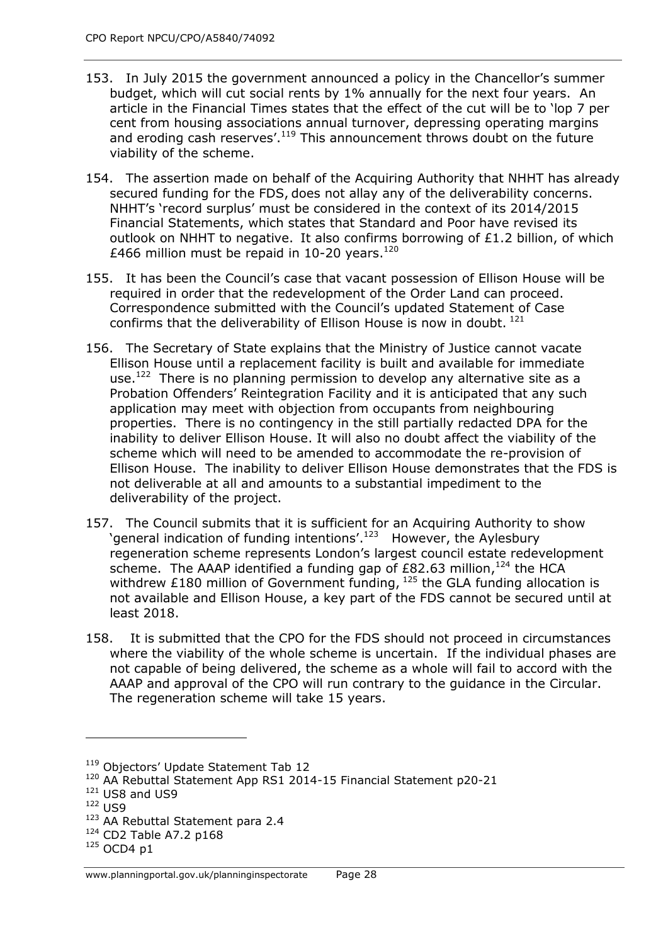- 153. In July 2015 the government announced a policy in the Chancellor's summer budget, which will cut social rents by 1% annually for the next four years. An article in the Financial Times states that the effect of the cut will be to 'lop 7 per cent from housing associations annual turnover, depressing operating margins and eroding cash reserves'.<sup>119</sup> This announcement throws doubt on the future viability of the scheme.
- 154. The assertion made on behalf of the Acquiring Authority that NHHT has already secured funding for the FDS, does not allay any of the deliverability concerns. NHHT's 'record surplus' must be considered in the context of its 2014/2015 Financial Statements, which states that Standard and Poor have revised its outlook on NHHT to negative. It also confirms borrowing of £1.2 billion, of which £466 million must be repaid in 10-20 years.<sup>120</sup>
- 155. It has been the Council's case that vacant possession of Ellison House will be required in order that the redevelopment of the Order Land can proceed. Correspondence submitted with the Council's updated Statement of Case confirms that the deliverability of Ellison House is now in doubt. <sup>121</sup>
- 156. The Secretary of State explains that the Ministry of Justice cannot vacate Ellison House until a replacement facility is built and available for immediate use.<sup>122</sup> There is no planning permission to develop any alternative site as a Probation Offenders' Reintegration Facility and it is anticipated that any such application may meet with objection from occupants from neighbouring properties. There is no contingency in the still partially redacted DPA for the inability to deliver Ellison House. It will also no doubt affect the viability of the scheme which will need to be amended to accommodate the re-provision of Ellison House. The inability to deliver Ellison House demonstrates that the FDS is not deliverable at all and amounts to a substantial impediment to the deliverability of the project.
- 157. The Council submits that it is sufficient for an Acquiring Authority to show 'general indication of funding intentions'.<sup>123</sup> However, the Aylesbury regeneration scheme represents London's largest council estate redevelopment scheme. The AAAP identified a funding gap of  $E$ 82.63 million,<sup>124</sup> the HCA withdrew £180 million of Government funding,  $^{125}$  the GLA funding allocation is not available and Ellison House, a key part of the FDS cannot be secured until at least 2018.
- 158. It is submitted that the CPO for the FDS should not proceed in circumstances where the viability of the whole scheme is uncertain. If the individual phases are not capable of being delivered, the scheme as a whole will fail to accord with the AAAP and approval of the CPO will run contrary to the guidance in the Circular. The regeneration scheme will take 15 years.

<sup>119</sup> Objectors' Update Statement Tab 12

<sup>120</sup> AA Rebuttal Statement App RS1 2014-15 Financial Statement p20-21

 $121$  US8 and US9

<sup>122</sup> US9

<sup>&</sup>lt;sup>123</sup> AA Rebuttal Statement para 2.4

<sup>124</sup> CD2 Table A7.2 p168

 $125$  OCD4 p1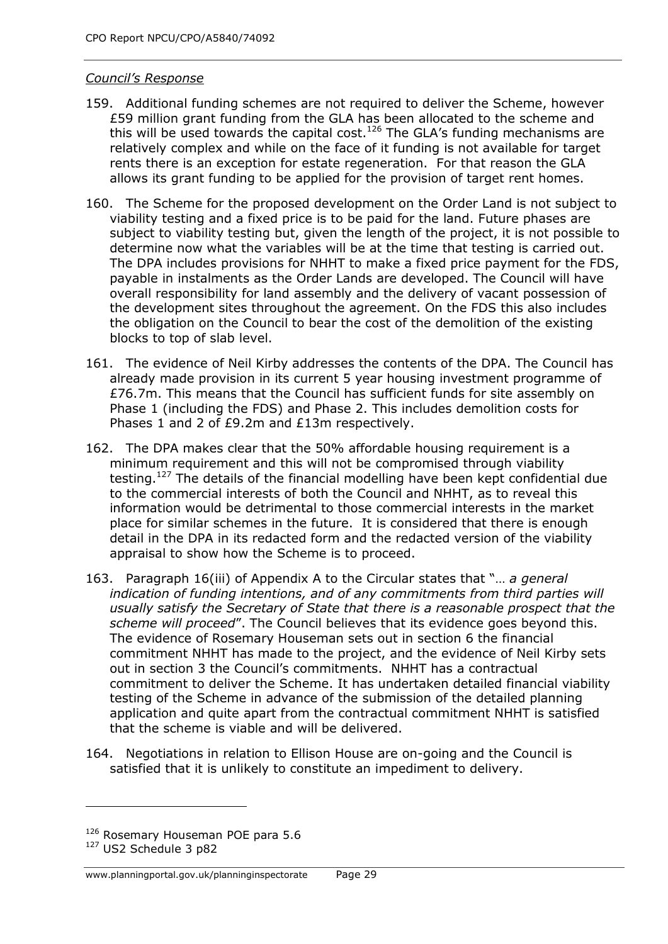## *Council's Response*

- 159. Additional funding schemes are not required to deliver the Scheme, however £59 million grant funding from the GLA has been allocated to the scheme and this will be used towards the capital cost.<sup>126</sup> The GLA's funding mechanisms are relatively complex and while on the face of it funding is not available for target rents there is an exception for estate regeneration. For that reason the GLA allows its grant funding to be applied for the provision of target rent homes.
- 160. The Scheme for the proposed development on the Order Land is not subject to viability testing and a fixed price is to be paid for the land. Future phases are subject to viability testing but, given the length of the project, it is not possible to determine now what the variables will be at the time that testing is carried out. The DPA includes provisions for NHHT to make a fixed price payment for the FDS, payable in instalments as the Order Lands are developed. The Council will have overall responsibility for land assembly and the delivery of vacant possession of the development sites throughout the agreement. On the FDS this also includes the obligation on the Council to bear the cost of the demolition of the existing blocks to top of slab level.
- 161. The evidence of Neil Kirby addresses the contents of the DPA. The Council has already made provision in its current 5 year housing investment programme of £76.7m. This means that the Council has sufficient funds for site assembly on Phase 1 (including the FDS) and Phase 2. This includes demolition costs for Phases 1 and 2 of £9.2m and £13m respectively.
- 162. The DPA makes clear that the 50% affordable housing requirement is a minimum requirement and this will not be compromised through viability testing.<sup>127</sup> The details of the financial modelling have been kept confidential due to the commercial interests of both the Council and NHHT, as to reveal this information would be detrimental to those commercial interests in the market place for similar schemes in the future. It is considered that there is enough detail in the DPA in its redacted form and the redacted version of the viability appraisal to show how the Scheme is to proceed.
- 163. Paragraph 16(iii) of Appendix A to the Circular states that "… *a general*  indication of funding intentions, and of any commitments from third parties will *usually satisfy the Secretary of State that there is a reasonable prospect that the scheme will proceed*". The Council believes that its evidence goes beyond this. The evidence of Rosemary Houseman sets out in section 6 the financial commitment NHHT has made to the project, and the evidence of Neil Kirby sets out in section 3 the Council's commitments. NHHT has a contractual commitment to deliver the Scheme. It has undertaken detailed financial viability testing of the Scheme in advance of the submission of the detailed planning application and quite apart from the contractual commitment NHHT is satisfied that the scheme is viable and will be delivered.
- 164. Negotiations in relation to Ellison House are on-going and the Council is satisfied that it is unlikely to constitute an impediment to delivery.

<sup>&</sup>lt;sup>126</sup> Rosemary Houseman POE para 5.6

<sup>127</sup> US2 Schedule 3 p82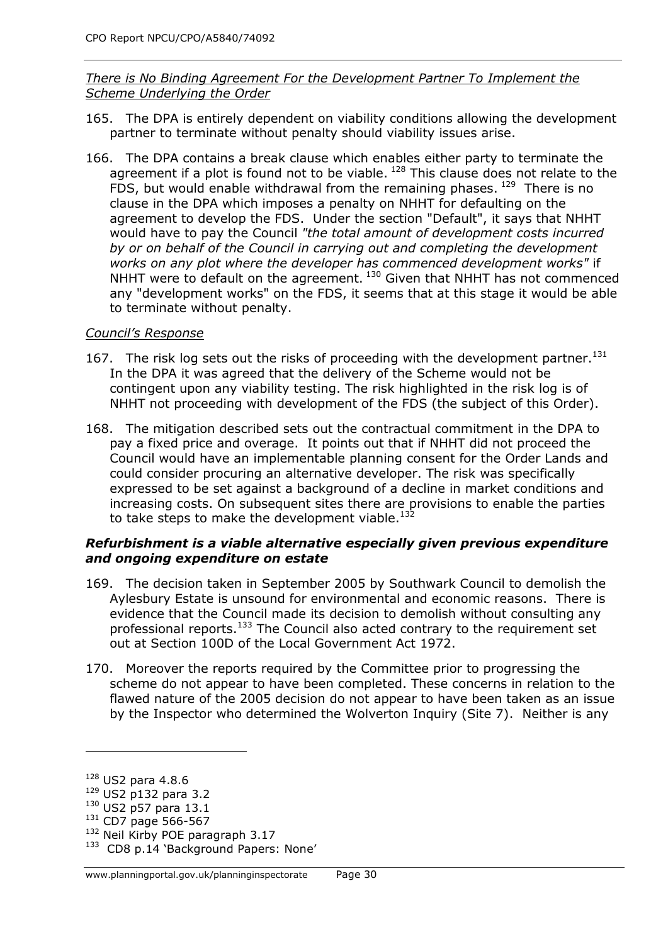## *There is No Binding Agreement For the Development Partner To Implement the Scheme Underlying the Order*

- 165. The DPA is entirely dependent on viability conditions allowing the development partner to terminate without penalty should viability issues arise.
- 166. The DPA contains a break clause which enables either party to terminate the agreement if a plot is found not to be viable.  $^{128}$  This clause does not relate to the FDS, but would enable withdrawal from the remaining phases.  $129$  There is no clause in the DPA which imposes a penalty on NHHT for defaulting on the agreement to develop the FDS. Under the section "Default", it says that NHHT would have to pay the Council *"the total amount of development costs incurred by or on behalf of the Council in carrying out and completing the development works on any plot where the developer has commenced development works"* if NHHT were to default on the agreement.<sup>130</sup> Given that NHHT has not commenced any "development works" on the FDS, it seems that at this stage it would be able to terminate without penalty.

#### *Council's Response*

- 167. The risk log sets out the risks of proceeding with the development partner.<sup>131</sup> In the DPA it was agreed that the delivery of the Scheme would not be contingent upon any viability testing. The risk highlighted in the risk log is of NHHT not proceeding with development of the FDS (the subject of this Order).
- 168. The mitigation described sets out the contractual commitment in the DPA to pay a fixed price and overage. It points out that if NHHT did not proceed the Council would have an implementable planning consent for the Order Lands and could consider procuring an alternative developer. The risk was specifically expressed to be set against a background of a decline in market conditions and increasing costs. On subsequent sites there are provisions to enable the parties to take steps to make the development viable. $^{132}$

## *Refurbishment is a viable alternative especially given previous expenditure and ongoing expenditure on estate*

- 169. The decision taken in September 2005 by Southwark Council to demolish the Aylesbury Estate is unsound for environmental and economic reasons. There is evidence that the Council made its decision to demolish without consulting any professional reports.<sup>133</sup> The Council also acted contrary to the requirement set out at Section 100D of the Local Government Act 1972.
- 170. Moreover the reports required by the Committee prior to progressing the scheme do not appear to have been completed. These concerns in relation to the flawed nature of the 2005 decision do not appear to have been taken as an issue by the Inspector who determined the Wolverton Inquiry (Site 7). Neither is any

<sup>128</sup> US2 para 4.8.6

<sup>129</sup> US2 p132 para 3.2

<sup>130</sup> US2 p57 para 13.1

<sup>131</sup> CD7 page 566-567

<sup>132</sup> Neil Kirby POE paragraph 3.17

<sup>&</sup>lt;sup>133</sup> CD8 p.14 'Background Papers: None'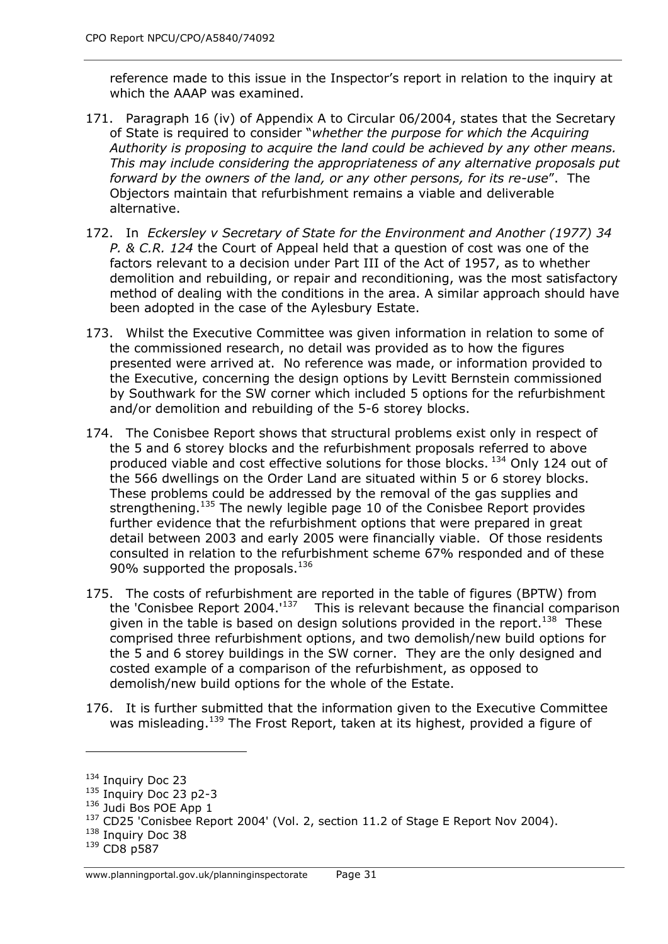reference made to this issue in the Inspector's report in relation to the inquiry at which the AAAP was examined.

- 171. Paragraph 16 (iv) of Appendix A to Circular 06/2004, states that the Secretary of State is required to consider "*whether the purpose for which the Acquiring Authority is proposing to acquire the land could be achieved by any other means. This may include considering the appropriateness of any alternative proposals put forward by the owners of the land, or any other persons, for its re-use*". The Objectors maintain that refurbishment remains a viable and deliverable alternative.
- 172. In *Eckersley v Secretary of State for the Environment and Another (1977) 34 P. & C.R. 124* the Court of Appeal held that a question of cost was one of the factors relevant to a decision under Part III of the Act of 1957, as to whether demolition and rebuilding, or repair and reconditioning, was the most satisfactory method of dealing with the conditions in the area. A similar approach should have been adopted in the case of the Aylesbury Estate.
- 173. Whilst the Executive Committee was given information in relation to some of the commissioned research, no detail was provided as to how the figures presented were arrived at. No reference was made, or information provided to the Executive, concerning the design options by Levitt Bernstein commissioned by Southwark for the SW corner which included 5 options for the refurbishment and/or demolition and rebuilding of the 5-6 storey blocks.
- 174. The Conisbee Report shows that structural problems exist only in respect of the 5 and 6 storey blocks and the refurbishment proposals referred to above produced viable and cost effective solutions for those blocks. <sup>134</sup> Only 124 out of the 566 dwellings on the Order Land are situated within 5 or 6 storey blocks. These problems could be addressed by the removal of the gas supplies and strengthening.<sup>135</sup> The newly legible page 10 of the Conisbee Report provides further evidence that the refurbishment options that were prepared in great detail between 2003 and early 2005 were financially viable. Of those residents consulted in relation to the refurbishment scheme 67% responded and of these 90% supported the proposals.<sup>136</sup>
- 175. The costs of refurbishment are reported in the table of figures (BPTW) from the 'Conisbee Report 2004.<sup>137</sup> This is relevant because the financial comparison given in the table is based on design solutions provided in the report.<sup>138</sup> These comprised three refurbishment options, and two demolish/new build options for the 5 and 6 storey buildings in the SW corner. They are the only designed and costed example of a comparison of the refurbishment, as opposed to demolish/new build options for the whole of the Estate.
- 176. It is further submitted that the information given to the Executive Committee was misleading.<sup>139</sup> The Frost Report, taken at its highest, provided a figure of

<sup>&</sup>lt;sup>134</sup> Inquiry Doc 23

<sup>&</sup>lt;sup>135</sup> Inquiry Doc 23 p2-3

<sup>136</sup> Judi Bos POE App 1

<sup>&</sup>lt;sup>137</sup> CD25 'Conisbee Report 2004' (Vol. 2, section 11.2 of Stage E Report Nov 2004).

<sup>138</sup> Inquiry Doc 38

<sup>139</sup> CD8 p587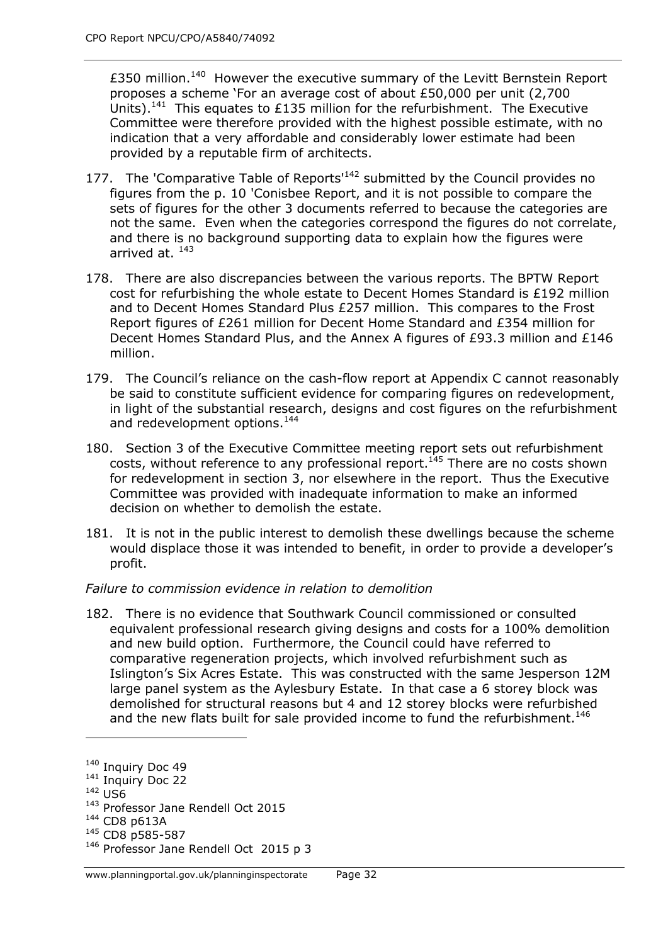£350 million.<sup>140</sup> However the executive summary of the Levitt Bernstein Report proposes a scheme 'For an average cost of about £50,000 per unit (2,700 Units).<sup>141</sup> This equates to £135 million for the refurbishment. The Executive Committee were therefore provided with the highest possible estimate, with no indication that a very affordable and considerably lower estimate had been provided by a reputable firm of architects.

- 177. The 'Comparative Table of Reports<sup>142</sup> submitted by the Council provides no figures from the p. 10 'Conisbee Report, and it is not possible to compare the sets of figures for the other 3 documents referred to because the categories are not the same. Even when the categories correspond the figures do not correlate, and there is no background supporting data to explain how the figures were arrived at. <sup>143</sup>
- 178. There are also discrepancies between the various reports. The BPTW Report cost for refurbishing the whole estate to Decent Homes Standard is £192 million and to Decent Homes Standard Plus £257 million. This compares to the Frost Report figures of £261 million for Decent Home Standard and £354 million for Decent Homes Standard Plus, and the Annex A figures of £93.3 million and £146 million.
- 179. The Council's reliance on the cash-flow report at Appendix C cannot reasonably be said to constitute sufficient evidence for comparing figures on redevelopment, in light of the substantial research, designs and cost figures on the refurbishment and redevelopment options.<sup>144</sup>
- 180. Section 3 of the Executive Committee meeting report sets out refurbishment costs, without reference to any professional report.<sup>145</sup> There are no costs shown for redevelopment in section 3, nor elsewhere in the report. Thus the Executive Committee was provided with inadequate information to make an informed decision on whether to demolish the estate.
- 181. It is not in the public interest to demolish these dwellings because the scheme would displace those it was intended to benefit, in order to provide a developer's profit.

#### *Failure to commission evidence in relation to demolition*

182. There is no evidence that Southwark Council commissioned or consulted equivalent professional research giving designs and costs for a 100% demolition and new build option. Furthermore, the Council could have referred to comparative regeneration projects, which involved refurbishment such as Islington's Six Acres Estate. This was constructed with the same Jesperson 12M large panel system as the Aylesbury Estate. In that case a 6 storey block was demolished for structural reasons but 4 and 12 storey blocks were refurbished and the new flats built for sale provided income to fund the refurbishment.<sup>146</sup>

<sup>&</sup>lt;sup>140</sup> Inquiry Doc 49

 $141$  Inquiry Doc 22

<sup>142</sup> US6

<sup>143</sup> Professor Jane Rendell Oct 2015

<sup>144</sup> CD8 p613A

<sup>&</sup>lt;sup>145</sup> CD8 p585-587

<sup>&</sup>lt;sup>146</sup> Professor Jane Rendell Oct 2015 p 3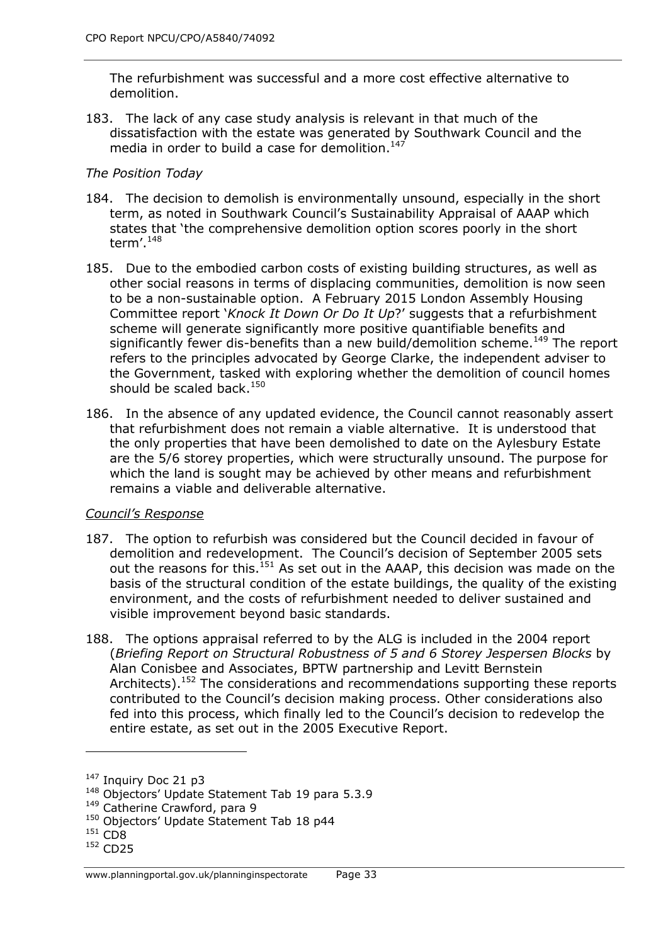The refurbishment was successful and a more cost effective alternative to demolition.

183. The lack of any case study analysis is relevant in that much of the dissatisfaction with the estate was generated by Southwark Council and the media in order to build a case for demolition. 147

## *The Position Today*

- 184. The decision to demolish is environmentally unsound, especially in the short term, as noted in Southwark Council's Sustainability Appraisal of AAAP which states that 'the comprehensive demolition option scores poorly in the short term'.<sup>148</sup>
- 185. Due to the embodied carbon costs of existing building structures, as well as other social reasons in terms of displacing communities, demolition is now seen to be a non-sustainable option. A February 2015 London Assembly Housing Committee report '*Knock It Down Or Do It Up*?' suggests that a refurbishment scheme will generate significantly more positive quantifiable benefits and significantly fewer dis-benefits than a new build/demolition scheme.<sup>149</sup> The report refers to the principles advocated by George Clarke, the independent adviser to the Government, tasked with exploring whether the demolition of council homes should be scaled back. $150$
- 186. In the absence of any updated evidence, the Council cannot reasonably assert that refurbishment does not remain a viable alternative. It is understood that the only properties that have been demolished to date on the Aylesbury Estate are the 5/6 storey properties, which were structurally unsound. The purpose for which the land is sought may be achieved by other means and refurbishment remains a viable and deliverable alternative.

## *Council's Response*

- 187. The option to refurbish was considered but the Council decided in favour of demolition and redevelopment. The Council's decision of September 2005 sets out the reasons for this.<sup>151</sup> As set out in the AAAP, this decision was made on the basis of the structural condition of the estate buildings, the quality of the existing environment, and the costs of refurbishment needed to deliver sustained and visible improvement beyond basic standards.
- 188. The options appraisal referred to by the ALG is included in the 2004 report (*Briefing Report on Structural Robustness of 5 and 6 Storey Jespersen Blocks* by Alan Conisbee and Associates, BPTW partnership and Levitt Bernstein Architects).<sup>152</sup> The considerations and recommendations supporting these reports contributed to the Council's decision making process. Other considerations also fed into this process, which finally led to the Council's decision to redevelop the entire estate, as set out in the 2005 Executive Report.

<sup>&</sup>lt;sup>147</sup> Inquiry Doc 21 p3

<sup>&</sup>lt;sup>148</sup> Objectors' Update Statement Tab 19 para 5.3.9

<sup>149</sup> Catherine Crawford, para 9

<sup>&</sup>lt;sup>150</sup> Objectors' Update Statement Tab 18 p44

<sup>151</sup> CD8

<sup>152</sup> CD25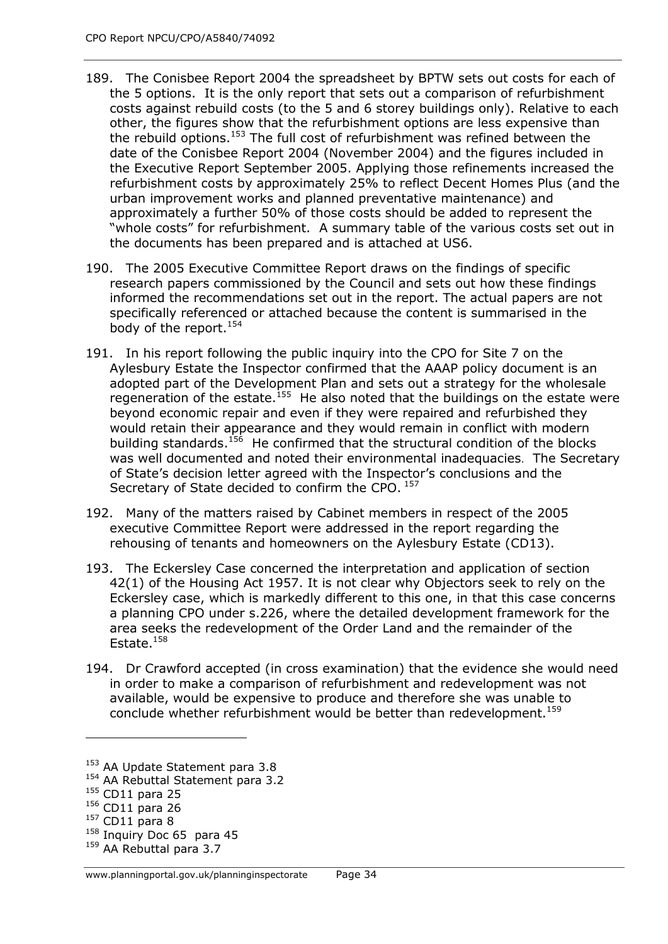- 189. The Conisbee Report 2004 the spreadsheet by BPTW sets out costs for each of the 5 options. It is the only report that sets out a comparison of refurbishment costs against rebuild costs (to the 5 and 6 storey buildings only). Relative to each other, the figures show that the refurbishment options are less expensive than the rebuild options.<sup>153</sup> The full cost of refurbishment was refined between the date of the Conisbee Report 2004 (November 2004) and the figures included in the Executive Report September 2005. Applying those refinements increased the refurbishment costs by approximately 25% to reflect Decent Homes Plus (and the urban improvement works and planned preventative maintenance) and approximately a further 50% of those costs should be added to represent the "whole costs" for refurbishment. A summary table of the various costs set out in the documents has been prepared and is attached at US6.
- 190. The 2005 Executive Committee Report draws on the findings of specific research papers commissioned by the Council and sets out how these findings informed the recommendations set out in the report. The actual papers are not specifically referenced or attached because the content is summarised in the body of the report.<sup>154</sup>
- 191. In his report following the public inquiry into the CPO for Site 7 on the Aylesbury Estate the Inspector confirmed that the AAAP policy document is an adopted part of the Development Plan and sets out a strategy for the wholesale regeneration of the estate.<sup>155</sup> He also noted that the buildings on the estate were beyond economic repair and even if they were repaired and refurbished they would retain their appearance and they would remain in conflict with modern building standards.<sup>156</sup> He confirmed that the structural condition of the blocks was well documented and noted their environmental inadequacies. The Secretary of State's decision letter agreed with the Inspector's conclusions and the Secretary of State decided to confirm the CPO. 157
- 192. Many of the matters raised by Cabinet members in respect of the 2005 executive Committee Report were addressed in the report regarding the rehousing of tenants and homeowners on the Aylesbury Estate (CD13).
- 193. The Eckersley Case concerned the interpretation and application of section 42(1) of the Housing Act 1957. It is not clear why Objectors seek to rely on the Eckersley case, which is markedly different to this one, in that this case concerns a planning CPO under s.226, where the detailed development framework for the area seeks the redevelopment of the Order Land and the remainder of the Estate.<sup>158</sup>
- 194. Dr Crawford accepted (in cross examination) that the evidence she would need in order to make a comparison of refurbishment and redevelopment was not available, would be expensive to produce and therefore she was unable to conclude whether refurbishment would be better than redevelopment.<sup>159</sup>

<sup>&</sup>lt;sup>153</sup> AA Update Statement para 3.8

<sup>&</sup>lt;sup>154</sup> AA Rebuttal Statement para 3.2

<sup>&</sup>lt;sup>155</sup> CD11 para 25

<sup>156</sup> CD11 para 26

<sup>157</sup> CD11 para 8

<sup>&</sup>lt;sup>158</sup> Inquiry Doc 65 para 45

<sup>&</sup>lt;sup>159</sup> AA Rebuttal para 3.7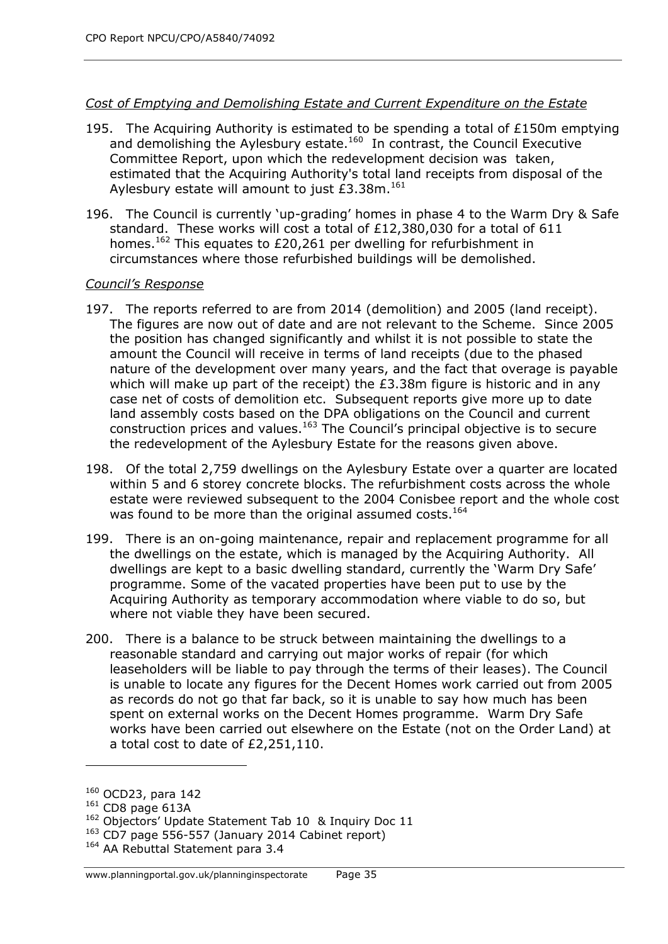## *Cost of Emptying and Demolishing Estate and Current Expenditure on the Estate*

- 195. The Acquiring Authority is estimated to be spending a total of £150m emptying and demolishing the Aylesbury estate.<sup>160</sup> In contrast, the Council Executive Committee Report, upon which the redevelopment decision was taken, estimated that the Acquiring Authority's total land receipts from disposal of the Aylesbury estate will amount to just £3.38m. $^{161}$
- 196. The Council is currently 'up-grading' homes in phase 4 to the Warm Dry & Safe standard. These works will cost a total of £12,380,030 for a total of 611 homes.<sup>162</sup> This equates to £20,261 per dwelling for refurbishment in circumstances where those refurbished buildings will be demolished.

#### *Council's Response*

- 197. The reports referred to are from 2014 (demolition) and 2005 (land receipt). The figures are now out of date and are not relevant to the Scheme. Since 2005 the position has changed significantly and whilst it is not possible to state the amount the Council will receive in terms of land receipts (due to the phased nature of the development over many years, and the fact that overage is payable which will make up part of the receipt) the £3.38m figure is historic and in any case net of costs of demolition etc. Subsequent reports give more up to date land assembly costs based on the DPA obligations on the Council and current construction prices and values.<sup>163</sup> The Council's principal objective is to secure the redevelopment of the Aylesbury Estate for the reasons given above.
- 198. Of the total 2,759 dwellings on the Aylesbury Estate over a quarter are located within 5 and 6 storey concrete blocks. The refurbishment costs across the whole estate were reviewed subsequent to the 2004 Conisbee report and the whole cost was found to be more than the original assumed costs.<sup>164</sup>
- 199. There is an on-going maintenance, repair and replacement programme for all the dwellings on the estate, which is managed by the Acquiring Authority. All dwellings are kept to a basic dwelling standard, currently the 'Warm Dry Safe' programme. Some of the vacated properties have been put to use by the Acquiring Authority as temporary accommodation where viable to do so, but where not viable they have been secured.
- 200. There is a balance to be struck between maintaining the dwellings to a reasonable standard and carrying out major works of repair (for which leaseholders will be liable to pay through the terms of their leases). The Council is unable to locate any figures for the Decent Homes work carried out from 2005 as records do not go that far back, so it is unable to say how much has been spent on external works on the Decent Homes programme. Warm Dry Safe works have been carried out elsewhere on the Estate (not on the Order Land) at a total cost to date of £2,251,110.

<sup>160</sup> OCD23, para 142

 $161$  CD8 page 613A

<sup>&</sup>lt;sup>162</sup> Objectors' Update Statement Tab 10 & Inquiry Doc 11

<sup>&</sup>lt;sup>163</sup> CD7 page 556-557 (January 2014 Cabinet report)

<sup>&</sup>lt;sup>164</sup> AA Rebuttal Statement para 3.4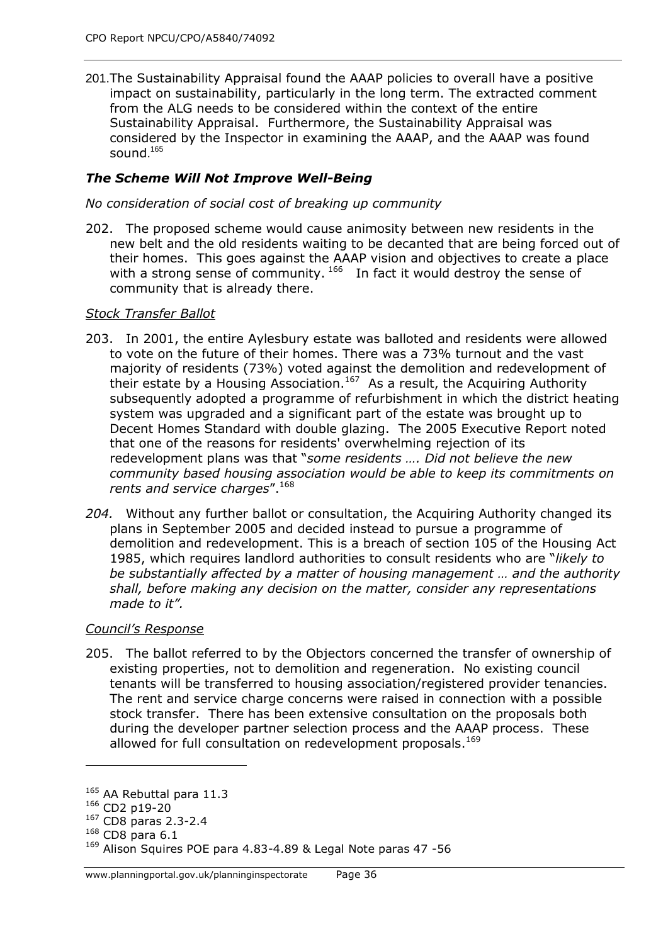201.The Sustainability Appraisal found the AAAP policies to overall have a positive impact on sustainability, particularly in the long term. The extracted comment from the ALG needs to be considered within the context of the entire Sustainability Appraisal. Furthermore, the Sustainability Appraisal was considered by the Inspector in examining the AAAP, and the AAAP was found sound. 165

### *The Scheme Will Not Improve Well-Being*

#### *No consideration of social cost of breaking up community*

202. The proposed scheme would cause animosity between new residents in the new belt and the old residents waiting to be decanted that are being forced out of their homes. This goes against the AAAP vision and objectives to create a place with a strong sense of community.  $166$  In fact it would destroy the sense of community that is already there.

#### *Stock Transfer Ballot*

- 203. In 2001, the entire Aylesbury estate was balloted and residents were allowed to vote on the future of their homes. There was a 73% turnout and the vast majority of residents (73%) voted against the demolition and redevelopment of their estate by a Housing Association.<sup>167</sup> As a result, the Acquiring Authority subsequently adopted a programme of refurbishment in which the district heating system was upgraded and a significant part of the estate was brought up to Decent Homes Standard with double glazing. The 2005 Executive Report noted that one of the reasons for residents' overwhelming rejection of its redevelopment plans was that "*some residents …. Did not believe the new community based housing association would be able to keep its commitments on rents and service charges*". 168
- *204.* Without any further ballot or consultation, the Acquiring Authority changed its plans in September 2005 and decided instead to pursue a programme of demolition and redevelopment. This is a breach of section 105 of the Housing Act 1985, which requires landlord authorities to consult residents who are "*likely to be substantially affected by a matter of housing management … and the authority shall, before making any decision on the matter, consider any representations made to it".*

#### *Council's Response*

205. The ballot referred to by the Objectors concerned the transfer of ownership of existing properties, not to demolition and regeneration. No existing council tenants will be transferred to housing association/registered provider tenancies. The rent and service charge concerns were raised in connection with a possible stock transfer. There has been extensive consultation on the proposals both during the developer partner selection process and the AAAP process. These allowed for full consultation on redevelopment proposals.<sup>169</sup>

 $\overline{a}$ 

<sup>&</sup>lt;sup>165</sup> AA Rebuttal para 11.3

<sup>166</sup> CD2 p19-20

<sup>167</sup> CD8 paras 2.3-2.4

<sup>168</sup> CD8 para 6.1

<sup>&</sup>lt;sup>169</sup> Alison Squires POE para 4.83-4.89 & Legal Note paras 47 -56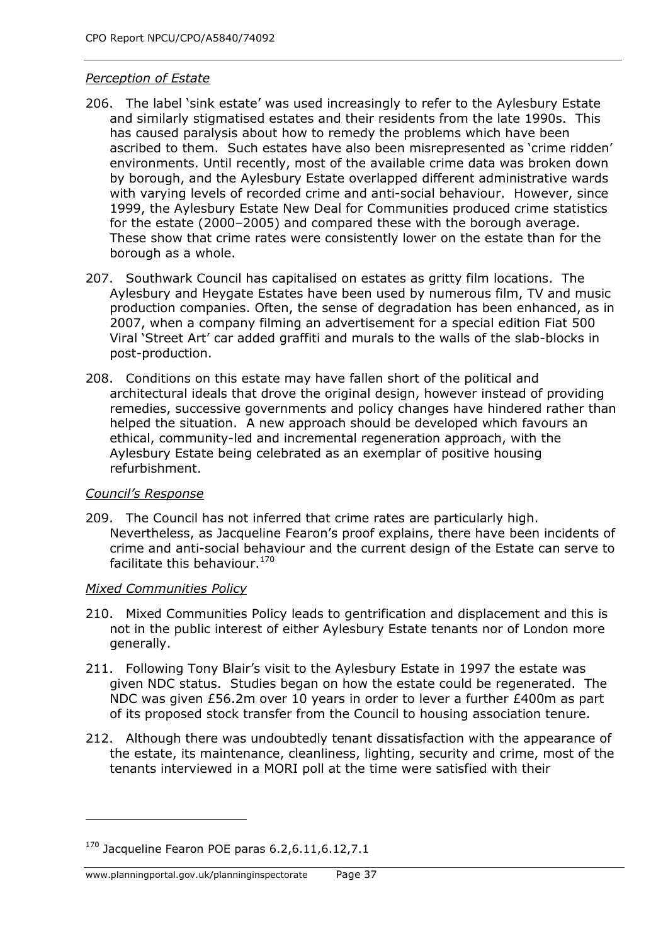### *Perception of Estate*

- 206. The label 'sink estate' was used increasingly to refer to the Aylesbury Estate and similarly stigmatised estates and their residents from the late 1990s. This has caused paralysis about how to remedy the problems which have been ascribed to them. Such estates have also been misrepresented as 'crime ridden' environments. Until recently, most of the available crime data was broken down by borough, and the Aylesbury Estate overlapped different administrative wards with varying levels of recorded crime and anti-social behaviour. However, since 1999, the Aylesbury Estate New Deal for Communities produced crime statistics for the estate (2000–2005) and compared these with the borough average. These show that crime rates were consistently lower on the estate than for the borough as a whole.
- 207. Southwark Council has capitalised on estates as gritty film locations. The Aylesbury and Heygate Estates have been used by numerous film, TV and music production companies. Often, the sense of degradation has been enhanced, as in 2007, when a company filming an advertisement for a special edition Fiat 500 Viral 'Street Art' car added graffiti and murals to the walls of the slab-blocks in post-production.
- 208. Conditions on this estate may have fallen short of the political and architectural ideals that drove the original design, however instead of providing remedies, successive governments and policy changes have hindered rather than helped the situation. A new approach should be developed which favours an ethical, community-led and incremental regeneration approach, with the Aylesbury Estate being celebrated as an exemplar of positive housing refurbishment.

### *Council's Response*

j

209. The Council has not inferred that crime rates are particularly high. Nevertheless, as Jacqueline Fearon's proof explains, there have been incidents of crime and anti-social behaviour and the current design of the Estate can serve to facilitate this behaviour.<sup>170</sup>

### *Mixed Communities Policy*

- 210. Mixed Communities Policy leads to gentrification and displacement and this is not in the public interest of either Aylesbury Estate tenants nor of London more generally.
- 211. Following Tony Blair's visit to the Aylesbury Estate in 1997 the estate was given NDC status. Studies began on how the estate could be regenerated. The NDC was given £56.2m over 10 years in order to lever a further £400m as part of its proposed stock transfer from the Council to housing association tenure.
- 212. Although there was undoubtedly tenant dissatisfaction with the appearance of the estate, its maintenance, cleanliness, lighting, security and crime, most of the tenants interviewed in a MORI poll at the time were satisfied with their

 $170$  Jacqueline Fearon POE paras 6.2,6.11,6.12,7.1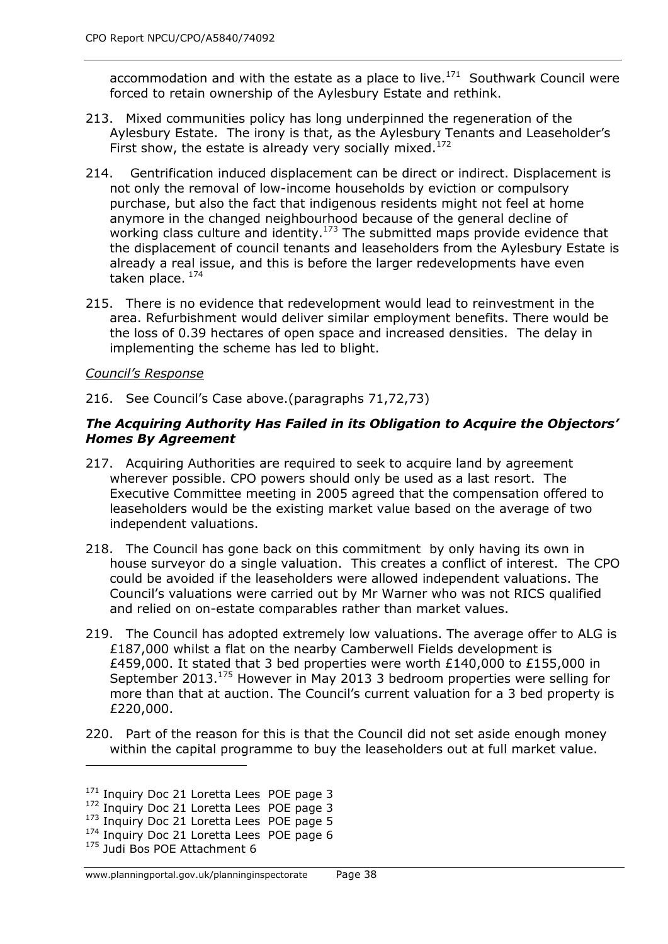accommodation and with the estate as a place to live. $^{171}$  Southwark Council were forced to retain ownership of the Aylesbury Estate and rethink.

- 213. Mixed communities policy has long underpinned the regeneration of the Aylesbury Estate. The irony is that, as the Aylesbury Tenants and Leaseholder's First show, the estate is already very socially mixed. $^{172}$
- 214. Gentrification induced displacement can be direct or indirect. Displacement is not only the removal of low-income households by eviction or compulsory purchase, but also the fact that indigenous residents might not feel at home anymore in the changed neighbourhood because of the general decline of working class culture and identity. $173$  The submitted maps provide evidence that the displacement of council tenants and leaseholders from the Aylesbury Estate is already a real issue, and this is before the larger redevelopments have even taken place. 174
- 215. There is no evidence that redevelopment would lead to reinvestment in the area. Refurbishment would deliver similar employment benefits. There would be the loss of 0.39 hectares of open space and increased densities. The delay in implementing the scheme has led to blight.

### *Council's Response*

216. See Council's Case above.(paragraphs 71,72,73)

### *The Acquiring Authority Has Failed in its Obligation to Acquire the Objectors' Homes By Agreement*

- 217. Acquiring Authorities are required to seek to acquire land by agreement wherever possible. CPO powers should only be used as a last resort. The Executive Committee meeting in 2005 agreed that the compensation offered to leaseholders would be the existing market value based on the average of two independent valuations.
- 218. The Council has gone back on this commitment by only having its own in house surveyor do a single valuation. This creates a conflict of interest. The CPO could be avoided if the leaseholders were allowed independent valuations. The Council's valuations were carried out by Mr Warner who was not RICS qualified and relied on on-estate comparables rather than market values.
- 219. The Council has adopted extremely low valuations. The average offer to ALG is £187,000 whilst a flat on the nearby Camberwell Fields development is £459,000. It stated that 3 bed properties were worth £140,000 to £155,000 in September 2013.<sup>175</sup> However in May 2013 3 bedroom properties were selling for more than that at auction. The Council's current valuation for a 3 bed property is £220,000.
- 220. Part of the reason for this is that the Council did not set aside enough money within the capital programme to buy the leaseholders out at full market value.

 $\overline{a}$ 

<sup>&</sup>lt;sup>171</sup> Inquiry Doc 21 Loretta Lees POE page 3

<sup>&</sup>lt;sup>172</sup> Inquiry Doc 21 Loretta Lees POE page 3

<sup>173</sup> Inquiry Doc 21 Loretta Lees POE page 5

<sup>&</sup>lt;sup>174</sup> Inquiry Doc 21 Loretta Lees POE page 6

<sup>&</sup>lt;sup>175</sup> Judi Bos POE Attachment 6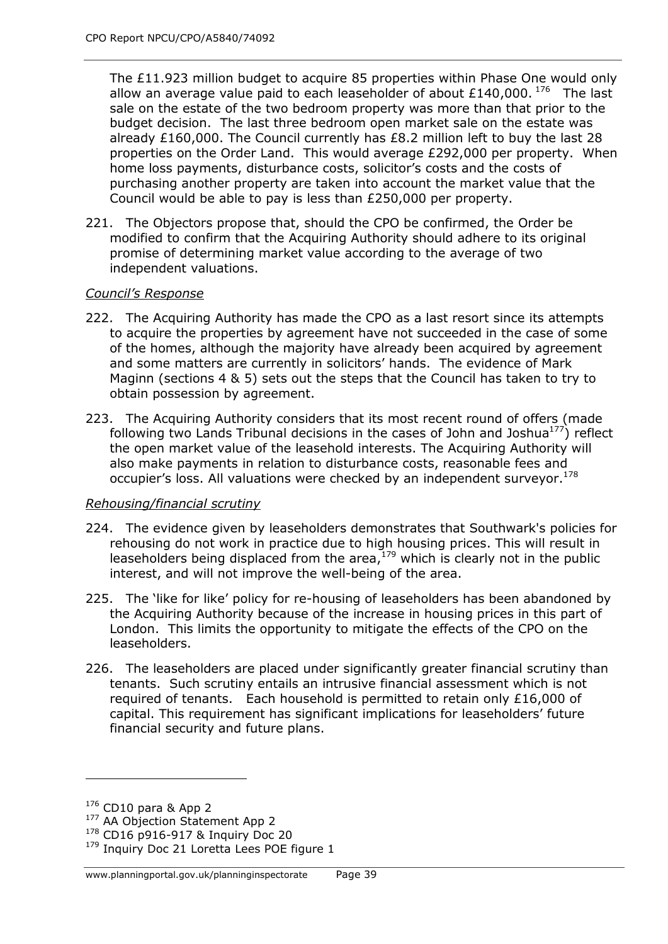The £11.923 million budget to acquire 85 properties within Phase One would only allow an average value paid to each leaseholder of about  $£140,000$ .  $^{176}$  The last sale on the estate of the two bedroom property was more than that prior to the budget decision. The last three bedroom open market sale on the estate was already £160,000. The Council currently has £8.2 million left to buy the last 28 properties on the Order Land. This would average £292,000 per property. When home loss payments, disturbance costs, solicitor's costs and the costs of purchasing another property are taken into account the market value that the Council would be able to pay is less than £250,000 per property.

221. The Objectors propose that, should the CPO be confirmed, the Order be modified to confirm that the Acquiring Authority should adhere to its original promise of determining market value according to the average of two independent valuations.

### *Council's Response*

- 222. The Acquiring Authority has made the CPO as a last resort since its attempts to acquire the properties by agreement have not succeeded in the case of some of the homes, although the majority have already been acquired by agreement and some matters are currently in solicitors' hands. The evidence of Mark Maginn (sections 4 & 5) sets out the steps that the Council has taken to try to obtain possession by agreement.
- 223. The Acquiring Authority considers that its most recent round of offers (made following two Lands Tribunal decisions in the cases of John and Joshua $177$ ) reflect the open market value of the leasehold interests. The Acquiring Authority will also make payments in relation to disturbance costs, reasonable fees and occupier's loss. All valuations were checked by an independent surveyor.<sup>178</sup>

### *Rehousing/financial scrutiny*

- 224. The evidence given by leaseholders demonstrates that Southwark's policies for rehousing do not work in practice due to high housing prices. This will result in leaseholders being displaced from the area, $^{179}$  which is clearly not in the public interest, and will not improve the well-being of the area.
- 225. The 'like for like' policy for re-housing of leaseholders has been abandoned by the Acquiring Authority because of the increase in housing prices in this part of London. This limits the opportunity to mitigate the effects of the CPO on the leaseholders.
- 226. The leaseholders are placed under significantly greater financial scrutiny than tenants. Such scrutiny entails an intrusive financial assessment which is not required of tenants. Each household is permitted to retain only £16,000 of capital. This requirement has significant implications for leaseholders' future financial security and future plans.

 $176$  CD10 para & App 2

<sup>177</sup> AA Objection Statement App 2

<sup>178</sup> CD16 p916-917 & Inquiry Doc 20

<sup>&</sup>lt;sup>179</sup> Inquiry Doc 21 Loretta Lees POE figure 1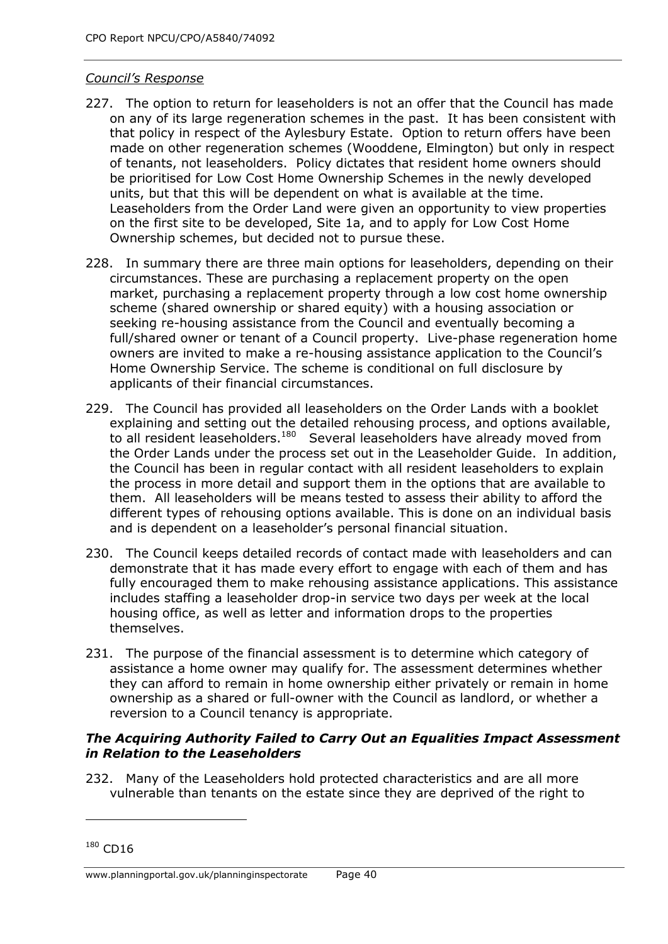### *Council's Response*

- 227. The option to return for leaseholders is not an offer that the Council has made on any of its large regeneration schemes in the past. It has been consistent with that policy in respect of the Aylesbury Estate. Option to return offers have been made on other regeneration schemes (Wooddene, Elmington) but only in respect of tenants, not leaseholders. Policy dictates that resident home owners should be prioritised for Low Cost Home Ownership Schemes in the newly developed units, but that this will be dependent on what is available at the time. Leaseholders from the Order Land were given an opportunity to view properties on the first site to be developed, Site 1a, and to apply for Low Cost Home Ownership schemes, but decided not to pursue these.
- 228. In summary there are three main options for leaseholders, depending on their circumstances. These are purchasing a replacement property on the open market, purchasing a replacement property through a low cost home ownership scheme (shared ownership or shared equity) with a housing association or seeking re-housing assistance from the Council and eventually becoming a full/shared owner or tenant of a Council property. Live-phase regeneration home owners are invited to make a re-housing assistance application to the Council's Home Ownership Service. The scheme is conditional on full disclosure by applicants of their financial circumstances.
- 229. The Council has provided all leaseholders on the Order Lands with a booklet explaining and setting out the detailed rehousing process, and options available, to all resident leaseholders.<sup>180</sup> Several leaseholders have already moved from the Order Lands under the process set out in the Leaseholder Guide. In addition, the Council has been in regular contact with all resident leaseholders to explain the process in more detail and support them in the options that are available to them. All leaseholders will be means tested to assess their ability to afford the different types of rehousing options available. This is done on an individual basis and is dependent on a leaseholder's personal financial situation.
- 230. The Council keeps detailed records of contact made with leaseholders and can demonstrate that it has made every effort to engage with each of them and has fully encouraged them to make rehousing assistance applications. This assistance includes staffing a leaseholder drop-in service two days per week at the local housing office, as well as letter and information drops to the properties themselves.
- 231. The purpose of the financial assessment is to determine which category of assistance a home owner may qualify for. The assessment determines whether they can afford to remain in home ownership either privately or remain in home ownership as a shared or full-owner with the Council as landlord, or whether a reversion to a Council tenancy is appropriate.

### *The Acquiring Authority Failed to Carry Out an Equalities Impact Assessment in Relation to the Leaseholders*

232. Many of the Leaseholders hold protected characteristics and are all more vulnerable than tenants on the estate since they are deprived of the right to

<sup>180</sup> CD16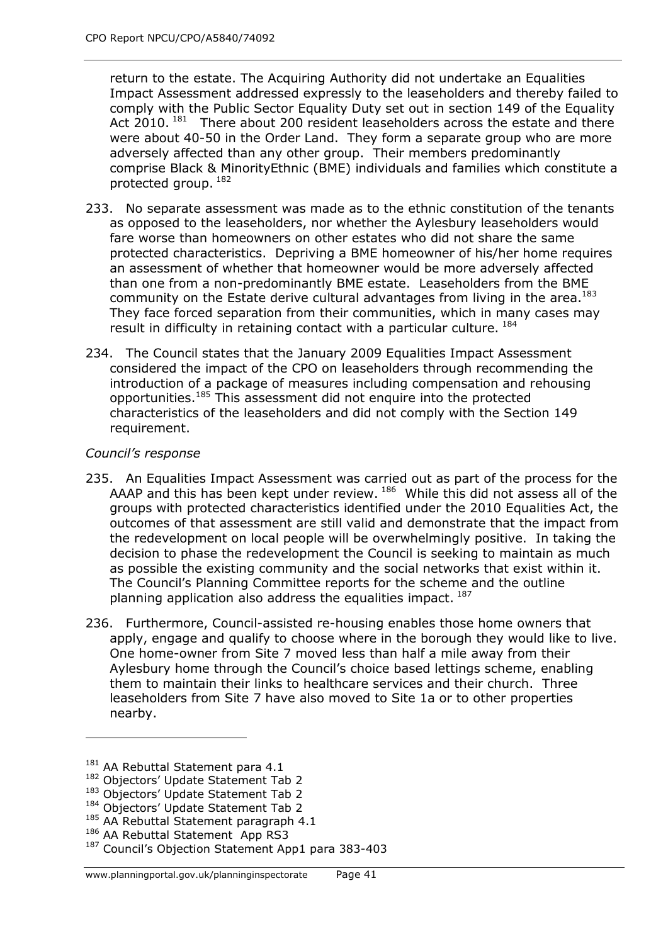return to the estate. The Acquiring Authority did not undertake an Equalities Impact Assessment addressed expressly to the leaseholders and thereby failed to comply with the Public Sector Equality Duty set out in section 149 of the Equality Act 2010.  $181$  There about 200 resident leaseholders across the estate and there were about 40-50 in the Order Land. They form a separate group who are more adversely affected than any other group. Their members predominantly comprise Black & MinorityEthnic (BME) individuals and families which constitute a protected group. <sup>182</sup>

- 233. No separate assessment was made as to the ethnic constitution of the tenants as opposed to the leaseholders, nor whether the Aylesbury leaseholders would fare worse than homeowners on other estates who did not share the same protected characteristics. Depriving a BME homeowner of his/her home requires an assessment of whether that homeowner would be more adversely affected than one from a non-predominantly BME estate. Leaseholders from the BME community on the Estate derive cultural advantages from living in the area.<sup>183</sup> They face forced separation from their communities, which in many cases may result in difficulty in retaining contact with a particular culture.  $^{184}$
- 234. The Council states that the January 2009 Equalities Impact Assessment considered the impact of the CPO on leaseholders through recommending the introduction of a package of measures including compensation and rehousing opportunities.<sup>185</sup> This assessment did not enquire into the protected characteristics of the leaseholders and did not comply with the Section 149 requirement.

### *Council's response*

- 235. An Equalities Impact Assessment was carried out as part of the process for the AAAP and this has been kept under review.  $186$  While this did not assess all of the groups with protected characteristics identified under the 2010 Equalities Act, the outcomes of that assessment are still valid and demonstrate that the impact from the redevelopment on local people will be overwhelmingly positive. In taking the decision to phase the redevelopment the Council is seeking to maintain as much as possible the existing community and the social networks that exist within it. The Council's Planning Committee reports for the scheme and the outline planning application also address the equalities impact. 187
- 236. Furthermore, Council-assisted re-housing enables those home owners that apply, engage and qualify to choose where in the borough they would like to live. One home-owner from Site 7 moved less than half a mile away from their Aylesbury home through the Council's choice based lettings scheme, enabling them to maintain their links to healthcare services and their church. Three leaseholders from Site 7 have also moved to Site 1a or to other properties nearby.

<sup>&</sup>lt;sup>181</sup> AA Rebuttal Statement para 4.1

<sup>&</sup>lt;sup>182</sup> Objectors' Update Statement Tab 2

<sup>183</sup> Objectors' Update Statement Tab 2

<sup>184</sup> Objectors' Update Statement Tab 2

<sup>&</sup>lt;sup>185</sup> AA Rebuttal Statement paragraph 4.1

<sup>&</sup>lt;sup>186</sup> AA Rebuttal Statement App RS3

<sup>&</sup>lt;sup>187</sup> Council's Objection Statement App1 para 383-403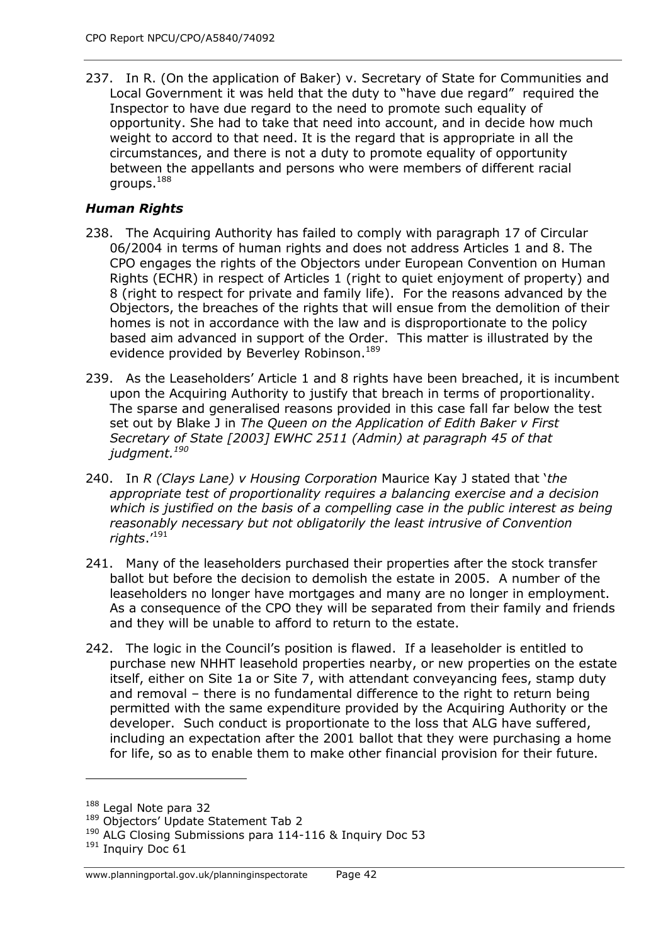237. In R. (On the application of Baker) v. Secretary of State for Communities and Local Government it was held that the duty to "have due regard" required the Inspector to have due regard to the need to promote such equality of opportunity. She had to take that need into account, and in decide how much weight to accord to that need. It is the regard that is appropriate in all the circumstances, and there is not a duty to promote equality of opportunity between the appellants and persons who were members of different racial aroups. $188$ 

# *Human Rights*

- 238. The Acquiring Authority has failed to comply with paragraph 17 of Circular 06/2004 in terms of human rights and does not address Articles 1 and 8. The CPO engages the rights of the Objectors under European Convention on Human Rights (ECHR) in respect of Articles 1 (right to quiet enjoyment of property) and 8 (right to respect for private and family life). For the reasons advanced by the Objectors, the breaches of the rights that will ensue from the demolition of their homes is not in accordance with the law and is disproportionate to the policy based aim advanced in support of the Order. This matter is illustrated by the evidence provided by Beverley Robinson.<sup>189</sup>
- 239. As the Leaseholders' Article 1 and 8 rights have been breached, it is incumbent upon the Acquiring Authority to justify that breach in terms of proportionality. The sparse and generalised reasons provided in this case fall far below the test set out by Blake J in *The Queen on the Application of Edith Baker v First Secretary of State [2003] EWHC 2511 (Admin) at paragraph 45 of that judgment. 190*
- 240. In *R (Clays Lane) v Housing Corporation* Maurice Kay J stated that '*the appropriate test of proportionality requires a balancing exercise and a decision which is justified on the basis of a compelling case in the public interest as being reasonably necessary but not obligatorily the least intrusive of Convention rights*.'<sup>191</sup>
- 241. Many of the leaseholders purchased their properties after the stock transfer ballot but before the decision to demolish the estate in 2005. A number of the leaseholders no longer have mortgages and many are no longer in employment. As a consequence of the CPO they will be separated from their family and friends and they will be unable to afford to return to the estate.
- 242. The logic in the Council's position is flawed. If a leaseholder is entitled to purchase new NHHT leasehold properties nearby, or new properties on the estate itself, either on Site 1a or Site 7, with attendant conveyancing fees, stamp duty and removal – there is no fundamental difference to the right to return being permitted with the same expenditure provided by the Acquiring Authority or the developer. Such conduct is proportionate to the loss that ALG have suffered, including an expectation after the 2001 ballot that they were purchasing a home for life, so as to enable them to make other financial provision for their future.

<sup>&</sup>lt;sup>188</sup> Legal Note para 32

<sup>189</sup> Objectors' Update Statement Tab 2

<sup>&</sup>lt;sup>190</sup> ALG Closing Submissions para 114-116 & Inquiry Doc 53

<sup>&</sup>lt;sup>191</sup> Inquiry Doc 61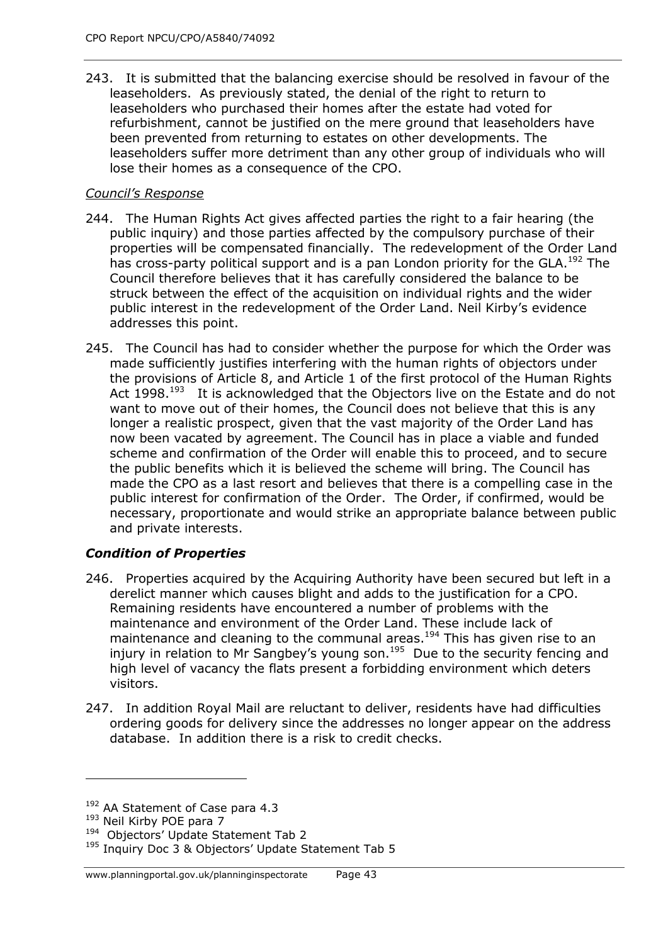243. It is submitted that the balancing exercise should be resolved in favour of the leaseholders. As previously stated, the denial of the right to return to leaseholders who purchased their homes after the estate had voted for refurbishment, cannot be justified on the mere ground that leaseholders have been prevented from returning to estates on other developments. The leaseholders suffer more detriment than any other group of individuals who will lose their homes as a consequence of the CPO.

## *Council's Response*

- 244. The Human Rights Act gives affected parties the right to a fair hearing (the public inquiry) and those parties affected by the compulsory purchase of their properties will be compensated financially. The redevelopment of the Order Land has cross-party political support and is a pan London priority for the GLA.<sup>192</sup> The Council therefore believes that it has carefully considered the balance to be struck between the effect of the acquisition on individual rights and the wider public interest in the redevelopment of the Order Land. Neil Kirby's evidence addresses this point.
- 245. The Council has had to consider whether the purpose for which the Order was made sufficiently justifies interfering with the human rights of objectors under the provisions of Article 8, and Article 1 of the first protocol of the Human Rights Act 1998.<sup>193</sup> It is acknowledged that the Objectors live on the Estate and do not want to move out of their homes, the Council does not believe that this is any longer a realistic prospect, given that the vast majority of the Order Land has now been vacated by agreement. The Council has in place a viable and funded scheme and confirmation of the Order will enable this to proceed, and to secure the public benefits which it is believed the scheme will bring. The Council has made the CPO as a last resort and believes that there is a compelling case in the public interest for confirmation of the Order. The Order, if confirmed, would be necessary, proportionate and would strike an appropriate balance between public and private interests.

# *Condition of Properties*

- 246. Properties acquired by the Acquiring Authority have been secured but left in a derelict manner which causes blight and adds to the justification for a CPO. Remaining residents have encountered a number of problems with the maintenance and environment of the Order Land. These include lack of maintenance and cleaning to the communal areas.<sup>194</sup> This has given rise to an injury in relation to Mr Sangbey's young son.<sup>195</sup> Due to the security fencing and high level of vacancy the flats present a forbidding environment which deters visitors.
- 247. In addition Royal Mail are reluctant to deliver, residents have had difficulties ordering goods for delivery since the addresses no longer appear on the address database. In addition there is a risk to credit checks.

<sup>&</sup>lt;sup>192</sup> AA Statement of Case para 4.3

<sup>193</sup> Neil Kirby POE para 7

<sup>&</sup>lt;sup>194</sup> Objectors' Update Statement Tab 2

<sup>&</sup>lt;sup>195</sup> Inquiry Doc 3 & Objectors' Update Statement Tab 5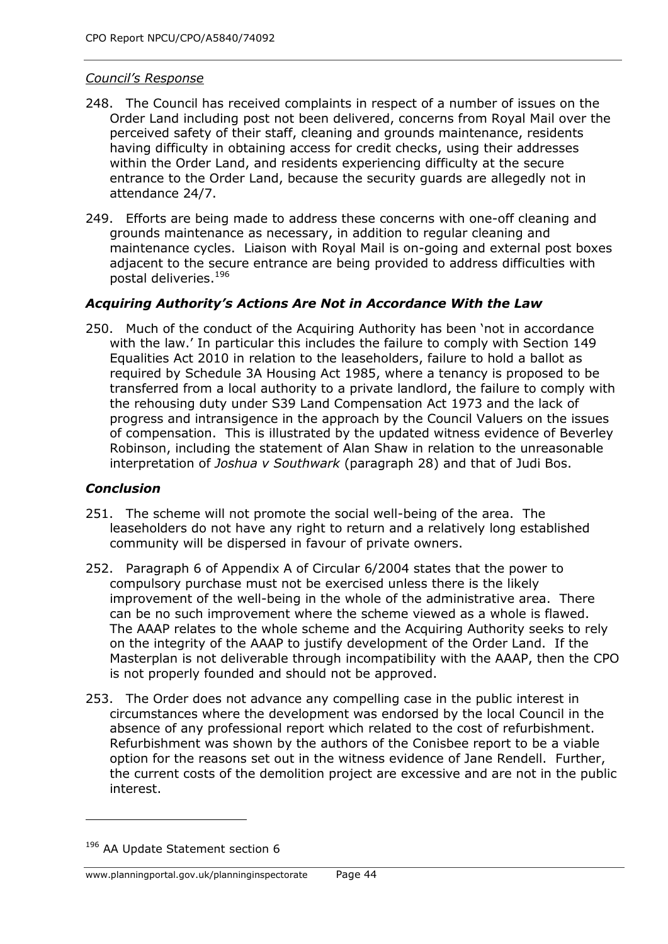### *Council's Response*

- 248. The Council has received complaints in respect of a number of issues on the Order Land including post not been delivered, concerns from Royal Mail over the perceived safety of their staff, cleaning and grounds maintenance, residents having difficulty in obtaining access for credit checks, using their addresses within the Order Land, and residents experiencing difficulty at the secure entrance to the Order Land, because the security guards are allegedly not in attendance 24/7.
- 249. Efforts are being made to address these concerns with one-off cleaning and grounds maintenance as necessary, in addition to regular cleaning and maintenance cycles. Liaison with Royal Mail is on-going and external post boxes adjacent to the secure entrance are being provided to address difficulties with postal deliveries. 196

### *Acquiring Authority's Actions Are Not in Accordance With the Law*

250. Much of the conduct of the Acquiring Authority has been 'not in accordance with the law.' In particular this includes the failure to comply with Section 149 Equalities Act 2010 in relation to the leaseholders, failure to hold a ballot as required by Schedule 3A Housing Act 1985, where a tenancy is proposed to be transferred from a local authority to a private landlord, the failure to comply with the rehousing duty under S39 Land Compensation Act 1973 and the lack of progress and intransigence in the approach by the Council Valuers on the issues of compensation. This is illustrated by the updated witness evidence of Beverley Robinson, including the statement of Alan Shaw in relation to the unreasonable interpretation of *Joshua v Southwark* (paragraph 28) and that of Judi Bos.

### *Conclusion*

- 251. The scheme will not promote the social well-being of the area. The leaseholders do not have any right to return and a relatively long established community will be dispersed in favour of private owners.
- 252. Paragraph 6 of Appendix A of Circular 6/2004 states that the power to compulsory purchase must not be exercised unless there is the likely improvement of the well-being in the whole of the administrative area. There can be no such improvement where the scheme viewed as a whole is flawed. The AAAP relates to the whole scheme and the Acquiring Authority seeks to rely on the integrity of the AAAP to justify development of the Order Land. If the Masterplan is not deliverable through incompatibility with the AAAP, then the CPO is not properly founded and should not be approved.
- 253. The Order does not advance any compelling case in the public interest in circumstances where the development was endorsed by the local Council in the absence of any professional report which related to the cost of refurbishment. Refurbishment was shown by the authors of the Conisbee report to be a viable option for the reasons set out in the witness evidence of Jane Rendell. Further, the current costs of the demolition project are excessive and are not in the public interest.

<sup>&</sup>lt;sup>196</sup> AA Update Statement section 6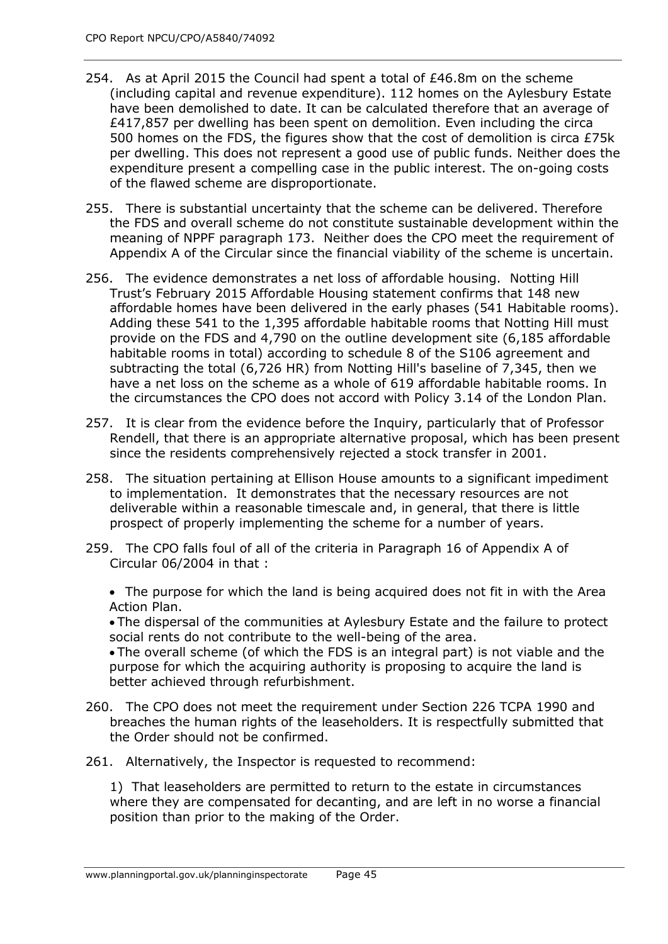- 254. As at April 2015 the Council had spent a total of £46.8m on the scheme (including capital and revenue expenditure). 112 homes on the Aylesbury Estate have been demolished to date. It can be calculated therefore that an average of £417,857 per dwelling has been spent on demolition. Even including the circa 500 homes on the FDS, the figures show that the cost of demolition is circa £75k per dwelling. This does not represent a good use of public funds. Neither does the expenditure present a compelling case in the public interest. The on-going costs of the flawed scheme are disproportionate.
- 255. There is substantial uncertainty that the scheme can be delivered. Therefore the FDS and overall scheme do not constitute sustainable development within the meaning of NPPF paragraph 173. Neither does the CPO meet the requirement of Appendix A of the Circular since the financial viability of the scheme is uncertain.
- 256. The evidence demonstrates a net loss of affordable housing. Notting Hill Trust's February 2015 Affordable Housing statement confirms that 148 new affordable homes have been delivered in the early phases (541 Habitable rooms). Adding these 541 to the 1,395 affordable habitable rooms that Notting Hill must provide on the FDS and 4,790 on the outline development site (6,185 affordable habitable rooms in total) according to schedule 8 of the S106 agreement and subtracting the total (6,726 HR) from Notting Hill's baseline of 7,345, then we have a net loss on the scheme as a whole of 619 affordable habitable rooms. In the circumstances the CPO does not accord with Policy 3.14 of the London Plan.
- 257. It is clear from the evidence before the Inquiry, particularly that of Professor Rendell, that there is an appropriate alternative proposal, which has been present since the residents comprehensively rejected a stock transfer in 2001.
- 258. The situation pertaining at Ellison House amounts to a significant impediment to implementation. It demonstrates that the necessary resources are not deliverable within a reasonable timescale and, in general, that there is little prospect of properly implementing the scheme for a number of years.
- 259. The CPO falls foul of all of the criteria in Paragraph 16 of Appendix A of Circular 06/2004 in that :

• The purpose for which the land is being acquired does not fit in with the Area Action Plan.

 The dispersal of the communities at Aylesbury Estate and the failure to protect social rents do not contribute to the well-being of the area.

 The overall scheme (of which the FDS is an integral part) is not viable and the purpose for which the acquiring authority is proposing to acquire the land is better achieved through refurbishment.

260. The CPO does not meet the requirement under Section 226 TCPA 1990 and breaches the human rights of the leaseholders. It is respectfully submitted that the Order should not be confirmed.

261. Alternatively, the Inspector is requested to recommend:

1) That leaseholders are permitted to return to the estate in circumstances where they are compensated for decanting, and are left in no worse a financial position than prior to the making of the Order.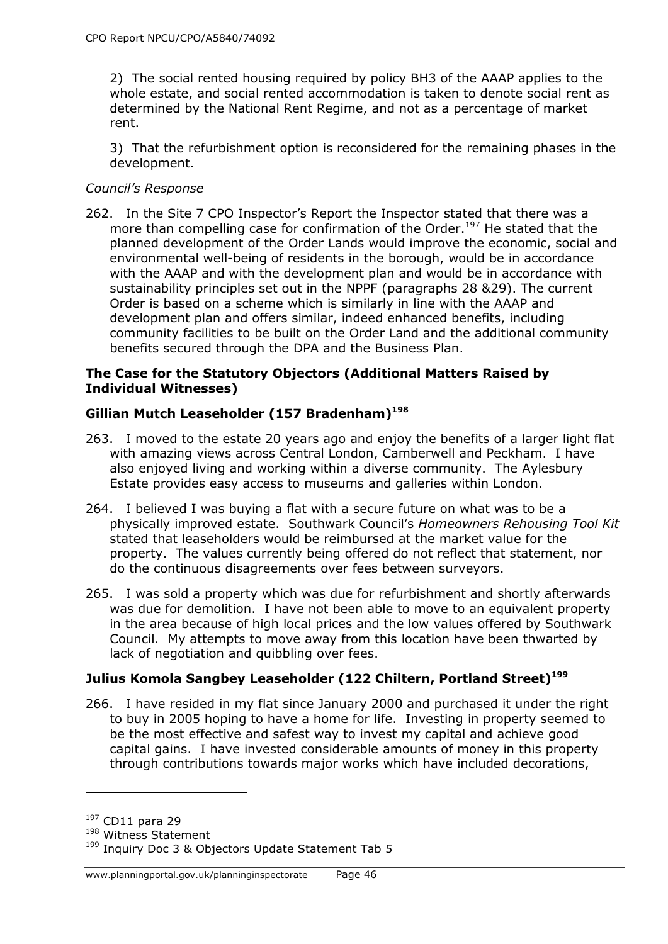2) The social rented housing required by policy BH3 of the AAAP applies to the whole estate, and social rented accommodation is taken to denote social rent as determined by the National Rent Regime, and not as a percentage of market rent.

3) That the refurbishment option is reconsidered for the remaining phases in the development.

### *Council's Response*

262. In the Site 7 CPO Inspector's Report the Inspector stated that there was a more than compelling case for confirmation of the Order.<sup>197</sup> He stated that the planned development of the Order Lands would improve the economic, social and environmental well-being of residents in the borough, would be in accordance with the AAAP and with the development plan and would be in accordance with sustainability principles set out in the NPPF (paragraphs 28 &29). The current Order is based on a scheme which is similarly in line with the AAAP and development plan and offers similar, indeed enhanced benefits, including community facilities to be built on the Order Land and the additional community benefits secured through the DPA and the Business Plan.

#### **The Case for the Statutory Objectors (Additional Matters Raised by Individual Witnesses)**

### **Gillian Mutch Leaseholder (157 Bradenham)<sup>198</sup>**

- 263. I moved to the estate 20 years ago and enjoy the benefits of a larger light flat with amazing views across Central London, Camberwell and Peckham. I have also enjoyed living and working within a diverse community. The Aylesbury Estate provides easy access to museums and galleries within London.
- 264. I believed I was buying a flat with a secure future on what was to be a physically improved estate. Southwark Council's *Homeowners Rehousing Tool Kit* stated that leaseholders would be reimbursed at the market value for the property. The values currently being offered do not reflect that statement, nor do the continuous disagreements over fees between surveyors.
- 265. I was sold a property which was due for refurbishment and shortly afterwards was due for demolition. I have not been able to move to an equivalent property in the area because of high local prices and the low values offered by Southwark Council. My attempts to move away from this location have been thwarted by lack of negotiation and quibbling over fees.

### **Julius Komola Sangbey Leaseholder (122 Chiltern, Portland Street) 199**

266. I have resided in my flat since January 2000 and purchased it under the right to buy in 2005 hoping to have a home for life. Investing in property seemed to be the most effective and safest way to invest my capital and achieve good capital gains. I have invested considerable amounts of money in this property through contributions towards major works which have included decorations,

 $\overline{a}$ 

<sup>197</sup> CD11 para 29

<sup>198</sup> Witness Statement

<sup>&</sup>lt;sup>199</sup> Inquiry Doc 3 & Objectors Update Statement Tab 5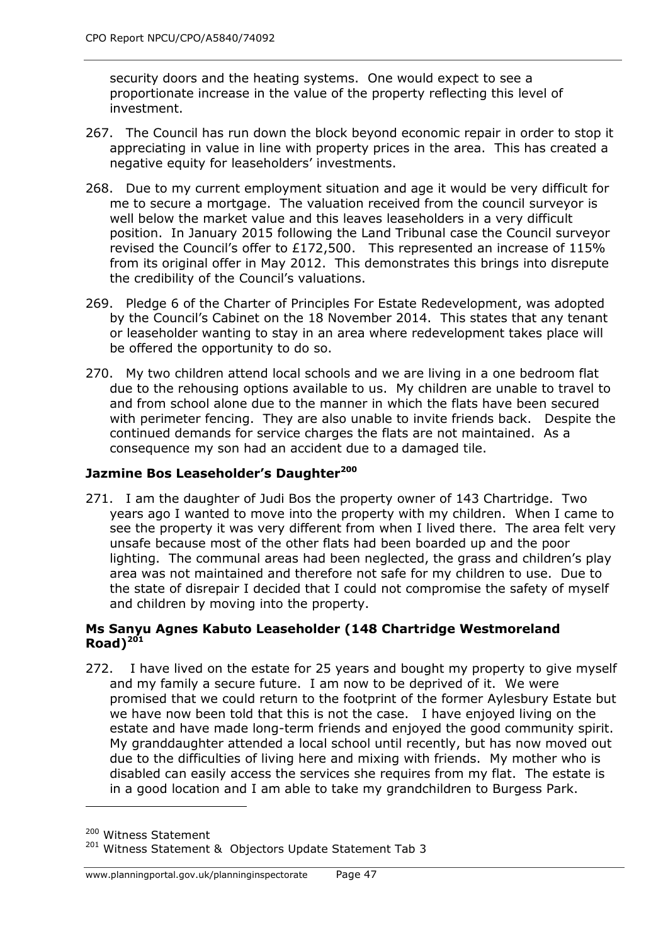security doors and the heating systems. One would expect to see a proportionate increase in the value of the property reflecting this level of investment.

- 267. The Council has run down the block beyond economic repair in order to stop it appreciating in value in line with property prices in the area. This has created a negative equity for leaseholders' investments.
- 268. Due to my current employment situation and age it would be very difficult for me to secure a mortgage. The valuation received from the council surveyor is well below the market value and this leaves leaseholders in a very difficult position. In January 2015 following the Land Tribunal case the Council surveyor revised the Council's offer to £172,500. This represented an increase of 115% from its original offer in May 2012. This demonstrates this brings into disrepute the credibility of the Council's valuations.
- 269. Pledge 6 of the Charter of Principles For Estate Redevelopment, was adopted by the Council's Cabinet on the 18 November 2014. This states that any tenant or leaseholder wanting to stay in an area where redevelopment takes place will be offered the opportunity to do so.
- 270. My two children attend local schools and we are living in a one bedroom flat due to the rehousing options available to us. My children are unable to travel to and from school alone due to the manner in which the flats have been secured with perimeter fencing. They are also unable to invite friends back. Despite the continued demands for service charges the flats are not maintained. As a consequence my son had an accident due to a damaged tile.

# **Jazmine Bos Leaseholder's Daughter<sup>200</sup>**

271. I am the daughter of Judi Bos the property owner of 143 Chartridge. Two years ago I wanted to move into the property with my children. When I came to see the property it was very different from when I lived there. The area felt very unsafe because most of the other flats had been boarded up and the poor lighting. The communal areas had been neglected, the grass and children's play area was not maintained and therefore not safe for my children to use. Due to the state of disrepair I decided that I could not compromise the safety of myself and children by moving into the property.

### **Ms Sanyu Agnes Kabuto Leaseholder (148 Chartridge Westmoreland**   $\text{Rad}$ <sup>201</sup>

272. I have lived on the estate for 25 years and bought my property to give myself and my family a secure future. I am now to be deprived of it. We were promised that we could return to the footprint of the former Aylesbury Estate but we have now been told that this is not the case. I have enjoyed living on the estate and have made long-term friends and enjoyed the good community spirit. My granddaughter attended a local school until recently, but has now moved out due to the difficulties of living here and mixing with friends. My mother who is disabled can easily access the services she requires from my flat. The estate is in a good location and I am able to take my grandchildren to Burgess Park.

<sup>200</sup> Witness Statement

<sup>201</sup> Witness Statement & Objectors Update Statement Tab 3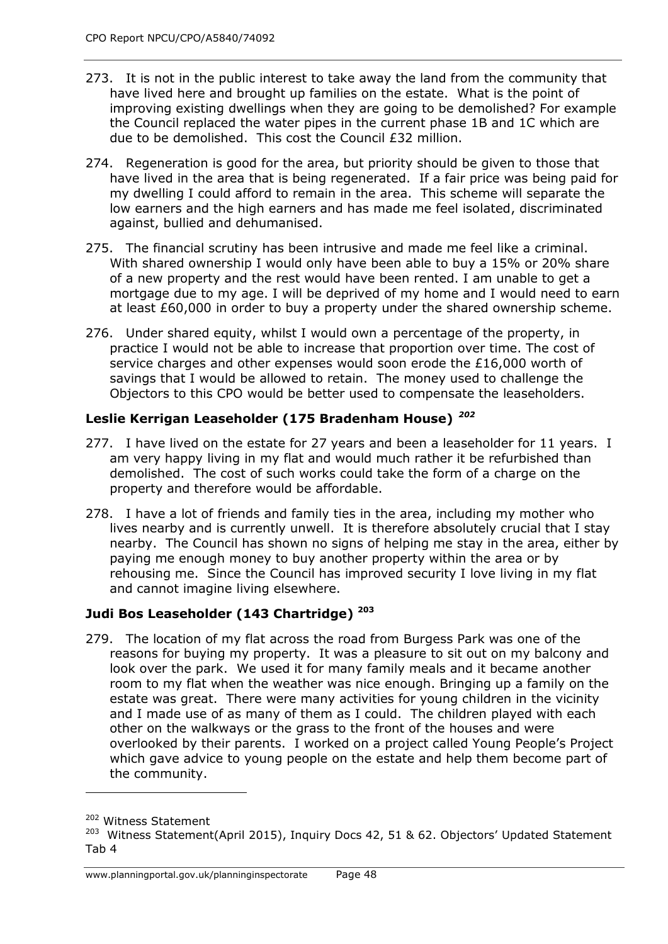- 273. It is not in the public interest to take away the land from the community that have lived here and brought up families on the estate. What is the point of improving existing dwellings when they are going to be demolished? For example the Council replaced the water pipes in the current phase 1B and 1C which are due to be demolished. This cost the Council £32 million.
- 274. Regeneration is good for the area, but priority should be given to those that have lived in the area that is being regenerated. If a fair price was being paid for my dwelling I could afford to remain in the area. This scheme will separate the low earners and the high earners and has made me feel isolated, discriminated against, bullied and dehumanised.
- 275. The financial scrutiny has been intrusive and made me feel like a criminal. With shared ownership I would only have been able to buy a 15% or 20% share of a new property and the rest would have been rented. I am unable to get a mortgage due to my age. I will be deprived of my home and I would need to earn at least £60,000 in order to buy a property under the shared ownership scheme.
- 276. Under shared equity, whilst I would own a percentage of the property, in practice I would not be able to increase that proportion over time. The cost of service charges and other expenses would soon erode the £16,000 worth of savings that I would be allowed to retain. The money used to challenge the Objectors to this CPO would be better used to compensate the leaseholders.

# **Leslie Kerrigan Leaseholder (175 Bradenham House)** *202*

- 277. I have lived on the estate for 27 years and been a leaseholder for 11 years. I am very happy living in my flat and would much rather it be refurbished than demolished. The cost of such works could take the form of a charge on the property and therefore would be affordable.
- 278. I have a lot of friends and family ties in the area, including my mother who lives nearby and is currently unwell. It is therefore absolutely crucial that I stay nearby. The Council has shown no signs of helping me stay in the area, either by paying me enough money to buy another property within the area or by rehousing me. Since the Council has improved security I love living in my flat and cannot imagine living elsewhere.

# **Judi Bos Leaseholder (143 Chartridge) <sup>203</sup>**

279. The location of my flat across the road from Burgess Park was one of the reasons for buying my property. It was a pleasure to sit out on my balcony and look over the park. We used it for many family meals and it became another room to my flat when the weather was nice enough. Bringing up a family on the estate was great. There were many activities for young children in the vicinity and I made use of as many of them as I could. The children played with each other on the walkways or the grass to the front of the houses and were overlooked by their parents. I worked on a project called Young People's Project which gave advice to young people on the estate and help them become part of the community.

 $\overline{a}$ 

<sup>202</sup> Witness Statement

<sup>&</sup>lt;sup>203</sup> Witness Statement(April 2015), Inquiry Docs 42, 51 & 62. Objectors' Updated Statement Tab 4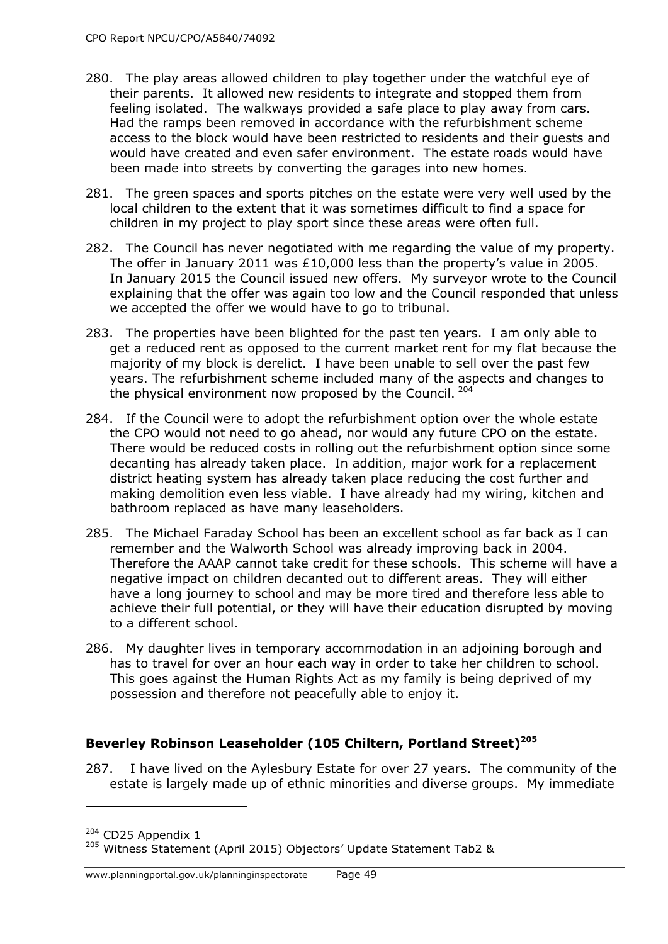- 280. The play areas allowed children to play together under the watchful eye of their parents. It allowed new residents to integrate and stopped them from feeling isolated. The walkways provided a safe place to play away from cars. Had the ramps been removed in accordance with the refurbishment scheme access to the block would have been restricted to residents and their guests and would have created and even safer environment. The estate roads would have been made into streets by converting the garages into new homes.
- 281. The green spaces and sports pitches on the estate were very well used by the local children to the extent that it was sometimes difficult to find a space for children in my project to play sport since these areas were often full.
- 282. The Council has never negotiated with me regarding the value of my property. The offer in January 2011 was £10,000 less than the property's value in 2005. In January 2015 the Council issued new offers. My surveyor wrote to the Council explaining that the offer was again too low and the Council responded that unless we accepted the offer we would have to go to tribunal.
- 283. The properties have been blighted for the past ten years. I am only able to get a reduced rent as opposed to the current market rent for my flat because the majority of my block is derelict. I have been unable to sell over the past few years. The refurbishment scheme included many of the aspects and changes to the physical environment now proposed by the Council.  $^{204}$
- 284. If the Council were to adopt the refurbishment option over the whole estate the CPO would not need to go ahead, nor would any future CPO on the estate. There would be reduced costs in rolling out the refurbishment option since some decanting has already taken place. In addition, major work for a replacement district heating system has already taken place reducing the cost further and making demolition even less viable. I have already had my wiring, kitchen and bathroom replaced as have many leaseholders.
- 285. The Michael Faraday School has been an excellent school as far back as I can remember and the Walworth School was already improving back in 2004. Therefore the AAAP cannot take credit for these schools. This scheme will have a negative impact on children decanted out to different areas. They will either have a long journey to school and may be more tired and therefore less able to achieve their full potential, or they will have their education disrupted by moving to a different school.
- 286. My daughter lives in temporary accommodation in an adjoining borough and has to travel for over an hour each way in order to take her children to school. This goes against the Human Rights Act as my family is being deprived of my possession and therefore not peacefully able to enjoy it.

# **Beverley Robinson Leaseholder (105 Chiltern, Portland Street)<sup>205</sup>**

287. I have lived on the Aylesbury Estate for over 27 years. The community of the estate is largely made up of ethnic minorities and diverse groups. My immediate

<sup>&</sup>lt;sup>204</sup> CD25 Appendix 1

<sup>205</sup> Witness Statement (April 2015) Objectors' Update Statement Tab2 &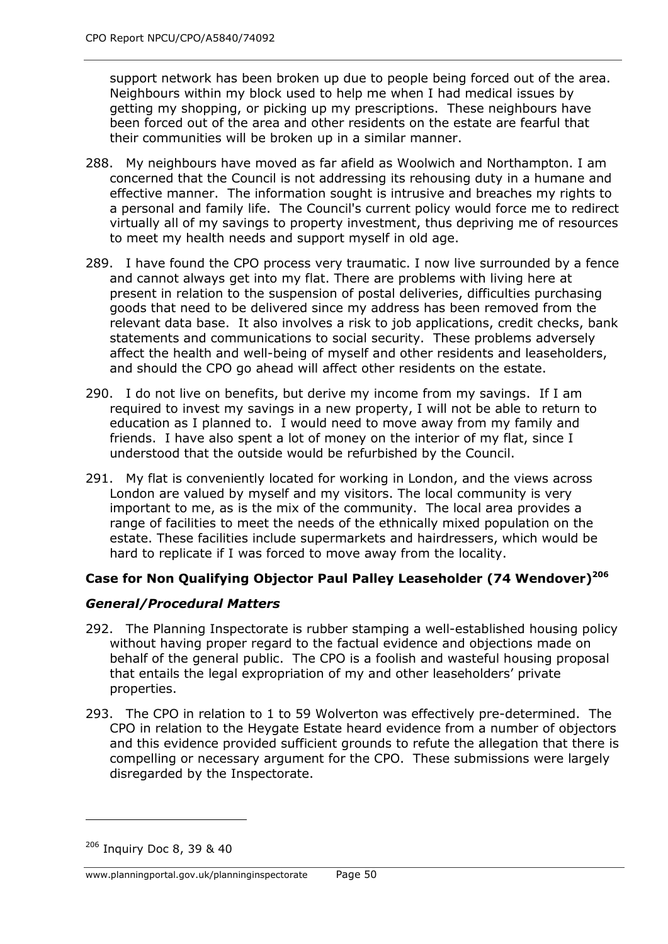support network has been broken up due to people being forced out of the area. Neighbours within my block used to help me when I had medical issues by getting my shopping, or picking up my prescriptions. These neighbours have been forced out of the area and other residents on the estate are fearful that their communities will be broken up in a similar manner.

- 288. My neighbours have moved as far afield as Woolwich and Northampton. I am concerned that the Council is not addressing its rehousing duty in a humane and effective manner. The information sought is intrusive and breaches my rights to a personal and family life. The Council's current policy would force me to redirect virtually all of my savings to property investment, thus depriving me of resources to meet my health needs and support myself in old age.
- 289. I have found the CPO process very traumatic. I now live surrounded by a fence and cannot always get into my flat. There are problems with living here at present in relation to the suspension of postal deliveries, difficulties purchasing goods that need to be delivered since my address has been removed from the relevant data base. It also involves a risk to job applications, credit checks, bank statements and communications to social security. These problems adversely affect the health and well-being of myself and other residents and leaseholders, and should the CPO go ahead will affect other residents on the estate.
- 290. I do not live on benefits, but derive my income from my savings. If I am required to invest my savings in a new property, I will not be able to return to education as I planned to. I would need to move away from my family and friends. I have also spent a lot of money on the interior of my flat, since I understood that the outside would be refurbished by the Council.
- 291. My flat is conveniently located for working in London, and the views across London are valued by myself and my visitors. The local community is very important to me, as is the mix of the community. The local area provides a range of facilities to meet the needs of the ethnically mixed population on the estate. These facilities include supermarkets and hairdressers, which would be hard to replicate if I was forced to move away from the locality.

### **Case for Non Qualifying Objector Paul Palley Leaseholder (74 Wendover)<sup>206</sup>**

### *General/Procedural Matters*

- 292. The Planning Inspectorate is rubber stamping a well-established housing policy without having proper regard to the factual evidence and objections made on behalf of the general public. The CPO is a foolish and wasteful housing proposal that entails the legal expropriation of my and other leaseholders' private properties.
- 293. The CPO in relation to 1 to 59 Wolverton was effectively pre-determined. The CPO in relation to the Heygate Estate heard evidence from a number of objectors and this evidence provided sufficient grounds to refute the allegation that there is compelling or necessary argument for the CPO. These submissions were largely disregarded by the Inspectorate.

<sup>206</sup> Inquiry Doc 8, 39 & 40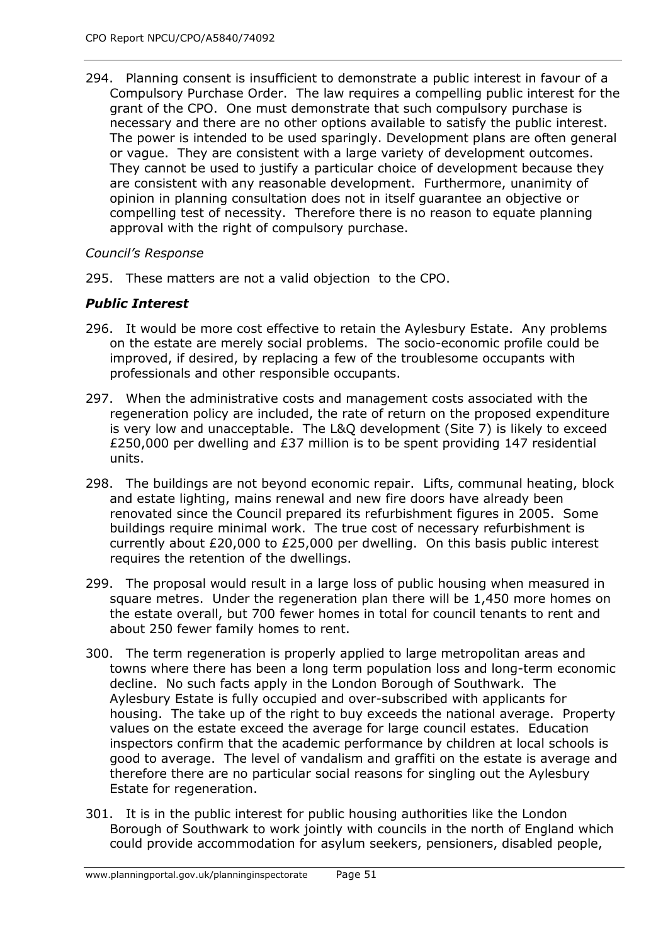294. Planning consent is insufficient to demonstrate a public interest in favour of a Compulsory Purchase Order. The law requires a compelling public interest for the grant of the CPO. One must demonstrate that such compulsory purchase is necessary and there are no other options available to satisfy the public interest. The power is intended to be used sparingly. Development plans are often general or vague. They are consistent with a large variety of development outcomes. They cannot be used to justify a particular choice of development because they are consistent with any reasonable development. Furthermore, unanimity of opinion in planning consultation does not in itself guarantee an objective or compelling test of necessity. Therefore there is no reason to equate planning approval with the right of compulsory purchase.

# *Council's Response*

295. These matters are not a valid objection to the CPO.

# *Public Interest*

- 296. It would be more cost effective to retain the Aylesbury Estate. Any problems on the estate are merely social problems. The socio-economic profile could be improved, if desired, by replacing a few of the troublesome occupants with professionals and other responsible occupants.
- 297. When the administrative costs and management costs associated with the regeneration policy are included, the rate of return on the proposed expenditure is very low and unacceptable. The L&Q development (Site 7) is likely to exceed £250,000 per dwelling and £37 million is to be spent providing 147 residential units.
- 298. The buildings are not beyond economic repair. Lifts, communal heating, block and estate lighting, mains renewal and new fire doors have already been renovated since the Council prepared its refurbishment figures in 2005. Some buildings require minimal work. The true cost of necessary refurbishment is currently about £20,000 to £25,000 per dwelling. On this basis public interest requires the retention of the dwellings.
- 299. The proposal would result in a large loss of public housing when measured in square metres. Under the regeneration plan there will be 1,450 more homes on the estate overall, but 700 fewer homes in total for council tenants to rent and about 250 fewer family homes to rent.
- 300. The term regeneration is properly applied to large metropolitan areas and towns where there has been a long term population loss and long-term economic decline. No such facts apply in the London Borough of Southwark. The Aylesbury Estate is fully occupied and over-subscribed with applicants for housing. The take up of the right to buy exceeds the national average. Property values on the estate exceed the average for large council estates. Education inspectors confirm that the academic performance by children at local schools is good to average. The level of vandalism and graffiti on the estate is average and therefore there are no particular social reasons for singling out the Aylesbury Estate for regeneration.
- 301. It is in the public interest for public housing authorities like the London Borough of Southwark to work jointly with councils in the north of England which could provide accommodation for asylum seekers, pensioners, disabled people,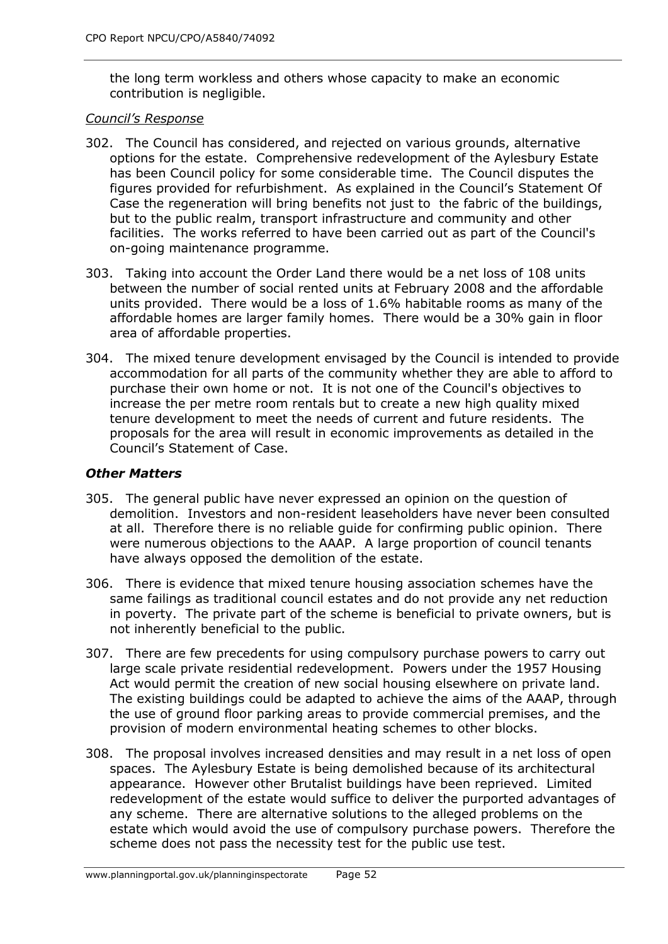the long term workless and others whose capacity to make an economic contribution is negligible.

#### *Council's Response*

- 302. The Council has considered, and rejected on various grounds, alternative options for the estate. Comprehensive redevelopment of the Aylesbury Estate has been Council policy for some considerable time. The Council disputes the figures provided for refurbishment. As explained in the Council's Statement Of Case the regeneration will bring benefits not just to the fabric of the buildings, but to the public realm, transport infrastructure and community and other facilities. The works referred to have been carried out as part of the Council's on-going maintenance programme.
- 303. Taking into account the Order Land there would be a net loss of 108 units between the number of social rented units at February 2008 and the affordable units provided. There would be a loss of 1.6% habitable rooms as many of the affordable homes are larger family homes. There would be a 30% gain in floor area of affordable properties.
- 304. The mixed tenure development envisaged by the Council is intended to provide accommodation for all parts of the community whether they are able to afford to purchase their own home or not. It is not one of the Council's objectives to increase the per metre room rentals but to create a new high quality mixed tenure development to meet the needs of current and future residents. The proposals for the area will result in economic improvements as detailed in the Council's Statement of Case.

### *Other Matters*

- 305. The general public have never expressed an opinion on the question of demolition. Investors and non-resident leaseholders have never been consulted at all. Therefore there is no reliable guide for confirming public opinion. There were numerous objections to the AAAP. A large proportion of council tenants have always opposed the demolition of the estate.
- 306. There is evidence that mixed tenure housing association schemes have the same failings as traditional council estates and do not provide any net reduction in poverty. The private part of the scheme is beneficial to private owners, but is not inherently beneficial to the public.
- 307. There are few precedents for using compulsory purchase powers to carry out large scale private residential redevelopment. Powers under the 1957 Housing Act would permit the creation of new social housing elsewhere on private land. The existing buildings could be adapted to achieve the aims of the AAAP, through the use of ground floor parking areas to provide commercial premises, and the provision of modern environmental heating schemes to other blocks.
- 308. The proposal involves increased densities and may result in a net loss of open spaces. The Aylesbury Estate is being demolished because of its architectural appearance. However other Brutalist buildings have been reprieved. Limited redevelopment of the estate would suffice to deliver the purported advantages of any scheme. There are alternative solutions to the alleged problems on the estate which would avoid the use of compulsory purchase powers. Therefore the scheme does not pass the necessity test for the public use test.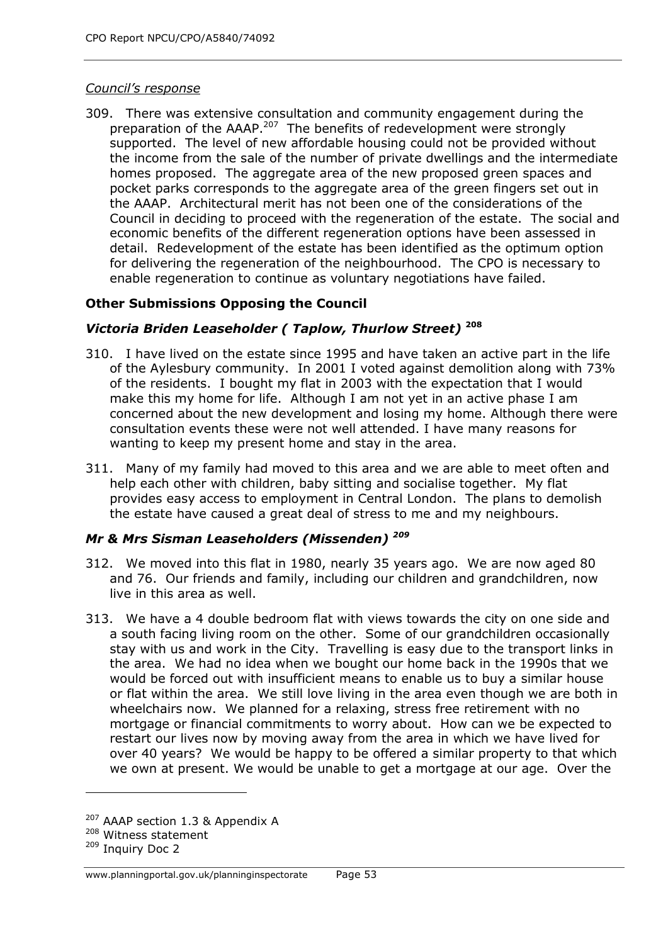### *Council's response*

309. There was extensive consultation and community engagement during the preparation of the AAAP.<sup>207</sup> The benefits of redevelopment were strongly supported. The level of new affordable housing could not be provided without the income from the sale of the number of private dwellings and the intermediate homes proposed. The aggregate area of the new proposed green spaces and pocket parks corresponds to the aggregate area of the green fingers set out in the AAAP. Architectural merit has not been one of the considerations of the Council in deciding to proceed with the regeneration of the estate. The social and economic benefits of the different regeneration options have been assessed in detail. Redevelopment of the estate has been identified as the optimum option for delivering the regeneration of the neighbourhood. The CPO is necessary to enable regeneration to continue as voluntary negotiations have failed.

# **Other Submissions Opposing the Council**

# *Victoria Briden Leaseholder ( Taplow, Thurlow Street)* **<sup>208</sup>**

- 310. I have lived on the estate since 1995 and have taken an active part in the life of the Aylesbury community. In 2001 I voted against demolition along with 73% of the residents. I bought my flat in 2003 with the expectation that I would make this my home for life. Although I am not yet in an active phase I am concerned about the new development and losing my home. Although there were consultation events these were not well attended. I have many reasons for wanting to keep my present home and stay in the area.
- 311. Many of my family had moved to this area and we are able to meet often and help each other with children, baby sitting and socialise together. My flat provides easy access to employment in Central London. The plans to demolish the estate have caused a great deal of stress to me and my neighbours.

### *Mr & Mrs Sisman Leaseholders (Missenden) 209*

- 312. We moved into this flat in 1980, nearly 35 years ago. We are now aged 80 and 76. Our friends and family, including our children and grandchildren, now live in this area as well.
- 313. We have a 4 double bedroom flat with views towards the city on one side and a south facing living room on the other. Some of our grandchildren occasionally stay with us and work in the City. Travelling is easy due to the transport links in the area. We had no idea when we bought our home back in the 1990s that we would be forced out with insufficient means to enable us to buy a similar house or flat within the area. We still love living in the area even though we are both in wheelchairs now. We planned for a relaxing, stress free retirement with no mortgage or financial commitments to worry about. How can we be expected to restart our lives now by moving away from the area in which we have lived for over 40 years? We would be happy to be offered a similar property to that which we own at present. We would be unable to get a mortgage at our age. Over the

 $\overline{a}$ 

<sup>&</sup>lt;sup>207</sup> AAAP section 1.3 & Appendix A

<sup>208</sup> Witness statement

<sup>&</sup>lt;sup>209</sup> Inquiry Doc 2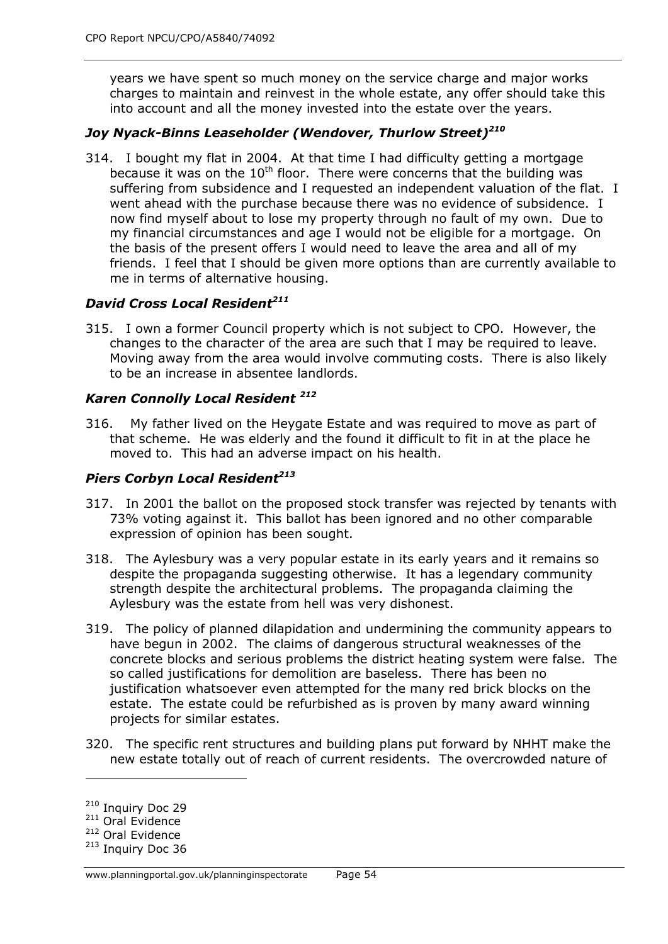years we have spent so much money on the service charge and major works charges to maintain and reinvest in the whole estate, any offer should take this into account and all the money invested into the estate over the years.

# *Joy Nyack-Binns Leaseholder (Wendover, Thurlow Street)<sup>210</sup>*

314. I bought my flat in 2004. At that time I had difficulty getting a mortgage because it was on the  $10<sup>th</sup>$  floor. There were concerns that the building was suffering from subsidence and I requested an independent valuation of the flat. I went ahead with the purchase because there was no evidence of subsidence. I now find myself about to lose my property through no fault of my own. Due to my financial circumstances and age I would not be eligible for a mortgage. On the basis of the present offers I would need to leave the area and all of my friends. I feel that I should be given more options than are currently available to me in terms of alternative housing.

### *David Cross Local Resident<sup>211</sup>*

315. I own a former Council property which is not subject to CPO. However, the changes to the character of the area are such that I may be required to leave. Moving away from the area would involve commuting costs. There is also likely to be an increase in absentee landlords.

### *Karen Connolly Local Resident <sup>212</sup>*

316. My father lived on the Heygate Estate and was required to move as part of that scheme. He was elderly and the found it difficult to fit in at the place he moved to. This had an adverse impact on his health.

### *Piers Corbyn Local Resident<sup>213</sup>*

- 317. In 2001 the ballot on the proposed stock transfer was rejected by tenants with 73% voting against it. This ballot has been ignored and no other comparable expression of opinion has been sought.
- 318. The Aylesbury was a very popular estate in its early years and it remains so despite the propaganda suggesting otherwise. It has a legendary community strength despite the architectural problems. The propaganda claiming the Aylesbury was the estate from hell was very dishonest.
- 319. The policy of planned dilapidation and undermining the community appears to have begun in 2002. The claims of dangerous structural weaknesses of the concrete blocks and serious problems the district heating system were false. The so called justifications for demolition are baseless. There has been no justification whatsoever even attempted for the many red brick blocks on the estate. The estate could be refurbished as is proven by many award winning projects for similar estates.
- 320. The specific rent structures and building plans put forward by NHHT make the new estate totally out of reach of current residents. The overcrowded nature of

<sup>&</sup>lt;sup>210</sup> Inquiry Doc 29

<sup>&</sup>lt;sup>211</sup> Oral Evidence

<sup>212</sup> Oral Evidence

<sup>&</sup>lt;sup>213</sup> Inquiry Doc 36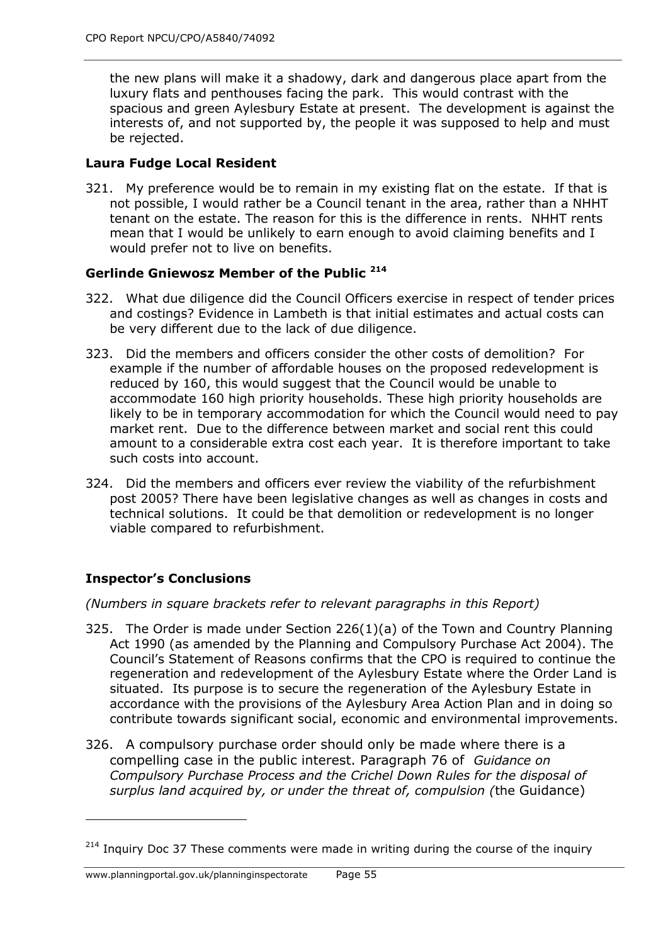the new plans will make it a shadowy, dark and dangerous place apart from the luxury flats and penthouses facing the park. This would contrast with the spacious and green Aylesbury Estate at present. The development is against the interests of, and not supported by, the people it was supposed to help and must be rejected.

# **Laura Fudge Local Resident**

321. My preference would be to remain in my existing flat on the estate. If that is not possible, I would rather be a Council tenant in the area, rather than a NHHT tenant on the estate. The reason for this is the difference in rents. NHHT rents mean that I would be unlikely to earn enough to avoid claiming benefits and I would prefer not to live on benefits.

# **Gerlinde Gniewosz Member of the Public <sup>214</sup>**

- 322. What due diligence did the Council Officers exercise in respect of tender prices and costings? Evidence in Lambeth is that initial estimates and actual costs can be very different due to the lack of due diligence.
- 323. Did the members and officers consider the other costs of demolition? For example if the number of affordable houses on the proposed redevelopment is reduced by 160, this would suggest that the Council would be unable to accommodate 160 high priority households. These high priority households are likely to be in temporary accommodation for which the Council would need to pay market rent. Due to the difference between market and social rent this could amount to a considerable extra cost each year. It is therefore important to take such costs into account.
- 324. Did the members and officers ever review the viability of the refurbishment post 2005? There have been legislative changes as well as changes in costs and technical solutions. It could be that demolition or redevelopment is no longer viable compared to refurbishment.

# **Inspector's Conclusions**

j

# *(Numbers in square brackets refer to relevant paragraphs in this Report)*

- 325. The Order is made under Section 226(1)(a) of the Town and Country Planning Act 1990 (as amended by the Planning and Compulsory Purchase Act 2004). The Council's Statement of Reasons confirms that the CPO is required to continue the regeneration and redevelopment of the Aylesbury Estate where the Order Land is situated. Its purpose is to secure the regeneration of the Aylesbury Estate in accordance with the provisions of the Aylesbury Area Action Plan and in doing so contribute towards significant social, economic and environmental improvements.
- 326. A compulsory purchase order should only be made where there is a compelling case in the public interest. Paragraph 76 of *Guidance on Compulsory Purchase Process and the Crichel Down Rules for the disposal of surplus land acquired by, or under the threat of, compulsion (*the Guidance)

 $214$  Inquiry Doc 37 These comments were made in writing during the course of the inquiry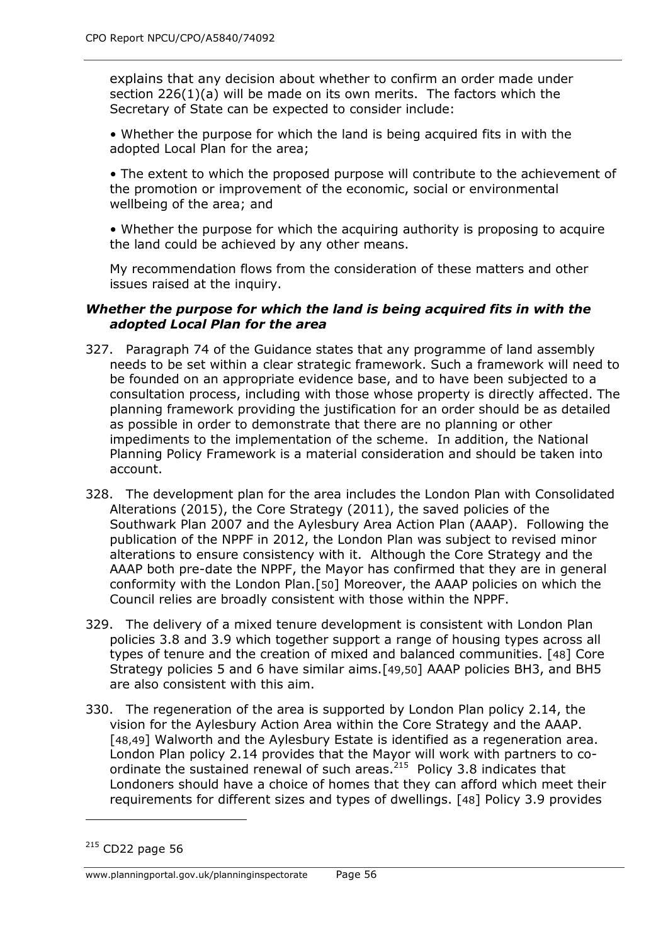explains that any decision about whether to confirm an order made under section 226(1)(a) will be made on its own merits. The factors which the Secretary of State can be expected to consider include:

• Whether the purpose for which the land is being acquired fits in with the adopted Local Plan for the area;

• The extent to which the proposed purpose will contribute to the achievement of the promotion or improvement of the economic, social or environmental wellbeing of the area; and

• Whether the purpose for which the acquiring authority is proposing to acquire the land could be achieved by any other means.

My recommendation flows from the consideration of these matters and other issues raised at the inquiry.

### *Whether the purpose for which the land is being acquired fits in with the adopted Local Plan for the area*

- 327. Paragraph 74 of the Guidance states that any programme of land assembly needs to be set within a clear strategic framework. Such a framework will need to be founded on an appropriate evidence base, and to have been subjected to a consultation process, including with those whose property is directly affected. The planning framework providing the justification for an order should be as detailed as possible in order to demonstrate that there are no planning or other impediments to the implementation of the scheme. In addition, the National Planning Policy Framework is a material consideration and should be taken into account.
- 328. The development plan for the area includes the London Plan with Consolidated Alterations (2015), the Core Strategy (2011), the saved policies of the Southwark Plan 2007 and the Aylesbury Area Action Plan (AAAP). Following the publication of the NPPF in 2012, the London Plan was subject to revised minor alterations to ensure consistency with it. Although the Core Strategy and the AAAP both pre-date the NPPF, the Mayor has confirmed that they are in general conformity with the London Plan.[50] Moreover, the AAAP policies on which the Council relies are broadly consistent with those within the NPPF.
- 329. The delivery of a mixed tenure development is consistent with London Plan policies 3.8 and 3.9 which together support a range of housing types across all types of tenure and the creation of mixed and balanced communities. [48] Core Strategy policies 5 and 6 have similar aims.[49,50] AAAP policies BH3, and BH5 are also consistent with this aim.
- 330. The regeneration of the area is supported by London Plan policy 2.14, the vision for the Aylesbury Action Area within the Core Strategy and the AAAP. [48,49] Walworth and the Aylesbury Estate is identified as a regeneration area. London Plan policy 2.14 provides that the Mayor will work with partners to coordinate the sustained renewal of such areas. $215$  Policy 3.8 indicates that Londoners should have a choice of homes that they can afford which meet their requirements for different sizes and types of dwellings. [48] Policy 3.9 provides

<sup>215</sup> CD22 page 56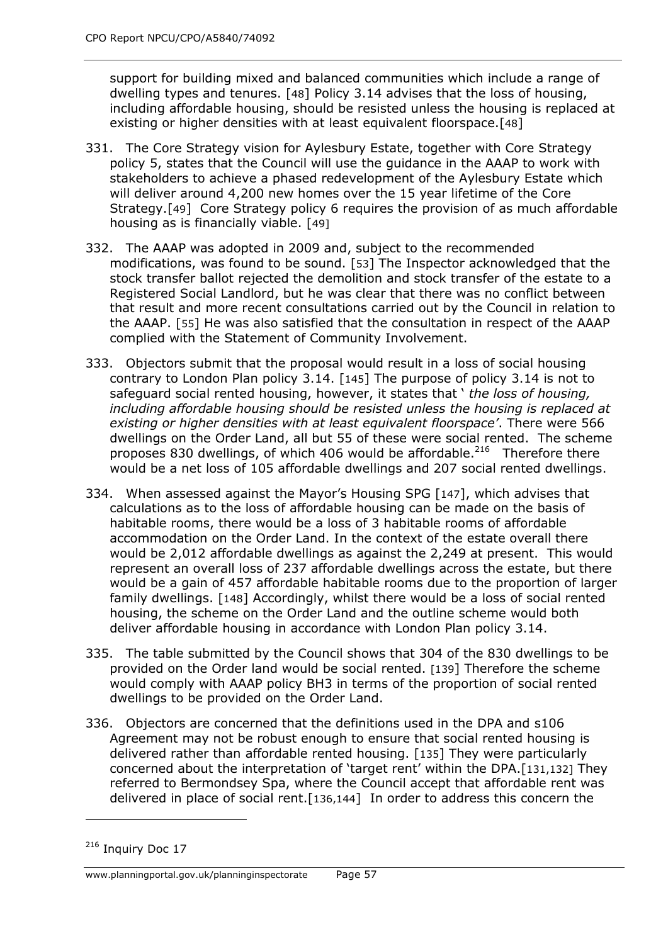support for building mixed and balanced communities which include a range of dwelling types and tenures. [48] Policy 3.14 advises that the loss of housing, including affordable housing, should be resisted unless the housing is replaced at existing or higher densities with at least equivalent floorspace.[48]

- 331. The Core Strategy vision for Aylesbury Estate, together with Core Strategy policy 5, states that the Council will use the guidance in the AAAP to work with stakeholders to achieve a phased redevelopment of the Aylesbury Estate which will deliver around 4,200 new homes over the 15 year lifetime of the Core Strategy.[49] Core Strategy policy 6 requires the provision of as much affordable housing as is financially viable. [49]
- 332. The AAAP was adopted in 2009 and, subject to the recommended modifications, was found to be sound. [53] The Inspector acknowledged that the stock transfer ballot rejected the demolition and stock transfer of the estate to a Registered Social Landlord, but he was clear that there was no conflict between that result and more recent consultations carried out by the Council in relation to the AAAP. [55] He was also satisfied that the consultation in respect of the AAAP complied with the Statement of Community Involvement.
- 333. Objectors submit that the proposal would result in a loss of social housing contrary to London Plan policy 3.14. [145] The purpose of policy 3.14 is not to safeguard social rented housing, however, it states that ' *the loss of housing, including affordable housing should be resisted unless the housing is replaced at existing or higher densities with at least equivalent floorspace'*. There were 566 dwellings on the Order Land, all but 55 of these were social rented. The scheme proposes 830 dwellings, of which 406 would be affordable.<sup>216</sup> Therefore there would be a net loss of 105 affordable dwellings and 207 social rented dwellings.
- 334. When assessed against the Mayor's Housing SPG [147], which advises that calculations as to the loss of affordable housing can be made on the basis of habitable rooms, there would be a loss of 3 habitable rooms of affordable accommodation on the Order Land. In the context of the estate overall there would be 2,012 affordable dwellings as against the 2,249 at present. This would represent an overall loss of 237 affordable dwellings across the estate, but there would be a gain of 457 affordable habitable rooms due to the proportion of larger family dwellings. [148] Accordingly, whilst there would be a loss of social rented housing, the scheme on the Order Land and the outline scheme would both deliver affordable housing in accordance with London Plan policy 3.14.
- 335. The table submitted by the Council shows that 304 of the 830 dwellings to be provided on the Order land would be social rented. [139] Therefore the scheme would comply with AAAP policy BH3 in terms of the proportion of social rented dwellings to be provided on the Order Land.
- 336. Objectors are concerned that the definitions used in the DPA and s106 Agreement may not be robust enough to ensure that social rented housing is delivered rather than affordable rented housing. [135] They were particularly concerned about the interpretation of 'target rent' within the DPA.[131,132] They referred to Bermondsey Spa, where the Council accept that affordable rent was delivered in place of social rent.[136,144] In order to address this concern the

<sup>&</sup>lt;sup>216</sup> Inquiry Doc 17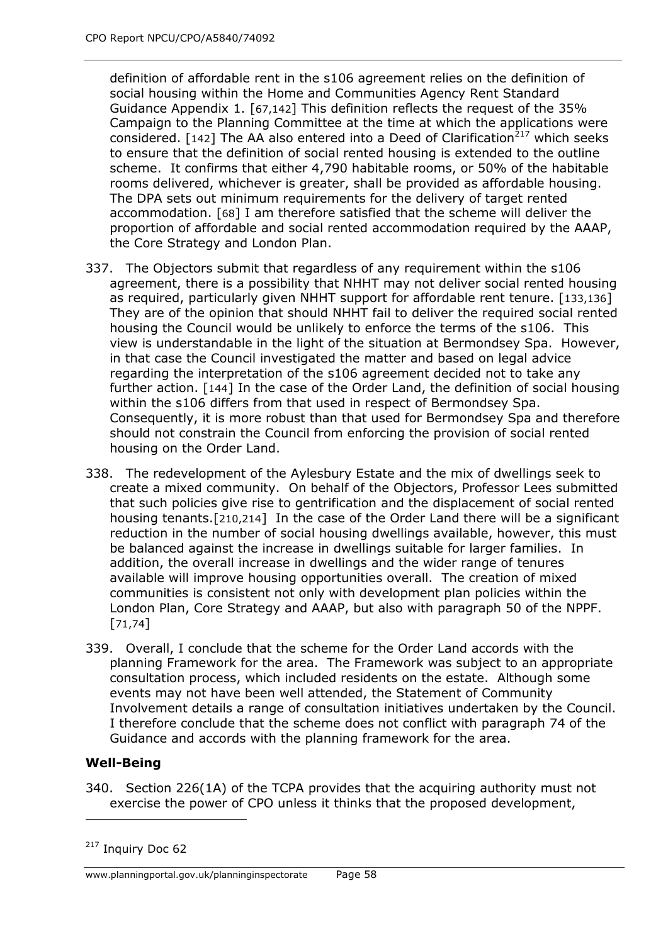definition of affordable rent in the s106 agreement relies on the definition of social housing within the Home and Communities Agency Rent Standard Guidance Appendix 1. [67,142] This definition reflects the request of the 35% Campaign to the Planning Committee at the time at which the applications were considered. [142] The AA also entered into a Deed of Clarification<sup>217</sup> which seeks to ensure that the definition of social rented housing is extended to the outline scheme. It confirms that either 4,790 habitable rooms, or 50% of the habitable rooms delivered, whichever is greater, shall be provided as affordable housing. The DPA sets out minimum requirements for the delivery of target rented accommodation. [68] I am therefore satisfied that the scheme will deliver the proportion of affordable and social rented accommodation required by the AAAP, the Core Strategy and London Plan.

- 337. The Objectors submit that regardless of any requirement within the s106 agreement, there is a possibility that NHHT may not deliver social rented housing as required, particularly given NHHT support for affordable rent tenure. [133,136] They are of the opinion that should NHHT fail to deliver the required social rented housing the Council would be unlikely to enforce the terms of the s106. This view is understandable in the light of the situation at Bermondsey Spa. However, in that case the Council investigated the matter and based on legal advice regarding the interpretation of the s106 agreement decided not to take any further action. [144] In the case of the Order Land, the definition of social housing within the s106 differs from that used in respect of Bermondsey Spa. Consequently, it is more robust than that used for Bermondsey Spa and therefore should not constrain the Council from enforcing the provision of social rented housing on the Order Land.
- 338. The redevelopment of the Aylesbury Estate and the mix of dwellings seek to create a mixed community. On behalf of the Objectors, Professor Lees submitted that such policies give rise to gentrification and the displacement of social rented housing tenants.[210,214] In the case of the Order Land there will be a significant reduction in the number of social housing dwellings available, however, this must be balanced against the increase in dwellings suitable for larger families. In addition, the overall increase in dwellings and the wider range of tenures available will improve housing opportunities overall. The creation of mixed communities is consistent not only with development plan policies within the London Plan, Core Strategy and AAAP, but also with paragraph 50 of the NPPF. [71,74]
- 339. Overall, I conclude that the scheme for the Order Land accords with the planning Framework for the area. The Framework was subject to an appropriate consultation process, which included residents on the estate. Although some events may not have been well attended, the Statement of Community Involvement details a range of consultation initiatives undertaken by the Council. I therefore conclude that the scheme does not conflict with paragraph 74 of the Guidance and accords with the planning framework for the area.

### **Well-Being**

j

340. Section 226(1A) of the TCPA provides that the acquiring authority must not exercise the power of CPO unless it thinks that the proposed development,

<sup>&</sup>lt;sup>217</sup> Inquiry Doc 62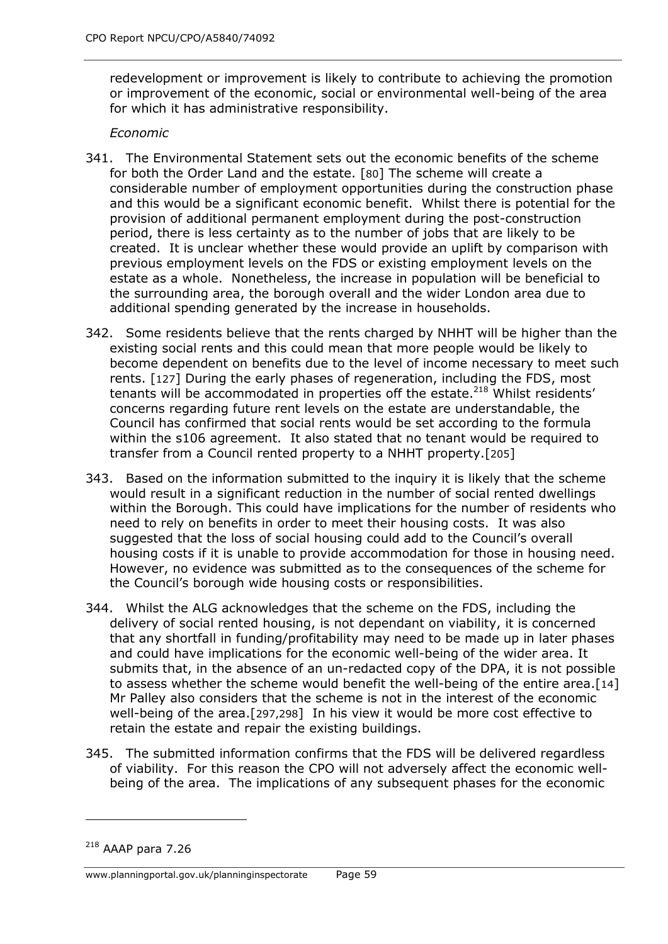redevelopment or improvement is likely to contribute to achieving the promotion or improvement of the economic, social or environmental well-being of the area for which it has administrative responsibility.

#### *Economic*

- 341. The Environmental Statement sets out the economic benefits of the scheme for both the Order Land and the estate. [80] The scheme will create a considerable number of employment opportunities during the construction phase and this would be a significant economic benefit. Whilst there is potential for the provision of additional permanent employment during the post-construction period, there is less certainty as to the number of jobs that are likely to be created. It is unclear whether these would provide an uplift by comparison with previous employment levels on the FDS or existing employment levels on the estate as a whole. Nonetheless, the increase in population will be beneficial to the surrounding area, the borough overall and the wider London area due to additional spending generated by the increase in households.
- 342. Some residents believe that the rents charged by NHHT will be higher than the existing social rents and this could mean that more people would be likely to become dependent on benefits due to the level of income necessary to meet such rents. [127] During the early phases of regeneration, including the FDS, most tenants will be accommodated in properties off the estate. $218$  Whilst residents' concerns regarding future rent levels on the estate are understandable, the Council has confirmed that social rents would be set according to the formula within the s106 agreement. It also stated that no tenant would be required to transfer from a Council rented property to a NHHT property.[205]
- 343. Based on the information submitted to the inquiry it is likely that the scheme would result in a significant reduction in the number of social rented dwellings within the Borough. This could have implications for the number of residents who need to rely on benefits in order to meet their housing costs. It was also suggested that the loss of social housing could add to the Council's overall housing costs if it is unable to provide accommodation for those in housing need. However, no evidence was submitted as to the consequences of the scheme for the Council's borough wide housing costs or responsibilities.
- 344. Whilst the ALG acknowledges that the scheme on the FDS, including the delivery of social rented housing, is not dependant on viability, it is concerned that any shortfall in funding/profitability may need to be made up in later phases and could have implications for the economic well-being of the wider area. It submits that, in the absence of an un-redacted copy of the DPA, it is not possible to assess whether the scheme would benefit the well-being of the entire area.[14] Mr Palley also considers that the scheme is not in the interest of the economic well-being of the area.[297,298] In his view it would be more cost effective to retain the estate and repair the existing buildings.
- 345. The submitted information confirms that the FDS will be delivered regardless of viability. For this reason the CPO will not adversely affect the economic wellbeing of the area. The implications of any subsequent phases for the economic

<sup>218</sup> AAAP para 7.26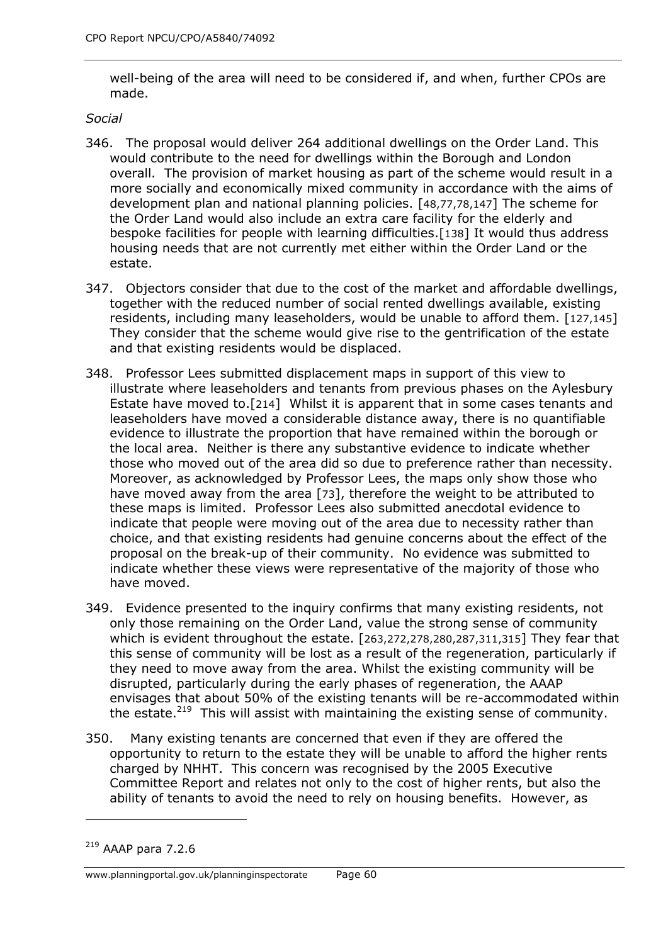well-being of the area will need to be considered if, and when, further CPOs are made.

#### *Social*

- 346. The proposal would deliver 264 additional dwellings on the Order Land. This would contribute to the need for dwellings within the Borough and London overall. The provision of market housing as part of the scheme would result in a more socially and economically mixed community in accordance with the aims of development plan and national planning policies. [48,77,78,147] The scheme for the Order Land would also include an extra care facility for the elderly and bespoke facilities for people with learning difficulties.[138] It would thus address housing needs that are not currently met either within the Order Land or the estate.
- 347. Objectors consider that due to the cost of the market and affordable dwellings, together with the reduced number of social rented dwellings available, existing residents, including many leaseholders, would be unable to afford them. [127,145] They consider that the scheme would give rise to the gentrification of the estate and that existing residents would be displaced.
- 348. Professor Lees submitted displacement maps in support of this view to illustrate where leaseholders and tenants from previous phases on the Aylesbury Estate have moved to.[214] Whilst it is apparent that in some cases tenants and leaseholders have moved a considerable distance away, there is no quantifiable evidence to illustrate the proportion that have remained within the borough or the local area. Neither is there any substantive evidence to indicate whether those who moved out of the area did so due to preference rather than necessity. Moreover, as acknowledged by Professor Lees, the maps only show those who have moved away from the area [73], therefore the weight to be attributed to these maps is limited. Professor Lees also submitted anecdotal evidence to indicate that people were moving out of the area due to necessity rather than choice, and that existing residents had genuine concerns about the effect of the proposal on the break-up of their community. No evidence was submitted to indicate whether these views were representative of the majority of those who have moved.
- 349. Evidence presented to the inquiry confirms that many existing residents, not only those remaining on the Order Land, value the strong sense of community which is evident throughout the estate. [263,272,278,280,287,311,315] They fear that this sense of community will be lost as a result of the regeneration, particularly if they need to move away from the area. Whilst the existing community will be disrupted, particularly during the early phases of regeneration, the AAAP envisages that about 50% of the existing tenants will be re-accommodated within the estate.<sup>219</sup> This will assist with maintaining the existing sense of community.
- 350. Many existing tenants are concerned that even if they are offered the opportunity to return to the estate they will be unable to afford the higher rents charged by NHHT. This concern was recognised by the 2005 Executive Committee Report and relates not only to the cost of higher rents, but also the ability of tenants to avoid the need to rely on housing benefits. However, as

<sup>219</sup> AAAP para 7.2.6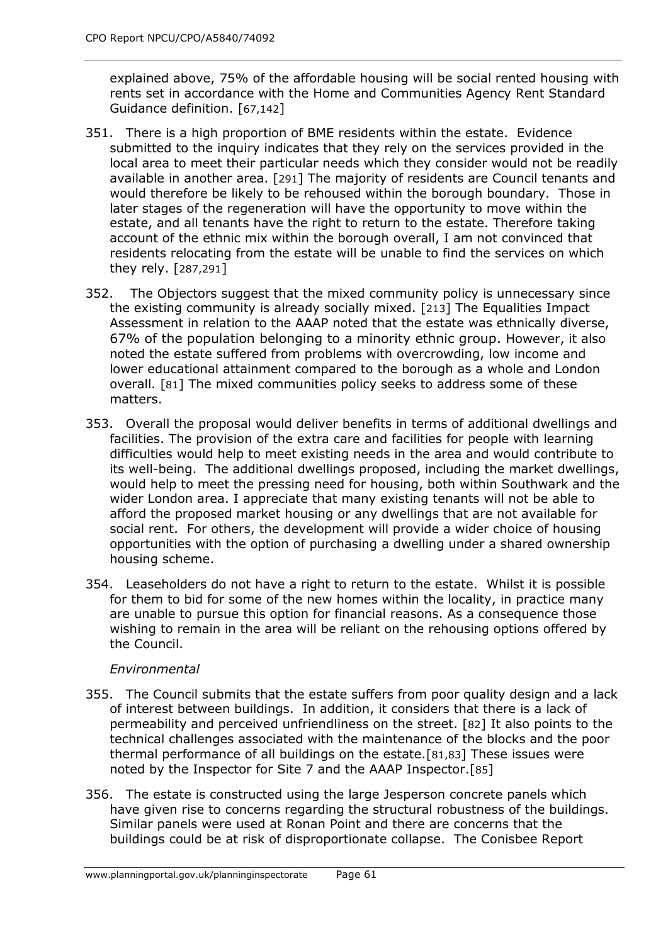explained above, 75% of the affordable housing will be social rented housing with rents set in accordance with the Home and Communities Agency Rent Standard Guidance definition. [67,142]

- 351. There is a high proportion of BME residents within the estate. Evidence submitted to the inquiry indicates that they rely on the services provided in the local area to meet their particular needs which they consider would not be readily available in another area. [291] The majority of residents are Council tenants and would therefore be likely to be rehoused within the borough boundary. Those in later stages of the regeneration will have the opportunity to move within the estate, and all tenants have the right to return to the estate. Therefore taking account of the ethnic mix within the borough overall, I am not convinced that residents relocating from the estate will be unable to find the services on which they rely. [287,291]
- 352. The Objectors suggest that the mixed community policy is unnecessary since the existing community is already socially mixed. [213] The Equalities Impact Assessment in relation to the AAAP noted that the estate was ethnically diverse, 67% of the population belonging to a minority ethnic group. However, it also noted the estate suffered from problems with overcrowding, low income and lower educational attainment compared to the borough as a whole and London overall. [81] The mixed communities policy seeks to address some of these matters.
- 353. Overall the proposal would deliver benefits in terms of additional dwellings and facilities. The provision of the extra care and facilities for people with learning difficulties would help to meet existing needs in the area and would contribute to its well-being. The additional dwellings proposed, including the market dwellings, would help to meet the pressing need for housing, both within Southwark and the wider London area. I appreciate that many existing tenants will not be able to afford the proposed market housing or any dwellings that are not available for social rent. For others, the development will provide a wider choice of housing opportunities with the option of purchasing a dwelling under a shared ownership housing scheme.
- 354. Leaseholders do not have a right to return to the estate. Whilst it is possible for them to bid for some of the new homes within the locality, in practice many are unable to pursue this option for financial reasons. As a consequence those wishing to remain in the area will be reliant on the rehousing options offered by the Council.

### *Environmental*

- 355. The Council submits that the estate suffers from poor quality design and a lack of interest between buildings. In addition, it considers that there is a lack of permeability and perceived unfriendliness on the street. [82] It also points to the technical challenges associated with the maintenance of the blocks and the poor thermal performance of all buildings on the estate.[81,83] These issues were noted by the Inspector for Site 7 and the AAAP Inspector.[85]
- 356. The estate is constructed using the large Jesperson concrete panels which have given rise to concerns regarding the structural robustness of the buildings. Similar panels were used at Ronan Point and there are concerns that the buildings could be at risk of disproportionate collapse. The Conisbee Report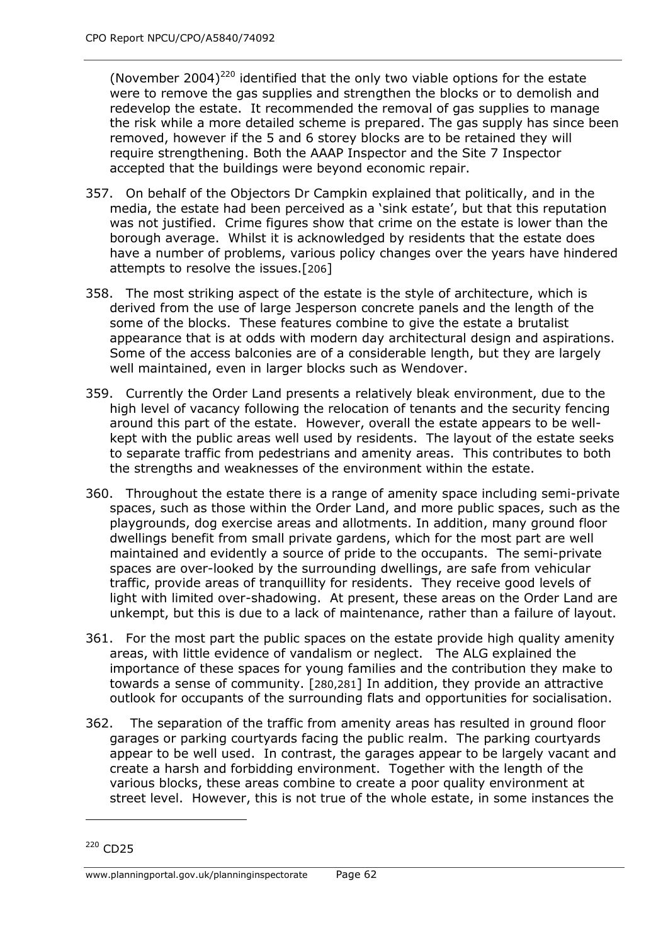(November 2004)<sup>220</sup> identified that the only two viable options for the estate were to remove the gas supplies and strengthen the blocks or to demolish and redevelop the estate. It recommended the removal of gas supplies to manage the risk while a more detailed scheme is prepared. The gas supply has since been removed, however if the 5 and 6 storey blocks are to be retained they will require strengthening. Both the AAAP Inspector and the Site 7 Inspector accepted that the buildings were beyond economic repair.

- 357. On behalf of the Objectors Dr Campkin explained that politically, and in the media, the estate had been perceived as a 'sink estate', but that this reputation was not justified. Crime figures show that crime on the estate is lower than the borough average. Whilst it is acknowledged by residents that the estate does have a number of problems, various policy changes over the years have hindered attempts to resolve the issues.[206]
- 358. The most striking aspect of the estate is the style of architecture, which is derived from the use of large Jesperson concrete panels and the length of the some of the blocks. These features combine to give the estate a brutalist appearance that is at odds with modern day architectural design and aspirations. Some of the access balconies are of a considerable length, but they are largely well maintained, even in larger blocks such as Wendover.
- 359. Currently the Order Land presents a relatively bleak environment, due to the high level of vacancy following the relocation of tenants and the security fencing around this part of the estate. However, overall the estate appears to be wellkept with the public areas well used by residents. The layout of the estate seeks to separate traffic from pedestrians and amenity areas. This contributes to both the strengths and weaknesses of the environment within the estate.
- 360. Throughout the estate there is a range of amenity space including semi-private spaces, such as those within the Order Land, and more public spaces, such as the playgrounds, dog exercise areas and allotments. In addition, many ground floor dwellings benefit from small private gardens, which for the most part are well maintained and evidently a source of pride to the occupants. The semi-private spaces are over-looked by the surrounding dwellings, are safe from vehicular traffic, provide areas of tranquillity for residents. They receive good levels of light with limited over-shadowing. At present, these areas on the Order Land are unkempt, but this is due to a lack of maintenance, rather than a failure of layout.
- 361. For the most part the public spaces on the estate provide high quality amenity areas, with little evidence of vandalism or neglect. The ALG explained the importance of these spaces for young families and the contribution they make to towards a sense of community. [280,281] In addition, they provide an attractive outlook for occupants of the surrounding flats and opportunities for socialisation.
- 362. The separation of the traffic from amenity areas has resulted in ground floor garages or parking courtyards facing the public realm. The parking courtyards appear to be well used. In contrast, the garages appear to be largely vacant and create a harsh and forbidding environment. Together with the length of the various blocks, these areas combine to create a poor quality environment at street level. However, this is not true of the whole estate, in some instances the

<sup>220</sup> CD25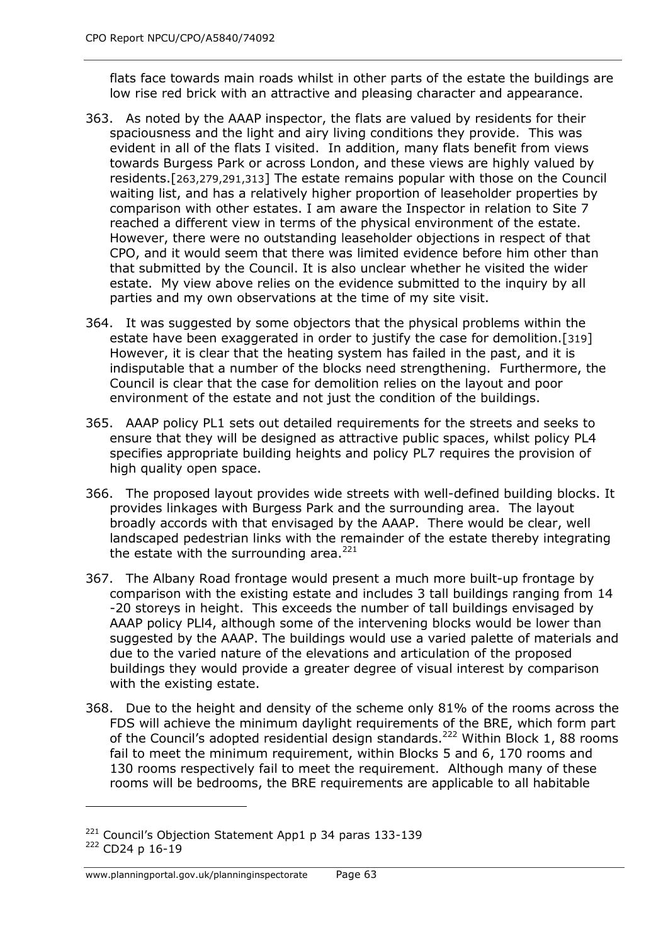flats face towards main roads whilst in other parts of the estate the buildings are low rise red brick with an attractive and pleasing character and appearance.

- 363. As noted by the AAAP inspector, the flats are valued by residents for their spaciousness and the light and airy living conditions they provide. This was evident in all of the flats I visited. In addition, many flats benefit from views towards Burgess Park or across London, and these views are highly valued by residents.[263,279,291,313] The estate remains popular with those on the Council waiting list, and has a relatively higher proportion of leaseholder properties by comparison with other estates. I am aware the Inspector in relation to Site 7 reached a different view in terms of the physical environment of the estate. However, there were no outstanding leaseholder objections in respect of that CPO, and it would seem that there was limited evidence before him other than that submitted by the Council. It is also unclear whether he visited the wider estate. My view above relies on the evidence submitted to the inquiry by all parties and my own observations at the time of my site visit.
- 364. It was suggested by some objectors that the physical problems within the estate have been exaggerated in order to justify the case for demolition.[319] However, it is clear that the heating system has failed in the past, and it is indisputable that a number of the blocks need strengthening. Furthermore, the Council is clear that the case for demolition relies on the layout and poor environment of the estate and not just the condition of the buildings.
- 365. AAAP policy PL1 sets out detailed requirements for the streets and seeks to ensure that they will be designed as attractive public spaces, whilst policy PL4 specifies appropriate building heights and policy PL7 requires the provision of high quality open space.
- 366. The proposed layout provides wide streets with well-defined building blocks. It provides linkages with Burgess Park and the surrounding area. The layout broadly accords with that envisaged by the AAAP. There would be clear, well landscaped pedestrian links with the remainder of the estate thereby integrating the estate with the surrounding area. $221$
- 367. The Albany Road frontage would present a much more built-up frontage by comparison with the existing estate and includes 3 tall buildings ranging from 14 -20 storeys in height. This exceeds the number of tall buildings envisaged by AAAP policy PLl4, although some of the intervening blocks would be lower than suggested by the AAAP. The buildings would use a varied palette of materials and due to the varied nature of the elevations and articulation of the proposed buildings they would provide a greater degree of visual interest by comparison with the existing estate.
- 368. Due to the height and density of the scheme only 81% of the rooms across the FDS will achieve the minimum daylight requirements of the BRE, which form part of the Council's adopted residential design standards.<sup>222</sup> Within Block 1, 88 rooms fail to meet the minimum requirement, within Blocks 5 and 6, 170 rooms and 130 rooms respectively fail to meet the requirement. Although many of these rooms will be bedrooms, the BRE requirements are applicable to all habitable

 $221$  Council's Objection Statement App1 p 34 paras 133-139 <sup>222</sup> CD24 p 16-19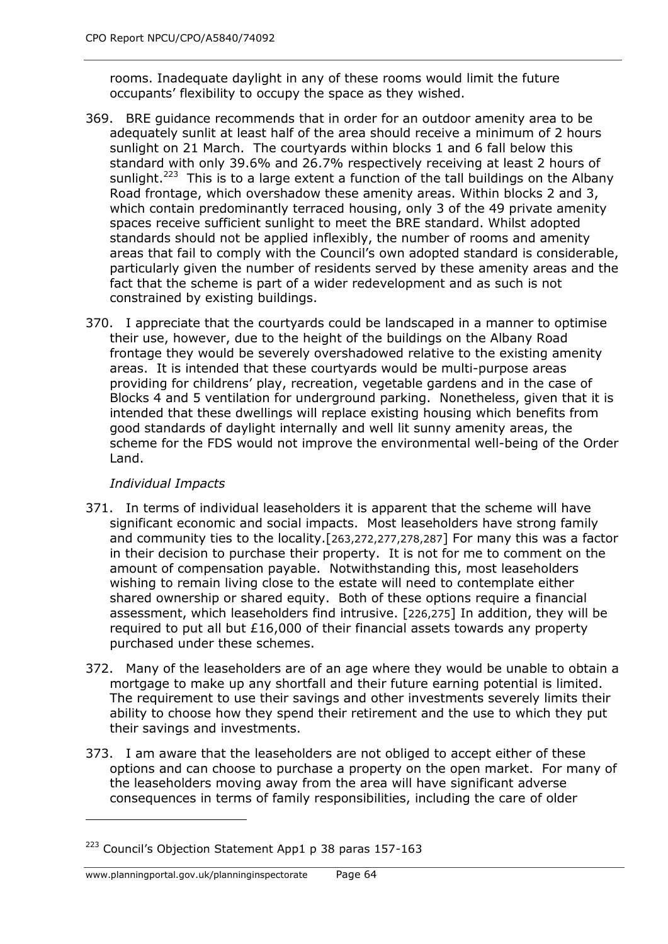rooms. Inadequate daylight in any of these rooms would limit the future occupants' flexibility to occupy the space as they wished.

- 369. BRE guidance recommends that in order for an outdoor amenity area to be adequately sunlit at least half of the area should receive a minimum of 2 hours sunlight on 21 March. The courtyards within blocks 1 and 6 fall below this standard with only 39.6% and 26.7% respectively receiving at least 2 hours of sunlight.<sup>223</sup> This is to a large extent a function of the tall buildings on the Albany Road frontage, which overshadow these amenity areas. Within blocks 2 and 3, which contain predominantly terraced housing, only 3 of the 49 private amenity spaces receive sufficient sunlight to meet the BRE standard. Whilst adopted standards should not be applied inflexibly, the number of rooms and amenity areas that fail to comply with the Council's own adopted standard is considerable, particularly given the number of residents served by these amenity areas and the fact that the scheme is part of a wider redevelopment and as such is not constrained by existing buildings.
- 370. I appreciate that the courtyards could be landscaped in a manner to optimise their use, however, due to the height of the buildings on the Albany Road frontage they would be severely overshadowed relative to the existing amenity areas. It is intended that these courtyards would be multi-purpose areas providing for childrens' play, recreation, vegetable gardens and in the case of Blocks 4 and 5 ventilation for underground parking. Nonetheless, given that it is intended that these dwellings will replace existing housing which benefits from good standards of daylight internally and well lit sunny amenity areas, the scheme for the FDS would not improve the environmental well-being of the Order Land.

### *Individual Impacts*

- 371. In terms of individual leaseholders it is apparent that the scheme will have significant economic and social impacts. Most leaseholders have strong family and community ties to the locality.[263,272,277,278,287] For many this was a factor in their decision to purchase their property. It is not for me to comment on the amount of compensation payable. Notwithstanding this, most leaseholders wishing to remain living close to the estate will need to contemplate either shared ownership or shared equity. Both of these options require a financial assessment, which leaseholders find intrusive. [226,275] In addition, they will be required to put all but £16,000 of their financial assets towards any property purchased under these schemes.
- 372. Many of the leaseholders are of an age where they would be unable to obtain a mortgage to make up any shortfall and their future earning potential is limited. The requirement to use their savings and other investments severely limits their ability to choose how they spend their retirement and the use to which they put their savings and investments.
- 373. I am aware that the leaseholders are not obliged to accept either of these options and can choose to purchase a property on the open market. For many of the leaseholders moving away from the area will have significant adverse consequences in terms of family responsibilities, including the care of older

<sup>&</sup>lt;sup>223</sup> Council's Objection Statement App1 p 38 paras 157-163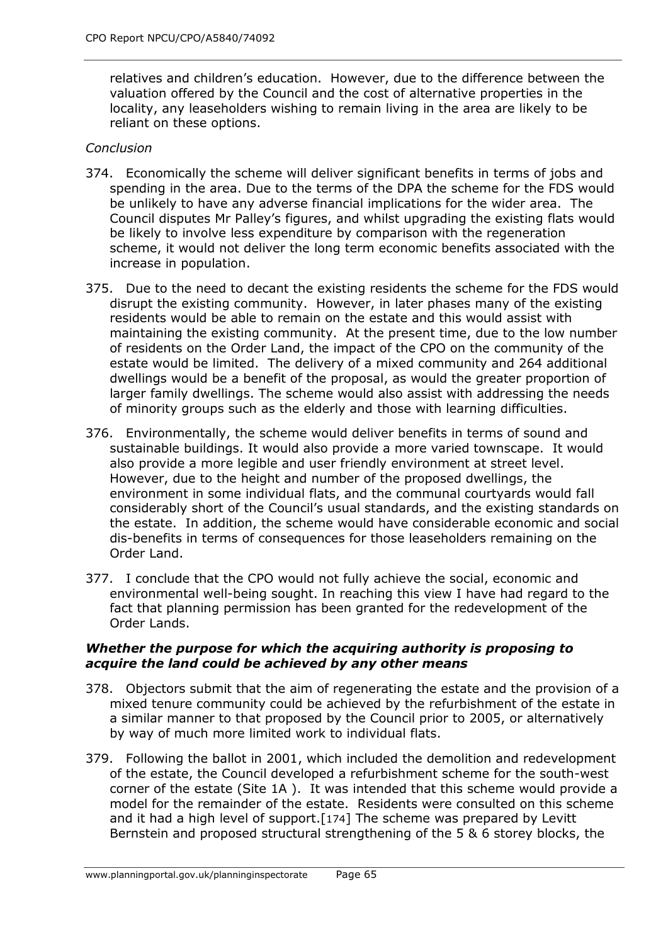relatives and children's education. However, due to the difference between the valuation offered by the Council and the cost of alternative properties in the locality, any leaseholders wishing to remain living in the area are likely to be reliant on these options.

#### *Conclusion*

- 374. Economically the scheme will deliver significant benefits in terms of jobs and spending in the area. Due to the terms of the DPA the scheme for the FDS would be unlikely to have any adverse financial implications for the wider area. The Council disputes Mr Palley's figures, and whilst upgrading the existing flats would be likely to involve less expenditure by comparison with the regeneration scheme, it would not deliver the long term economic benefits associated with the increase in population.
- 375. Due to the need to decant the existing residents the scheme for the FDS would disrupt the existing community. However, in later phases many of the existing residents would be able to remain on the estate and this would assist with maintaining the existing community. At the present time, due to the low number of residents on the Order Land, the impact of the CPO on the community of the estate would be limited. The delivery of a mixed community and 264 additional dwellings would be a benefit of the proposal, as would the greater proportion of larger family dwellings. The scheme would also assist with addressing the needs of minority groups such as the elderly and those with learning difficulties.
- 376. Environmentally, the scheme would deliver benefits in terms of sound and sustainable buildings. It would also provide a more varied townscape. It would also provide a more legible and user friendly environment at street level. However, due to the height and number of the proposed dwellings, the environment in some individual flats, and the communal courtyards would fall considerably short of the Council's usual standards, and the existing standards on the estate. In addition, the scheme would have considerable economic and social dis-benefits in terms of consequences for those leaseholders remaining on the Order Land.
- 377. I conclude that the CPO would not fully achieve the social, economic and environmental well-being sought. In reaching this view I have had regard to the fact that planning permission has been granted for the redevelopment of the Order Lands.

#### *Whether the purpose for which the acquiring authority is proposing to acquire the land could be achieved by any other means*

- 378. Objectors submit that the aim of regenerating the estate and the provision of a mixed tenure community could be achieved by the refurbishment of the estate in a similar manner to that proposed by the Council prior to 2005, or alternatively by way of much more limited work to individual flats.
- 379. Following the ballot in 2001, which included the demolition and redevelopment of the estate, the Council developed a refurbishment scheme for the south-west corner of the estate (Site 1A ). It was intended that this scheme would provide a model for the remainder of the estate. Residents were consulted on this scheme and it had a high level of support.[174] The scheme was prepared by Levitt Bernstein and proposed structural strengthening of the 5 & 6 storey blocks, the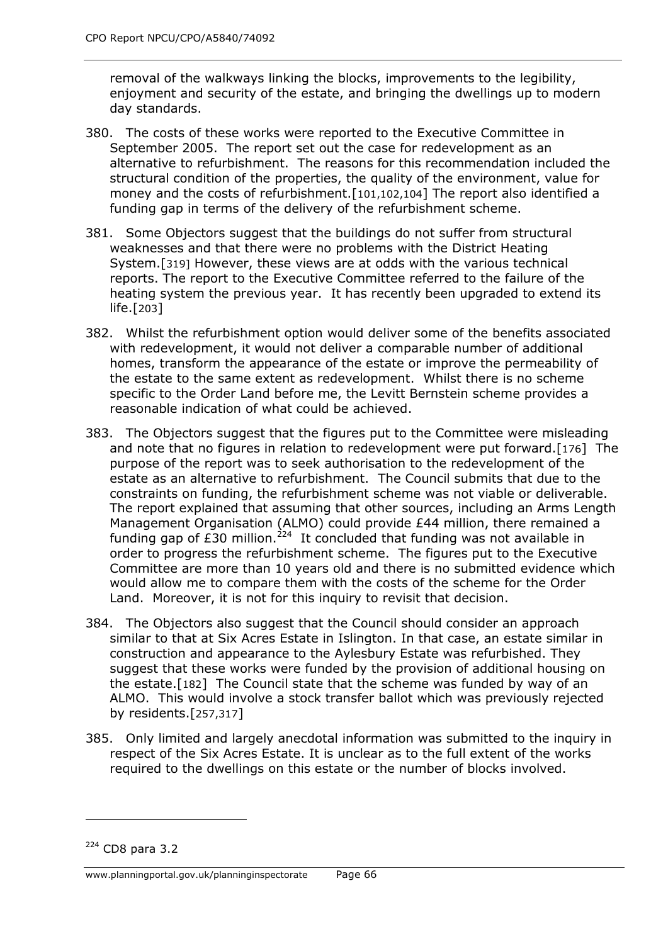removal of the walkways linking the blocks, improvements to the legibility, enjoyment and security of the estate, and bringing the dwellings up to modern day standards.

- 380. The costs of these works were reported to the Executive Committee in September 2005. The report set out the case for redevelopment as an alternative to refurbishment. The reasons for this recommendation included the structural condition of the properties, the quality of the environment, value for money and the costs of refurbishment.[101,102,104] The report also identified a funding gap in terms of the delivery of the refurbishment scheme.
- 381. Some Objectors suggest that the buildings do not suffer from structural weaknesses and that there were no problems with the District Heating System.[319] However, these views are at odds with the various technical reports. The report to the Executive Committee referred to the failure of the heating system the previous year. It has recently been upgraded to extend its life.[203]
- 382. Whilst the refurbishment option would deliver some of the benefits associated with redevelopment, it would not deliver a comparable number of additional homes, transform the appearance of the estate or improve the permeability of the estate to the same extent as redevelopment. Whilst there is no scheme specific to the Order Land before me, the Levitt Bernstein scheme provides a reasonable indication of what could be achieved.
- 383. The Objectors suggest that the figures put to the Committee were misleading and note that no figures in relation to redevelopment were put forward.[176] The purpose of the report was to seek authorisation to the redevelopment of the estate as an alternative to refurbishment. The Council submits that due to the constraints on funding, the refurbishment scheme was not viable or deliverable. The report explained that assuming that other sources, including an Arms Length Management Organisation (ALMO) could provide £44 million, there remained a funding gap of  $\tilde{2}30$  million.<sup>224</sup> It concluded that funding was not available in order to progress the refurbishment scheme. The figures put to the Executive Committee are more than 10 years old and there is no submitted evidence which would allow me to compare them with the costs of the scheme for the Order Land. Moreover, it is not for this inquiry to revisit that decision.
- 384. The Objectors also suggest that the Council should consider an approach similar to that at Six Acres Estate in Islington. In that case, an estate similar in construction and appearance to the Aylesbury Estate was refurbished. They suggest that these works were funded by the provision of additional housing on the estate.[182] The Council state that the scheme was funded by way of an ALMO. This would involve a stock transfer ballot which was previously rejected by residents.[257,317]
- 385. Only limited and largely anecdotal information was submitted to the inquiry in respect of the Six Acres Estate. It is unclear as to the full extent of the works required to the dwellings on this estate or the number of blocks involved.

<sup>224</sup> CD8 para 3.2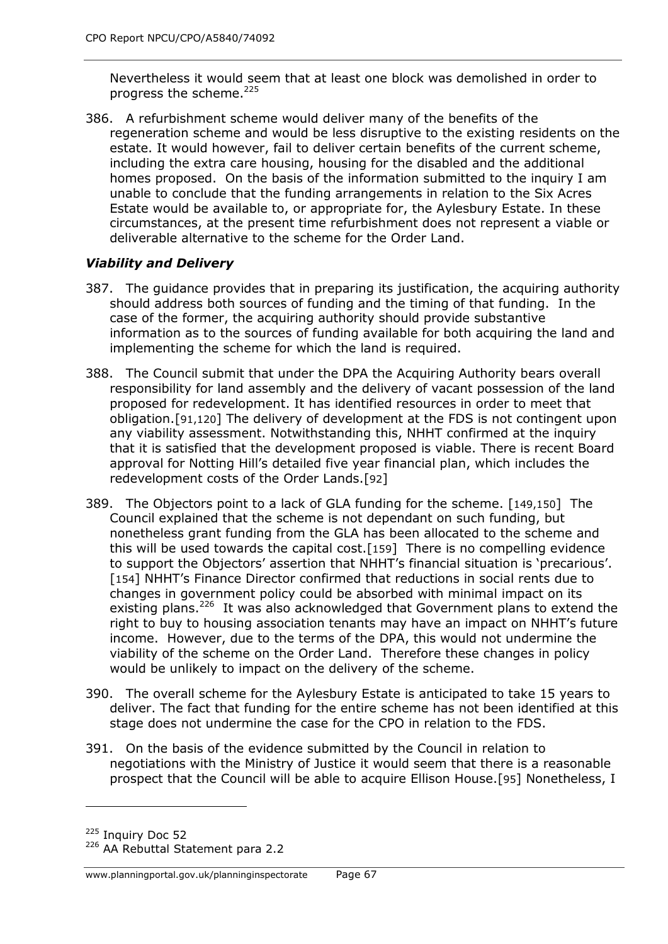Nevertheless it would seem that at least one block was demolished in order to progress the scheme.<sup>225</sup>

386. A refurbishment scheme would deliver many of the benefits of the regeneration scheme and would be less disruptive to the existing residents on the estate. It would however, fail to deliver certain benefits of the current scheme, including the extra care housing, housing for the disabled and the additional homes proposed. On the basis of the information submitted to the inquiry I am unable to conclude that the funding arrangements in relation to the Six Acres Estate would be available to, or appropriate for, the Aylesbury Estate. In these circumstances, at the present time refurbishment does not represent a viable or deliverable alternative to the scheme for the Order Land.

### *Viability and Delivery*

- 387. The guidance provides that in preparing its justification, the acquiring authority should address both sources of funding and the timing of that funding. In the case of the former, the acquiring authority should provide substantive information as to the sources of funding available for both acquiring the land and implementing the scheme for which the land is required.
- 388. The Council submit that under the DPA the Acquiring Authority bears overall responsibility for land assembly and the delivery of vacant possession of the land proposed for redevelopment. It has identified resources in order to meet that obligation.[91,120] The delivery of development at the FDS is not contingent upon any viability assessment. Notwithstanding this, NHHT confirmed at the inquiry that it is satisfied that the development proposed is viable. There is recent Board approval for Notting Hill's detailed five year financial plan, which includes the redevelopment costs of the Order Lands.[92]
- 389. The Objectors point to a lack of GLA funding for the scheme. [149,150] The Council explained that the scheme is not dependant on such funding, but nonetheless grant funding from the GLA has been allocated to the scheme and this will be used towards the capital cost.[159] There is no compelling evidence to support the Objectors' assertion that NHHT's financial situation is 'precarious'. [154] NHHT's Finance Director confirmed that reductions in social rents due to changes in government policy could be absorbed with minimal impact on its existing plans.<sup>226</sup> It was also acknowledged that Government plans to extend the right to buy to housing association tenants may have an impact on NHHT's future income. However, due to the terms of the DPA, this would not undermine the viability of the scheme on the Order Land. Therefore these changes in policy would be unlikely to impact on the delivery of the scheme.
- 390. The overall scheme for the Aylesbury Estate is anticipated to take 15 years to deliver. The fact that funding for the entire scheme has not been identified at this stage does not undermine the case for the CPO in relation to the FDS.
- 391. On the basis of the evidence submitted by the Council in relation to negotiations with the Ministry of Justice it would seem that there is a reasonable prospect that the Council will be able to acquire Ellison House.[95] Nonetheless, I

<sup>&</sup>lt;sup>225</sup> Inquiry Doc 52

<sup>&</sup>lt;sup>226</sup> AA Rebuttal Statement para 2.2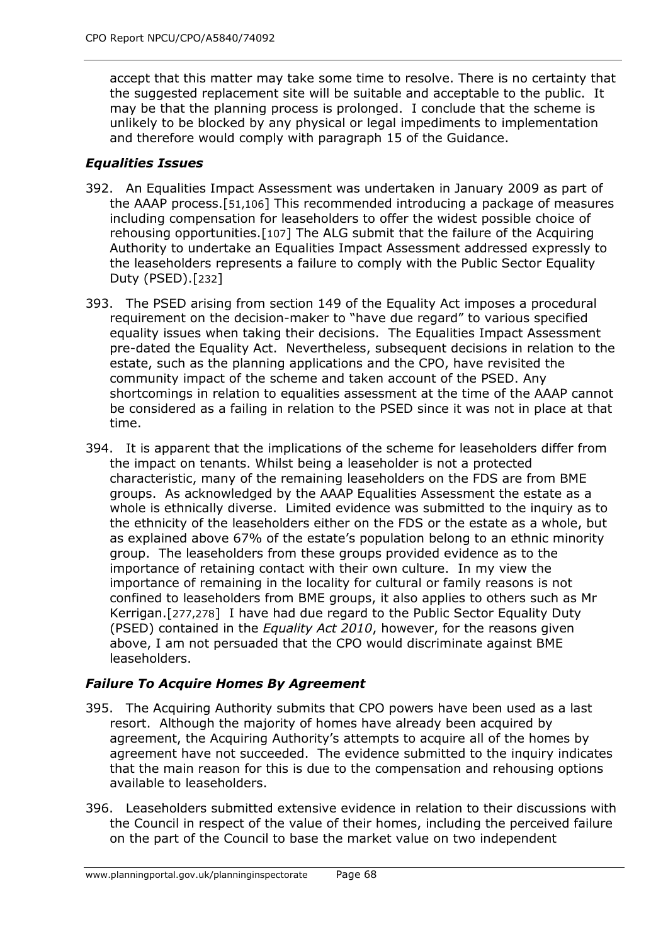accept that this matter may take some time to resolve. There is no certainty that the suggested replacement site will be suitable and acceptable to the public. It may be that the planning process is prolonged. I conclude that the scheme is unlikely to be blocked by any physical or legal impediments to implementation and therefore would comply with paragraph 15 of the Guidance.

# *Equalities Issues*

- 392. An Equalities Impact Assessment was undertaken in January 2009 as part of the AAAP process.[51,106] This recommended introducing a package of measures including compensation for leaseholders to offer the widest possible choice of rehousing opportunities.[107] The ALG submit that the failure of the Acquiring Authority to undertake an Equalities Impact Assessment addressed expressly to the leaseholders represents a failure to comply with the Public Sector Equality Duty (PSED).[232]
- 393. The PSED arising from section 149 of the Equality Act imposes a procedural requirement on the decision-maker to "have due regard" to various specified equality issues when taking their decisions. The Equalities Impact Assessment pre-dated the Equality Act. Nevertheless, subsequent decisions in relation to the estate, such as the planning applications and the CPO, have revisited the community impact of the scheme and taken account of the PSED. Any shortcomings in relation to equalities assessment at the time of the AAAP cannot be considered as a failing in relation to the PSED since it was not in place at that time.
- 394. It is apparent that the implications of the scheme for leaseholders differ from the impact on tenants. Whilst being a leaseholder is not a protected characteristic, many of the remaining leaseholders on the FDS are from BME groups. As acknowledged by the AAAP Equalities Assessment the estate as a whole is ethnically diverse. Limited evidence was submitted to the inquiry as to the ethnicity of the leaseholders either on the FDS or the estate as a whole, but as explained above 67% of the estate's population belong to an ethnic minority group. The leaseholders from these groups provided evidence as to the importance of retaining contact with their own culture. In my view the importance of remaining in the locality for cultural or family reasons is not confined to leaseholders from BME groups, it also applies to others such as Mr Kerrigan.[277,278] I have had due regard to the Public Sector Equality Duty (PSED) contained in the *Equality Act 2010*, however, for the reasons given above, I am not persuaded that the CPO would discriminate against BME leaseholders.

# *Failure To Acquire Homes By Agreement*

- 395. The Acquiring Authority submits that CPO powers have been used as a last resort. Although the majority of homes have already been acquired by agreement, the Acquiring Authority's attempts to acquire all of the homes by agreement have not succeeded. The evidence submitted to the inquiry indicates that the main reason for this is due to the compensation and rehousing options available to leaseholders.
- 396. Leaseholders submitted extensive evidence in relation to their discussions with the Council in respect of the value of their homes, including the perceived failure on the part of the Council to base the market value on two independent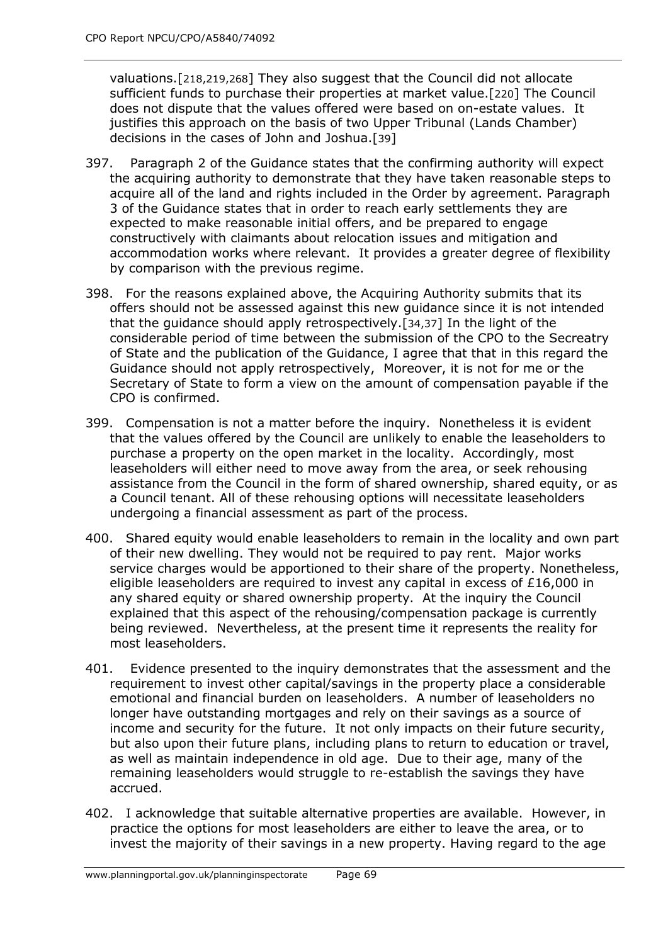valuations.[218,219,268] They also suggest that the Council did not allocate sufficient funds to purchase their properties at market value.[220] The Council does not dispute that the values offered were based on on-estate values. It justifies this approach on the basis of two Upper Tribunal (Lands Chamber) decisions in the cases of John and Joshua.[39]

- 397. Paragraph 2 of the Guidance states that the confirming authority will expect the acquiring authority to demonstrate that they have taken reasonable steps to acquire all of the land and rights included in the Order by agreement. Paragraph 3 of the Guidance states that in order to reach early settlements they are expected to make reasonable initial offers, and be prepared to engage constructively with claimants about relocation issues and mitigation and accommodation works where relevant. It provides a greater degree of flexibility by comparison with the previous regime.
- 398. For the reasons explained above, the Acquiring Authority submits that its offers should not be assessed against this new guidance since it is not intended that the guidance should apply retrospectively.[34,37] In the light of the considerable period of time between the submission of the CPO to the Secreatry of State and the publication of the Guidance, I agree that that in this regard the Guidance should not apply retrospectively, Moreover, it is not for me or the Secretary of State to form a view on the amount of compensation payable if the CPO is confirmed.
- 399. Compensation is not a matter before the inquiry. Nonetheless it is evident that the values offered by the Council are unlikely to enable the leaseholders to purchase a property on the open market in the locality. Accordingly, most leaseholders will either need to move away from the area, or seek rehousing assistance from the Council in the form of shared ownership, shared equity, or as a Council tenant. All of these rehousing options will necessitate leaseholders undergoing a financial assessment as part of the process.
- 400. Shared equity would enable leaseholders to remain in the locality and own part of their new dwelling. They would not be required to pay rent. Major works service charges would be apportioned to their share of the property. Nonetheless, eligible leaseholders are required to invest any capital in excess of  $£16,000$  in any shared equity or shared ownership property. At the inquiry the Council explained that this aspect of the rehousing/compensation package is currently being reviewed. Nevertheless, at the present time it represents the reality for most leaseholders.
- 401. Evidence presented to the inquiry demonstrates that the assessment and the requirement to invest other capital/savings in the property place a considerable emotional and financial burden on leaseholders. A number of leaseholders no longer have outstanding mortgages and rely on their savings as a source of income and security for the future. It not only impacts on their future security, but also upon their future plans, including plans to return to education or travel, as well as maintain independence in old age. Due to their age, many of the remaining leaseholders would struggle to re-establish the savings they have accrued.
- 402. I acknowledge that suitable alternative properties are available. However, in practice the options for most leaseholders are either to leave the area, or to invest the majority of their savings in a new property. Having regard to the age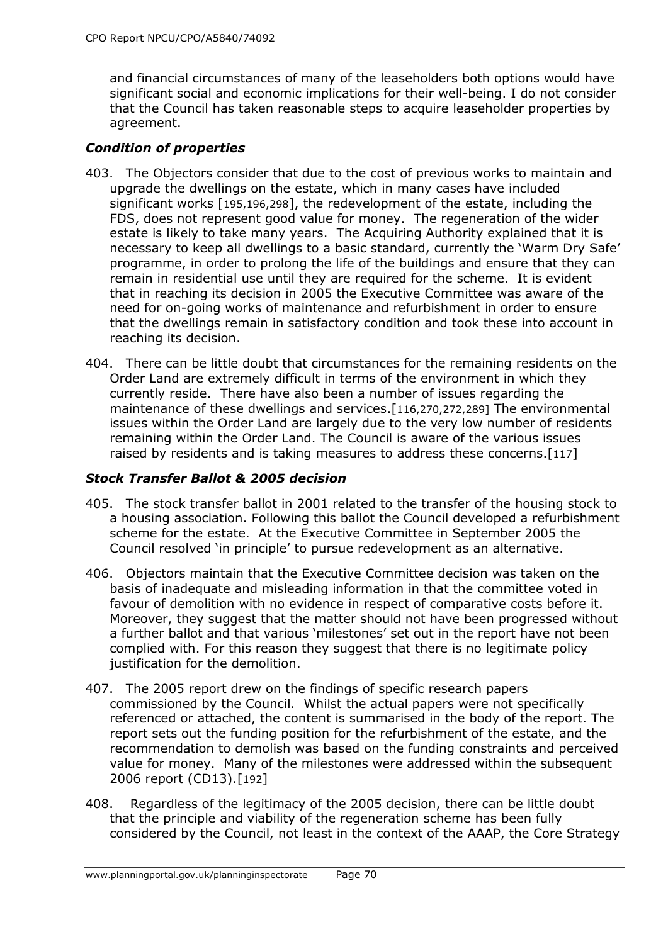and financial circumstances of many of the leaseholders both options would have significant social and economic implications for their well-being. I do not consider that the Council has taken reasonable steps to acquire leaseholder properties by agreement.

### *Condition of properties*

- 403. The Objectors consider that due to the cost of previous works to maintain and upgrade the dwellings on the estate, which in many cases have included significant works [195,196,298], the redevelopment of the estate, including the FDS, does not represent good value for money. The regeneration of the wider estate is likely to take many years. The Acquiring Authority explained that it is necessary to keep all dwellings to a basic standard, currently the 'Warm Dry Safe' programme, in order to prolong the life of the buildings and ensure that they can remain in residential use until they are required for the scheme. It is evident that in reaching its decision in 2005 the Executive Committee was aware of the need for on-going works of maintenance and refurbishment in order to ensure that the dwellings remain in satisfactory condition and took these into account in reaching its decision.
- 404. There can be little doubt that circumstances for the remaining residents on the Order Land are extremely difficult in terms of the environment in which they currently reside. There have also been a number of issues regarding the maintenance of these dwellings and services.[116,270,272,289] The environmental issues within the Order Land are largely due to the very low number of residents remaining within the Order Land. The Council is aware of the various issues raised by residents and is taking measures to address these concerns.[117]

### *Stock Transfer Ballot & 2005 decision*

- 405. The stock transfer ballot in 2001 related to the transfer of the housing stock to a housing association. Following this ballot the Council developed a refurbishment scheme for the estate. At the Executive Committee in September 2005 the Council resolved 'in principle' to pursue redevelopment as an alternative.
- 406. Objectors maintain that the Executive Committee decision was taken on the basis of inadequate and misleading information in that the committee voted in favour of demolition with no evidence in respect of comparative costs before it. Moreover, they suggest that the matter should not have been progressed without a further ballot and that various 'milestones' set out in the report have not been complied with. For this reason they suggest that there is no legitimate policy justification for the demolition.
- 407. The 2005 report drew on the findings of specific research papers commissioned by the Council. Whilst the actual papers were not specifically referenced or attached, the content is summarised in the body of the report. The report sets out the funding position for the refurbishment of the estate, and the recommendation to demolish was based on the funding constraints and perceived value for money. Many of the milestones were addressed within the subsequent 2006 report (CD13).[192]
- 408. Regardless of the legitimacy of the 2005 decision, there can be little doubt that the principle and viability of the regeneration scheme has been fully considered by the Council, not least in the context of the AAAP, the Core Strategy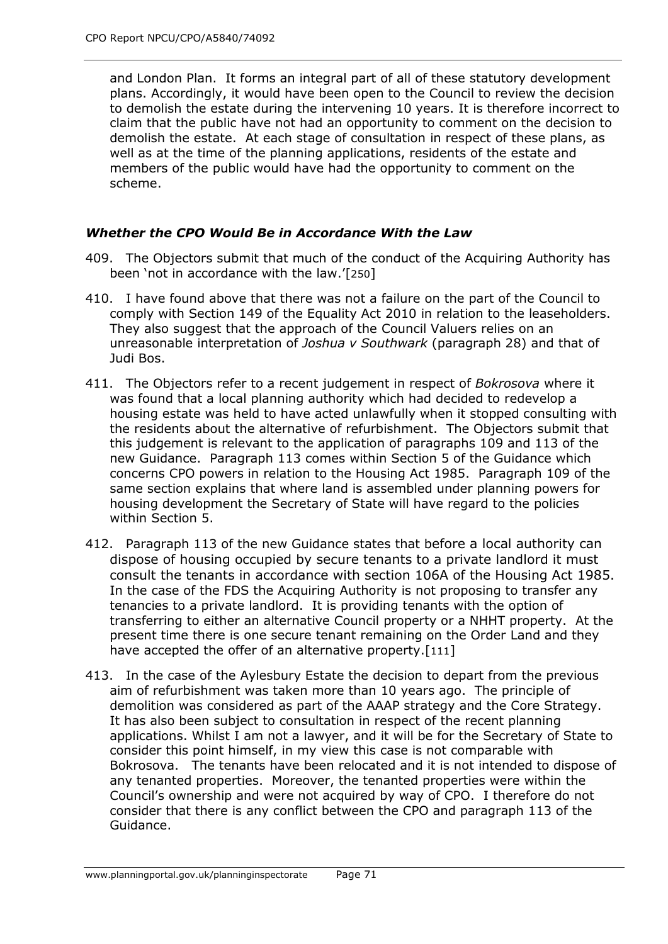and London Plan. It forms an integral part of all of these statutory development plans. Accordingly, it would have been open to the Council to review the decision to demolish the estate during the intervening 10 years. It is therefore incorrect to claim that the public have not had an opportunity to comment on the decision to demolish the estate. At each stage of consultation in respect of these plans, as well as at the time of the planning applications, residents of the estate and members of the public would have had the opportunity to comment on the scheme.

### *Whether the CPO Would Be in Accordance With the Law*

- 409. The Objectors submit that much of the conduct of the Acquiring Authority has been 'not in accordance with the law.'[250]
- 410. I have found above that there was not a failure on the part of the Council to comply with Section 149 of the Equality Act 2010 in relation to the leaseholders. They also suggest that the approach of the Council Valuers relies on an unreasonable interpretation of *Joshua v Southwark* (paragraph 28) and that of Judi Bos.
- 411. The Objectors refer to a recent judgement in respect of *Bokrosova* where it was found that a local planning authority which had decided to redevelop a housing estate was held to have acted unlawfully when it stopped consulting with the residents about the alternative of refurbishment. The Objectors submit that this judgement is relevant to the application of paragraphs 109 and 113 of the new Guidance. Paragraph 113 comes within Section 5 of the Guidance which concerns CPO powers in relation to the Housing Act 1985. Paragraph 109 of the same section explains that where land is assembled under planning powers for housing development the Secretary of State will have regard to the policies within Section 5.
- 412. Paragraph 113 of the new Guidance states that before a local authority can dispose of housing occupied by secure tenants to a private landlord it must consult the tenants in accordance with section 106A of the Housing Act 1985. In the case of the FDS the Acquiring Authority is not proposing to transfer any tenancies to a private landlord. It is providing tenants with the option of transferring to either an alternative Council property or a NHHT property. At the present time there is one secure tenant remaining on the Order Land and they have accepted the offer of an alternative property.[111]
- 413. In the case of the Aylesbury Estate the decision to depart from the previous aim of refurbishment was taken more than 10 years ago. The principle of demolition was considered as part of the AAAP strategy and the Core Strategy. It has also been subject to consultation in respect of the recent planning applications. Whilst I am not a lawyer, and it will be for the Secretary of State to consider this point himself, in my view this case is not comparable with Bokrosova. The tenants have been relocated and it is not intended to dispose of any tenanted properties. Moreover, the tenanted properties were within the Council's ownership and were not acquired by way of CPO. I therefore do not consider that there is any conflict between the CPO and paragraph 113 of the Guidance.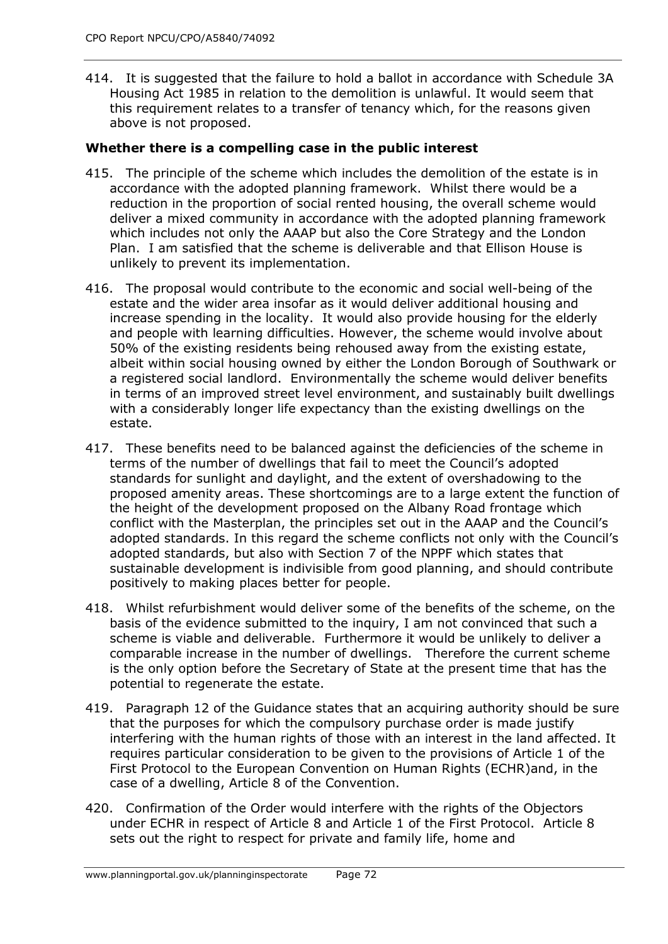414. It is suggested that the failure to hold a ballot in accordance with Schedule 3A Housing Act 1985 in relation to the demolition is unlawful. It would seem that this requirement relates to a transfer of tenancy which, for the reasons given above is not proposed.

### **Whether there is a compelling case in the public interest**

- 415. The principle of the scheme which includes the demolition of the estate is in accordance with the adopted planning framework. Whilst there would be a reduction in the proportion of social rented housing, the overall scheme would deliver a mixed community in accordance with the adopted planning framework which includes not only the AAAP but also the Core Strategy and the London Plan. I am satisfied that the scheme is deliverable and that Ellison House is unlikely to prevent its implementation.
- 416. The proposal would contribute to the economic and social well-being of the estate and the wider area insofar as it would deliver additional housing and increase spending in the locality. It would also provide housing for the elderly and people with learning difficulties. However, the scheme would involve about 50% of the existing residents being rehoused away from the existing estate, albeit within social housing owned by either the London Borough of Southwark or a registered social landlord. Environmentally the scheme would deliver benefits in terms of an improved street level environment, and sustainably built dwellings with a considerably longer life expectancy than the existing dwellings on the estate.
- 417. These benefits need to be balanced against the deficiencies of the scheme in terms of the number of dwellings that fail to meet the Council's adopted standards for sunlight and daylight, and the extent of overshadowing to the proposed amenity areas. These shortcomings are to a large extent the function of the height of the development proposed on the Albany Road frontage which conflict with the Masterplan, the principles set out in the AAAP and the Council's adopted standards. In this regard the scheme conflicts not only with the Council's adopted standards, but also with Section 7 of the NPPF which states that sustainable development is indivisible from good planning, and should contribute positively to making places better for people.
- 418. Whilst refurbishment would deliver some of the benefits of the scheme, on the basis of the evidence submitted to the inquiry, I am not convinced that such a scheme is viable and deliverable. Furthermore it would be unlikely to deliver a comparable increase in the number of dwellings. Therefore the current scheme is the only option before the Secretary of State at the present time that has the potential to regenerate the estate.
- 419. Paragraph 12 of the Guidance states that an acquiring authority should be sure that the purposes for which the compulsory purchase order is made justify interfering with the human rights of those with an interest in the land affected. It requires particular consideration to be given to the provisions of Article 1 of the First Protocol to the European Convention on Human Rights (ECHR)and, in the case of a dwelling, Article 8 of the Convention.
- 420. Confirmation of the Order would interfere with the rights of the Objectors under ECHR in respect of Article 8 and Article 1 of the First Protocol. Article 8 sets out the right to respect for private and family life, home and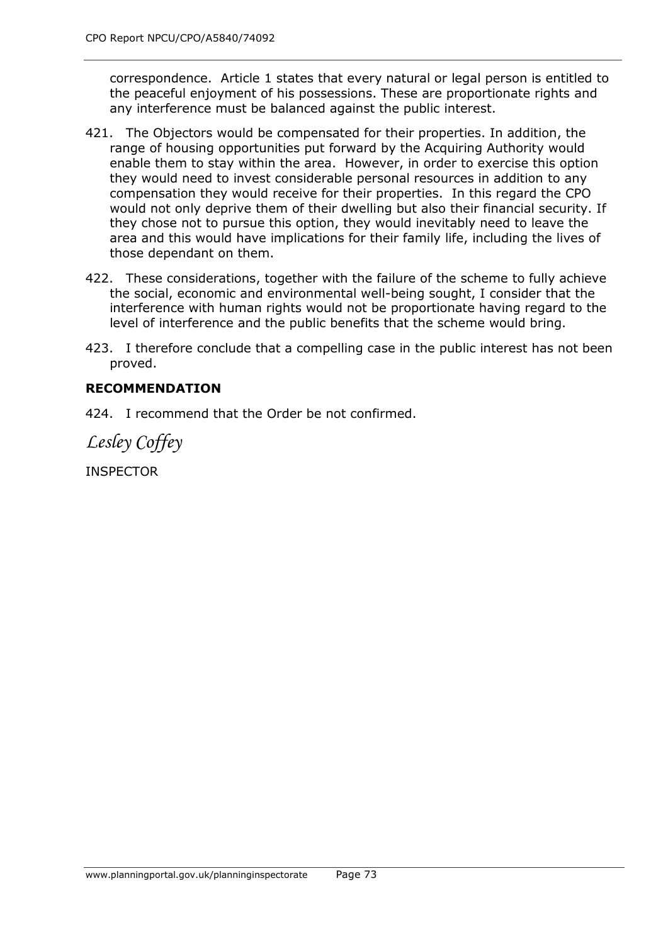correspondence. Article 1 states that every natural or legal person is entitled to the peaceful enjoyment of his possessions. These are proportionate rights and any interference must be balanced against the public interest.

- 421. The Objectors would be compensated for their properties. In addition, the range of housing opportunities put forward by the Acquiring Authority would enable them to stay within the area. However, in order to exercise this option they would need to invest considerable personal resources in addition to any compensation they would receive for their properties. In this regard the CPO would not only deprive them of their dwelling but also their financial security. If they chose not to pursue this option, they would inevitably need to leave the area and this would have implications for their family life, including the lives of those dependant on them.
- 422. These considerations, together with the failure of the scheme to fully achieve the social, economic and environmental well-being sought, I consider that the interference with human rights would not be proportionate having regard to the level of interference and the public benefits that the scheme would bring.
- 423. I therefore conclude that a compelling case in the public interest has not been proved.

# **RECOMMENDATION**

424. I recommend that the Order be not confirmed.

*Lesley Coffey* 

**INSPECTOR**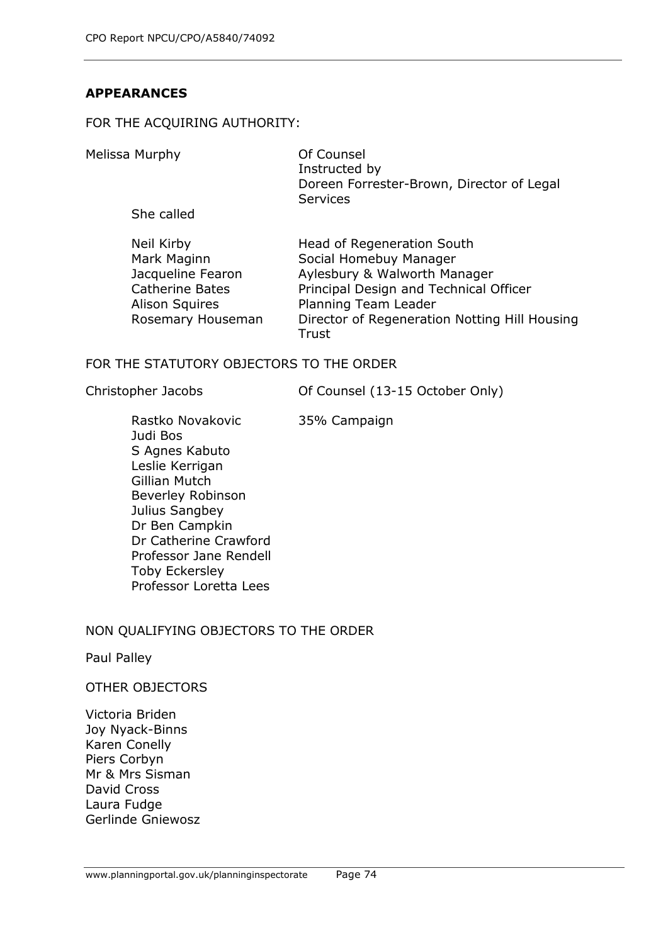## **APPEARANCES**

### FOR THE ACQUIRING AUTHORITY:

Melissa Murphy **Of Counsel** 

Instructed by Doreen Forrester-Brown, Director of Legal **Services** 

She called

| Neil Kirby             | Head of Regeneration South                    |
|------------------------|-----------------------------------------------|
| Mark Maginn            | Social Homebuy Manager                        |
| Jacqueline Fearon      | Aylesbury & Walworth Manager                  |
| <b>Catherine Bates</b> | Principal Design and Technical Officer        |
| <b>Alison Squires</b>  | Planning Team Leader                          |
| Rosemary Houseman      | Director of Regeneration Notting Hill Housing |
|                        | Trust                                         |

## FOR THE STATUTORY OBJECTORS TO THE ORDER

Christopher Jacobs Of Counsel (13-15 October Only)

Rastko Novakovic 35% Campaign Judi Bos S Agnes Kabuto Leslie Kerrigan Gillian Mutch Beverley Robinson Julius Sangbey Dr Ben Campkin Dr Catherine Crawford Professor Jane Rendell Toby Eckersley Professor Loretta Lees

# NON QUALIFYING OBJECTORS TO THE ORDER

### Paul Palley

### OTHER OBJECTORS

Victoria Briden Joy Nyack-Binns Karen Conelly Piers Corbyn Mr & Mrs Sisman David Cross Laura Fudge Gerlinde Gniewosz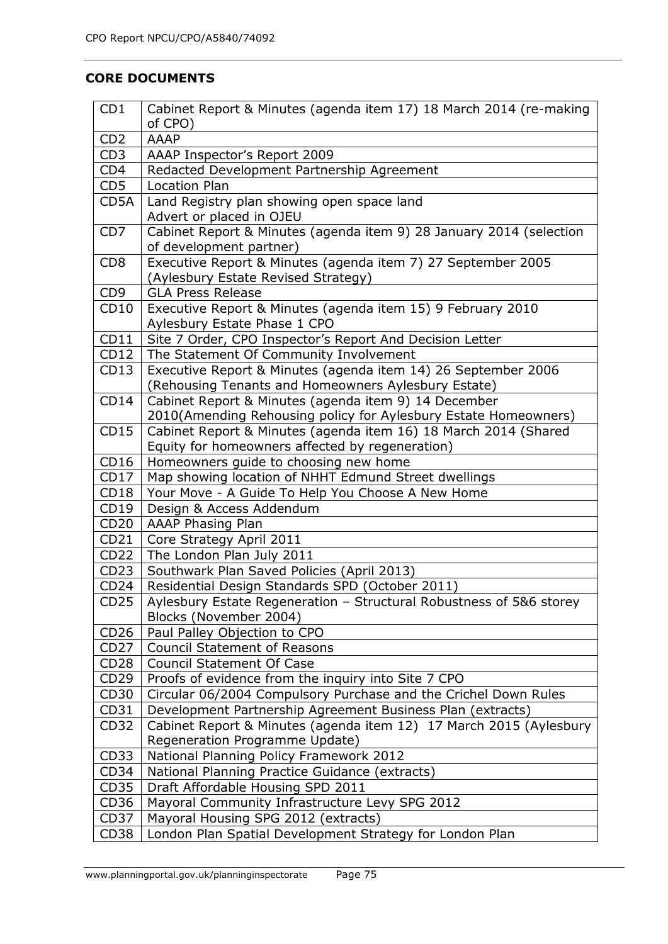# **CORE DOCUMENTS**

| CD1                 | Cabinet Report & Minutes (agenda item 17) 18 March 2014 (re-making<br>of CPO)                        |
|---------------------|------------------------------------------------------------------------------------------------------|
| CD <sub>2</sub>     | <b>AAAP</b>                                                                                          |
| CD <sub>3</sub>     | AAAP Inspector's Report 2009                                                                         |
| CD <sub>4</sub>     | Redacted Development Partnership Agreement                                                           |
| CD <sub>5</sub>     | <b>Location Plan</b>                                                                                 |
| CD <sub>5</sub> A   | Land Registry plan showing open space land                                                           |
|                     | Advert or placed in OJEU                                                                             |
| CD <sub>7</sub>     | Cabinet Report & Minutes (agenda item 9) 28 January 2014 (selection<br>of development partner)       |
| CD <sub>8</sub>     | Executive Report & Minutes (agenda item 7) 27 September 2005<br>(Aylesbury Estate Revised Strategy)  |
| CD <sub>9</sub>     | <b>GLA Press Release</b>                                                                             |
| CD10                | Executive Report & Minutes (agenda item 15) 9 February 2010                                          |
|                     | Aylesbury Estate Phase 1 CPO                                                                         |
| CD11                | Site 7 Order, CPO Inspector's Report And Decision Letter                                             |
| CD12                | The Statement Of Community Involvement                                                               |
| CD13                | Executive Report & Minutes (agenda item 14) 26 September 2006                                        |
|                     | (Rehousing Tenants and Homeowners Aylesbury Estate)                                                  |
| CD14                | Cabinet Report & Minutes (agenda item 9) 14 December                                                 |
|                     | 2010(Amending Rehousing policy for Aylesbury Estate Homeowners)                                      |
| CD15                | Cabinet Report & Minutes (agenda item 16) 18 March 2014 (Shared                                      |
|                     | Equity for homeowners affected by regeneration)                                                      |
| CD16                | Homeowners guide to choosing new home                                                                |
| CD17                | Map showing location of NHHT Edmund Street dwellings                                                 |
| CD18                | Your Move - A Guide To Help You Choose A New Home                                                    |
| CD19                | Design & Access Addendum                                                                             |
| <b>CD20</b>         | AAAP Phasing Plan                                                                                    |
| CD21                | Core Strategy April 2011                                                                             |
| CD22                | The London Plan July 2011                                                                            |
| CD23                | Southwark Plan Saved Policies (April 2013)                                                           |
| CD24                | Residential Design Standards SPD (October 2011)                                                      |
| CD25                | Aylesbury Estate Regeneration - Structural Robustness of 5&6 storey                                  |
|                     | Blocks (November 2004)                                                                               |
| CD26                | Paul Palley Objection to CPO                                                                         |
| CD27                | <b>Council Statement of Reasons</b>                                                                  |
| CD <sub>28</sub>    | <b>Council Statement Of Case</b>                                                                     |
| CD <sub>29</sub>    | Proofs of evidence from the inquiry into Site 7 CPO                                                  |
| CD30                | Circular 06/2004 Compulsory Purchase and the Crichel Down Rules                                      |
| CD31<br><b>CD32</b> | Development Partnership Agreement Business Plan (extracts)                                           |
|                     | Cabinet Report & Minutes (agenda item 12) 17 March 2015 (Aylesbury<br>Regeneration Programme Update) |
| CD33                | National Planning Policy Framework 2012                                                              |
| CD34                | National Planning Practice Guidance (extracts)                                                       |
| CD35                | Draft Affordable Housing SPD 2011                                                                    |
| CD36                | Mayoral Community Infrastructure Levy SPG 2012                                                       |
| CD37                | Mayoral Housing SPG 2012 (extracts)                                                                  |
| CD <sub>38</sub>    | London Plan Spatial Development Strategy for London Plan                                             |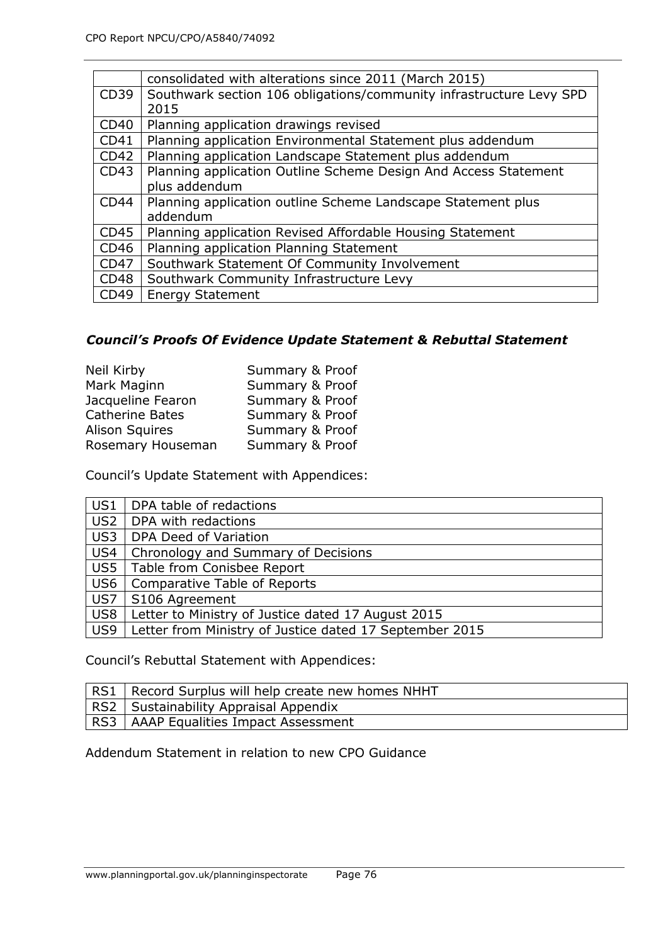|      | consolidated with alterations since 2011 (March 2015)               |
|------|---------------------------------------------------------------------|
| CD39 | Southwark section 106 obligations/community infrastructure Levy SPD |
|      | 2015                                                                |
| CD40 | Planning application drawings revised                               |
| CD41 | Planning application Environmental Statement plus addendum          |
| CD42 | Planning application Landscape Statement plus addendum              |
| CD43 | Planning application Outline Scheme Design And Access Statement     |
|      | plus addendum                                                       |
| CD44 | Planning application outline Scheme Landscape Statement plus        |
|      | addendum                                                            |
| CD45 | Planning application Revised Affordable Housing Statement           |
| CD46 | Planning application Planning Statement                             |
| CD47 | Southwark Statement Of Community Involvement                        |
| CD48 | Southwark Community Infrastructure Levy                             |
| CD49 | <b>Energy Statement</b>                                             |

# *Council's Proofs Of Evidence Update Statement & Rebuttal Statement*

| Neil Kirby             | Summary & Proof |
|------------------------|-----------------|
| Mark Maginn            | Summary & Proof |
| Jacqueline Fearon      | Summary & Proof |
| <b>Catherine Bates</b> | Summary & Proof |
| <b>Alison Squires</b>  | Summary & Proof |
| Rosemary Houseman      | Summary & Proof |

Council's Update Statement with Appendices:

| US1             | DPA table of redactions                                 |
|-----------------|---------------------------------------------------------|
| US <sub>2</sub> | DPA with redactions                                     |
| US3             | DPA Deed of Variation                                   |
| US4             | Chronology and Summary of Decisions                     |
| US5             | Table from Conisbee Report                              |
| US <sub>6</sub> | <b>Comparative Table of Reports</b>                     |
| US7             | S106 Agreement                                          |
| US8             | Letter to Ministry of Justice dated 17 August 2015      |
| US9             | Letter from Ministry of Justice dated 17 September 2015 |

Council's Rebuttal Statement with Appendices:

| RS1   Record Surplus will help create new homes NHHT |
|------------------------------------------------------|
| RS2   Sustainability Appraisal Appendix              |
| RS3   AAAP Equalities Impact Assessment              |

Addendum Statement in relation to new CPO Guidance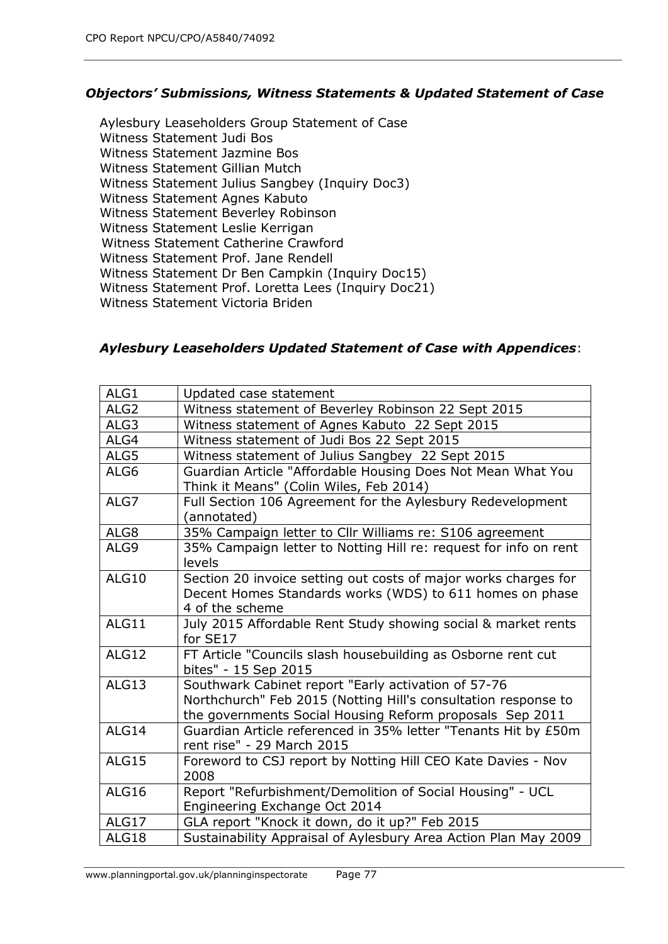# *Objectors' Submissions, Witness Statements & Updated Statement of Case*

Aylesbury Leaseholders Group Statement of Case Witness Statement Judi Bos Witness Statement Jazmine Bos Witness Statement Gillian Mutch Witness Statement Julius Sangbey (Inquiry Doc3) Witness Statement Agnes Kabuto Witness Statement Beverley Robinson Witness Statement Leslie Kerrigan Witness Statement Catherine Crawford Witness Statement Prof. Jane Rendell Witness Statement Dr Ben Campkin (Inquiry Doc15) Witness Statement Prof. Loretta Lees (Inquiry Doc21) Witness Statement Victoria Briden

## *Aylesbury Leaseholders Updated Statement of Case with Appendices*:

| ALG1             | Updated case statement                                                                                                                         |
|------------------|------------------------------------------------------------------------------------------------------------------------------------------------|
| ALG <sub>2</sub> | Witness statement of Beverley Robinson 22 Sept 2015                                                                                            |
| ALG3             | Witness statement of Agnes Kabuto 22 Sept 2015                                                                                                 |
| ALG4             | Witness statement of Judi Bos 22 Sept 2015                                                                                                     |
| ALG5             | Witness statement of Julius Sangbey 22 Sept 2015                                                                                               |
| ALG6             | Guardian Article "Affordable Housing Does Not Mean What You<br>Think it Means" (Colin Wiles, Feb 2014)                                         |
| ALG7             | Full Section 106 Agreement for the Aylesbury Redevelopment<br>(annotated)                                                                      |
| ALG8             | 35% Campaign letter to Cllr Williams re: S106 agreement                                                                                        |
| ALG9             | 35% Campaign letter to Notting Hill re: request for info on rent<br>levels                                                                     |
| ALG10            | Section 20 invoice setting out costs of major works charges for<br>Decent Homes Standards works (WDS) to 611 homes on phase<br>4 of the scheme |
| ALG11            | July 2015 Affordable Rent Study showing social & market rents<br>for SE17                                                                      |
| ALG12            | FT Article "Councils slash housebuilding as Osborne rent cut<br>bites" - 15 Sep 2015                                                           |
| ALG13            | Southwark Cabinet report "Early activation of 57-76                                                                                            |
|                  | Northchurch" Feb 2015 (Notting Hill's consultation response to<br>the governments Social Housing Reform proposals Sep 2011                     |
| ALG14            | Guardian Article referenced in 35% letter "Tenants Hit by £50m<br>rent rise" - 29 March 2015                                                   |
| ALG15            | Foreword to CSJ report by Notting Hill CEO Kate Davies - Nov<br>2008                                                                           |
| ALG16            | Report "Refurbishment/Demolition of Social Housing" - UCL<br>Engineering Exchange Oct 2014                                                     |
| ALG17            | GLA report "Knock it down, do it up?" Feb 2015                                                                                                 |
| ALG18            | Sustainability Appraisal of Aylesbury Area Action Plan May 2009                                                                                |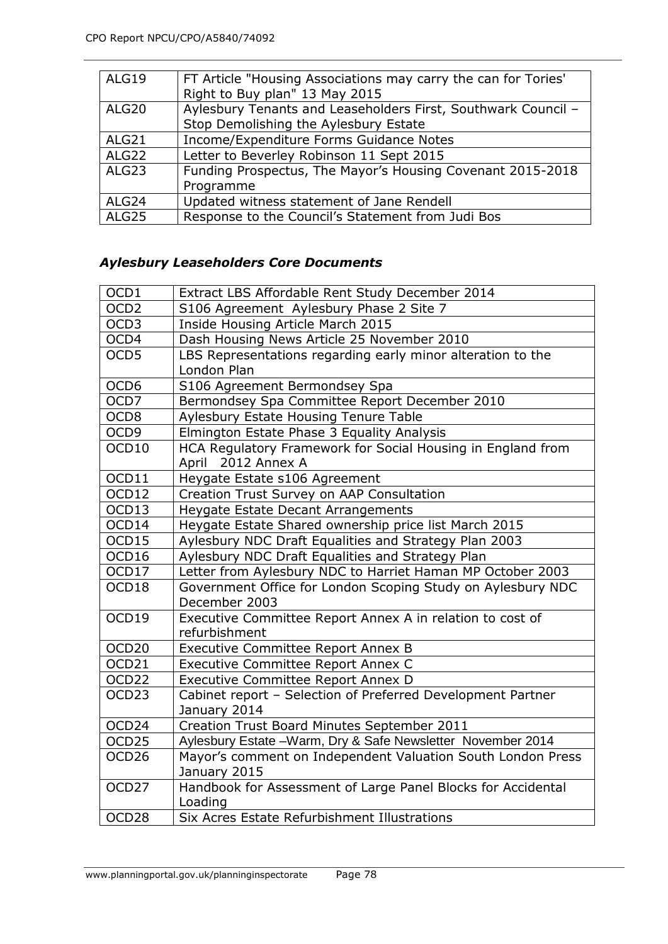| ALG19             | FT Article "Housing Associations may carry the can for Tories" |
|-------------------|----------------------------------------------------------------|
|                   | Right to Buy plan" 13 May 2015                                 |
| ALG20             | Aylesbury Tenants and Leaseholders First, Southwark Council -  |
|                   | Stop Demolishing the Aylesbury Estate                          |
| ALG21             | Income/Expenditure Forms Guidance Notes                        |
| ALG22             | Letter to Beverley Robinson 11 Sept 2015                       |
| ALG <sub>23</sub> | Funding Prospectus, The Mayor's Housing Covenant 2015-2018     |
|                   | Programme                                                      |
| ALG24             | Updated witness statement of Jane Rendell                      |
| ALG25             | Response to the Council's Statement from Judi Bos              |

# *Aylesbury Leaseholders Core Documents*

| OCD1              | Extract LBS Affordable Rent Study December 2014                                   |
|-------------------|-----------------------------------------------------------------------------------|
| OCD <sub>2</sub>  | S106 Agreement Aylesbury Phase 2 Site 7                                           |
| OCD <sub>3</sub>  | Inside Housing Article March 2015                                                 |
| OCD4              | Dash Housing News Article 25 November 2010                                        |
| OCD <sub>5</sub>  | LBS Representations regarding early minor alteration to the<br>London Plan        |
| OCD <sub>6</sub>  | S106 Agreement Bermondsey Spa                                                     |
| OCD7              | Bermondsey Spa Committee Report December 2010                                     |
| OCD <sub>8</sub>  | Aylesbury Estate Housing Tenure Table                                             |
| OCD <sub>9</sub>  | Elmington Estate Phase 3 Equality Analysis                                        |
| OCD10             | HCA Regulatory Framework for Social Housing in England from<br>April 2012 Annex A |
| OCD11             | Heygate Estate s106 Agreement                                                     |
| OCD12             | Creation Trust Survey on AAP Consultation                                         |
| OCD13             | Heygate Estate Decant Arrangements                                                |
| OCD14             | Heygate Estate Shared ownership price list March 2015                             |
| OCD15             | Aylesbury NDC Draft Equalities and Strategy Plan 2003                             |
| OCD16             | Aylesbury NDC Draft Equalities and Strategy Plan                                  |
| OCD17             | Letter from Aylesbury NDC to Harriet Haman MP October 2003                        |
| OCD18             | Government Office for London Scoping Study on Aylesbury NDC                       |
|                   | December 2003                                                                     |
| OCD19             | Executive Committee Report Annex A in relation to cost of<br>refurbishment        |
| OCD <sub>20</sub> | Executive Committee Report Annex B                                                |
| OCD21             | Executive Committee Report Annex C                                                |
| OCD <sub>22</sub> | Executive Committee Report Annex D                                                |
| OCD <sub>23</sub> | Cabinet report - Selection of Preferred Development Partner                       |
|                   | January 2014                                                                      |
| OCD <sub>24</sub> | Creation Trust Board Minutes September 2011                                       |
| OCD <sub>25</sub> | Aylesbury Estate -Warm, Dry & Safe Newsletter November 2014                       |
| OCD <sub>26</sub> | Mayor's comment on Independent Valuation South London Press                       |
|                   | January 2015                                                                      |
| OCD <sub>27</sub> | Handbook for Assessment of Large Panel Blocks for Accidental                      |
|                   | Loading                                                                           |
| OCD <sub>28</sub> | Six Acres Estate Refurbishment Illustrations                                      |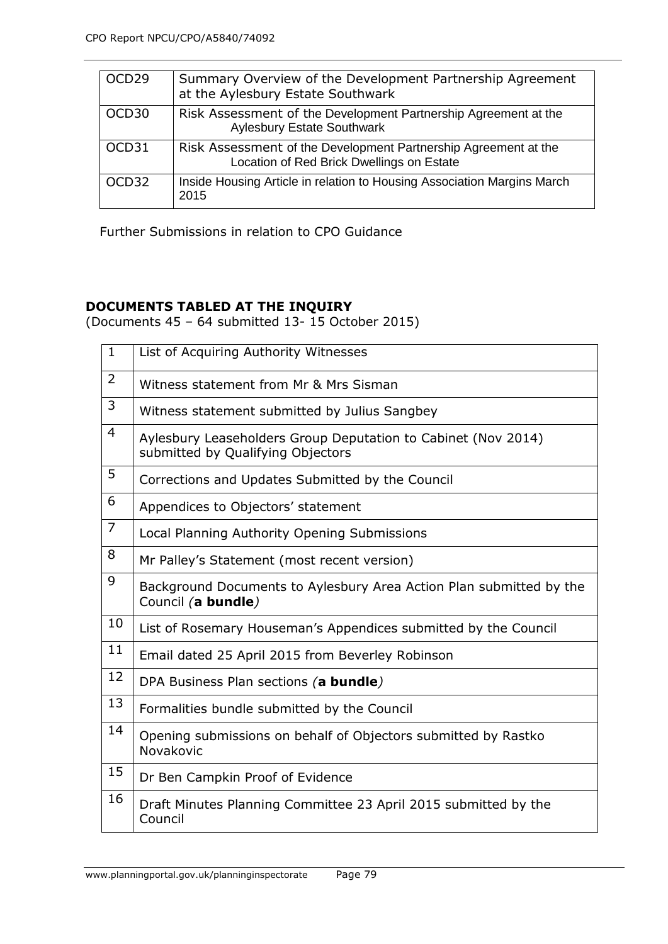| OCD <sub>29</sub> | Summary Overview of the Development Partnership Agreement<br>at the Aylesbury Estate Southwark               |
|-------------------|--------------------------------------------------------------------------------------------------------------|
| OCD30             | Risk Assessment of the Development Partnership Agreement at the<br><b>Aylesbury Estate Southwark</b>         |
| OCD31             | Risk Assessment of the Development Partnership Agreement at the<br>Location of Red Brick Dwellings on Estate |
| OCD <sub>32</sub> | Inside Housing Article in relation to Housing Association Margins March<br>2015                              |

Further Submissions in relation to CPO Guidance

# **DOCUMENTS TABLED AT THE INQUIRY**

(Documents 45 – 64 submitted 13- 15 October 2015)

| $\mathbf{1}$   | List of Acquiring Authority Witnesses                                                              |
|----------------|----------------------------------------------------------------------------------------------------|
| 2              | Witness statement from Mr & Mrs Sisman                                                             |
| 3              | Witness statement submitted by Julius Sangbey                                                      |
| $\overline{4}$ | Aylesbury Leaseholders Group Deputation to Cabinet (Nov 2014)<br>submitted by Qualifying Objectors |
| 5              | Corrections and Updates Submitted by the Council                                                   |
| 6              | Appendices to Objectors' statement                                                                 |
| $\overline{7}$ | Local Planning Authority Opening Submissions                                                       |
| 8              | Mr Palley's Statement (most recent version)                                                        |
| 9              | Background Documents to Aylesbury Area Action Plan submitted by the<br>Council (a bundle)          |
| 10             | List of Rosemary Houseman's Appendices submitted by the Council                                    |
| 11             | Email dated 25 April 2015 from Beverley Robinson                                                   |
| 12             | DPA Business Plan sections (a bundle)                                                              |
| 13             | Formalities bundle submitted by the Council                                                        |
| 14             | Opening submissions on behalf of Objectors submitted by Rastko<br>Novakovic                        |
| 15             | Dr Ben Campkin Proof of Evidence                                                                   |
| 16             | Draft Minutes Planning Committee 23 April 2015 submitted by the<br>Council                         |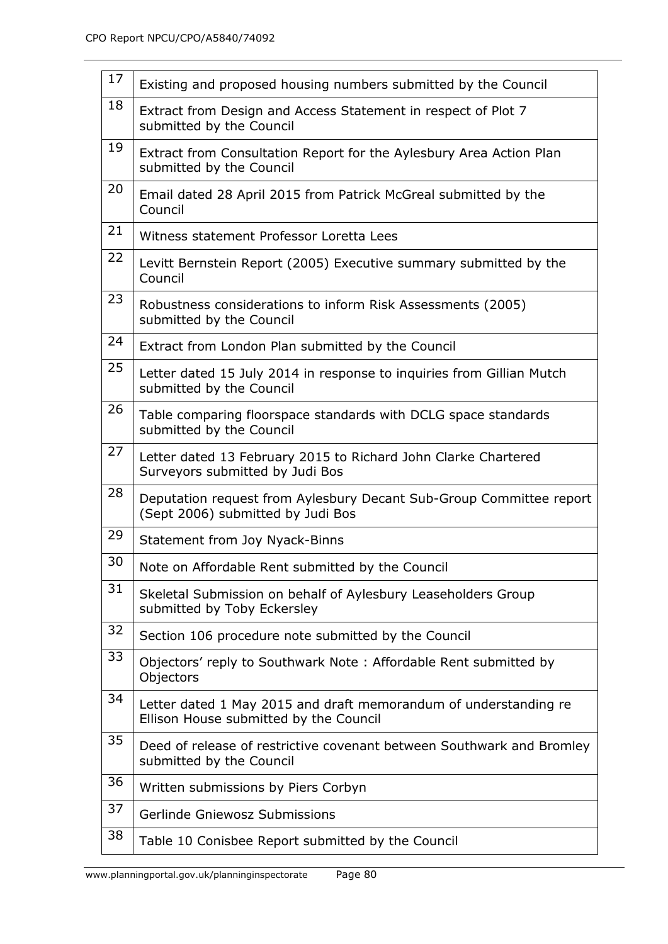| 17 | Existing and proposed housing numbers submitted by the Council                                             |
|----|------------------------------------------------------------------------------------------------------------|
| 18 | Extract from Design and Access Statement in respect of Plot 7<br>submitted by the Council                  |
| 19 | Extract from Consultation Report for the Aylesbury Area Action Plan<br>submitted by the Council            |
| 20 | Email dated 28 April 2015 from Patrick McGreal submitted by the<br>Council                                 |
| 21 | Witness statement Professor Loretta Lees                                                                   |
| 22 | Levitt Bernstein Report (2005) Executive summary submitted by the<br>Council                               |
| 23 | Robustness considerations to inform Risk Assessments (2005)<br>submitted by the Council                    |
| 24 | Extract from London Plan submitted by the Council                                                          |
| 25 | Letter dated 15 July 2014 in response to inquiries from Gillian Mutch<br>submitted by the Council          |
| 26 | Table comparing floorspace standards with DCLG space standards<br>submitted by the Council                 |
| 27 | Letter dated 13 February 2015 to Richard John Clarke Chartered<br>Surveyors submitted by Judi Bos          |
| 28 | Deputation request from Aylesbury Decant Sub-Group Committee report<br>(Sept 2006) submitted by Judi Bos   |
| 29 | Statement from Joy Nyack-Binns                                                                             |
| 30 | Note on Affordable Rent submitted by the Council                                                           |
| 31 | Skeletal Submission on behalf of Aylesbury Leaseholders Group<br>submitted by Toby Eckersley               |
| 32 | Section 106 procedure note submitted by the Council                                                        |
| 33 | Objectors' reply to Southwark Note: Affordable Rent submitted by<br>Objectors                              |
| 34 | Letter dated 1 May 2015 and draft memorandum of understanding re<br>Ellison House submitted by the Council |
| 35 | Deed of release of restrictive covenant between Southwark and Bromley<br>submitted by the Council          |
| 36 | Written submissions by Piers Corbyn                                                                        |
| 37 | Gerlinde Gniewosz Submissions                                                                              |
| 38 | Table 10 Conisbee Report submitted by the Council                                                          |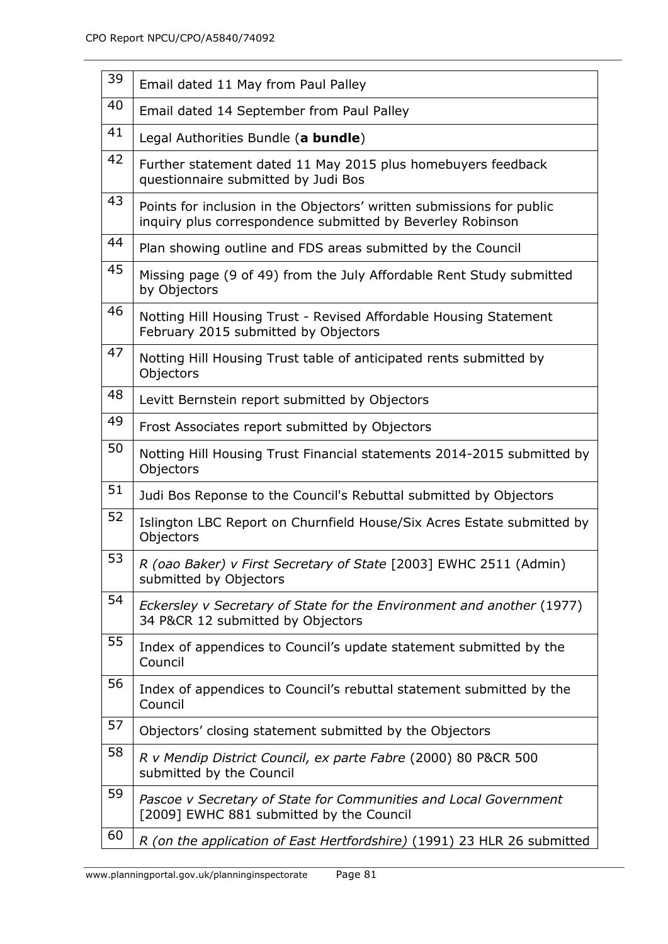| 39 | Email dated 11 May from Paul Palley                                                                                                 |
|----|-------------------------------------------------------------------------------------------------------------------------------------|
| 40 | Email dated 14 September from Paul Palley                                                                                           |
| 41 | Legal Authorities Bundle (a bundle)                                                                                                 |
| 42 | Further statement dated 11 May 2015 plus homebuyers feedback<br>questionnaire submitted by Judi Bos                                 |
| 43 | Points for inclusion in the Objectors' written submissions for public<br>inquiry plus correspondence submitted by Beverley Robinson |
| 44 | Plan showing outline and FDS areas submitted by the Council                                                                         |
| 45 | Missing page (9 of 49) from the July Affordable Rent Study submitted<br>by Objectors                                                |
| 46 | Notting Hill Housing Trust - Revised Affordable Housing Statement<br>February 2015 submitted by Objectors                           |
| 47 | Notting Hill Housing Trust table of anticipated rents submitted by<br>Objectors                                                     |
| 48 | Levitt Bernstein report submitted by Objectors                                                                                      |
| 49 | Frost Associates report submitted by Objectors                                                                                      |
| 50 | Notting Hill Housing Trust Financial statements 2014-2015 submitted by<br>Objectors                                                 |
| 51 | Judi Bos Reponse to the Council's Rebuttal submitted by Objectors                                                                   |
| 52 | Islington LBC Report on Churnfield House/Six Acres Estate submitted by<br>Objectors                                                 |
| 53 | R (oao Baker) v First Secretary of State [2003] EWHC 2511 (Admin)<br>submitted by Objectors                                         |
| 54 | Eckersley v Secretary of State for the Environment and another (1977)<br>34 P&CR 12 submitted by Objectors                          |
| 55 | Index of appendices to Council's update statement submitted by the<br>Council                                                       |
| 56 | Index of appendices to Council's rebuttal statement submitted by the<br>Council                                                     |
| 57 | Objectors' closing statement submitted by the Objectors                                                                             |
| 58 | R v Mendip District Council, ex parte Fabre (2000) 80 P&CR 500<br>submitted by the Council                                          |
| 59 | Pascoe v Secretary of State for Communities and Local Government<br>[2009] EWHC 881 submitted by the Council                        |
| 60 | (on the application of East Hertfordshire) (1991) 23 HLR 26 submitted<br>R                                                          |